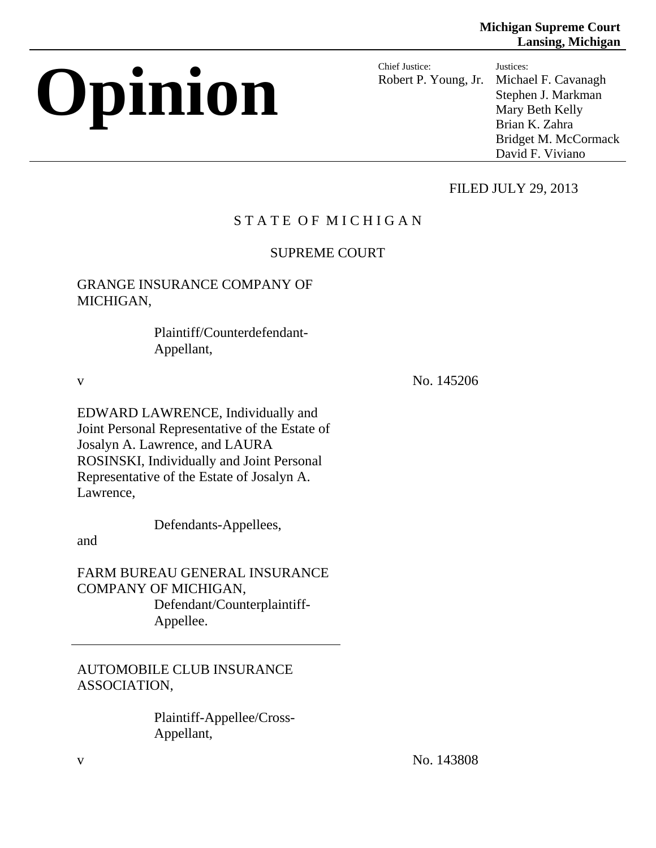# **Opinion Chief Justice:**

Robert P. Young, Jr. Justices: Michael F. Cavanagh Stephen J. Markman Mary Beth Kelly Brian K. Zahra Bridget M. McCormack David F. Viviano

# FILED JULY 29, 2013

# STATE OF MICHIGAN

# SUPREME COURT

# GRANGE INSURANCE COMPANY OF MICHIGAN,

 Plaintiff/Counterdefendant-Appellant,

v No. 145206

EDWARD LAWRENCE, Individually and Joint Personal Representative of the Estate of Josalyn A. Lawrence, and LAURA ROSINSKI, Individually and Joint Personal Representative of the Estate of Josalyn A. Lawrence,

Defendants-Appellees,

and

FARM BUREAU GENERAL INSURANCE COMPANY OF MICHIGAN, Defendant/Counterplaintiff- Appellee.

AUTOMOBILE CLUB INSURANCE ASSOCIATION,

> Plaintiff-Appellee/Cross-Appellant,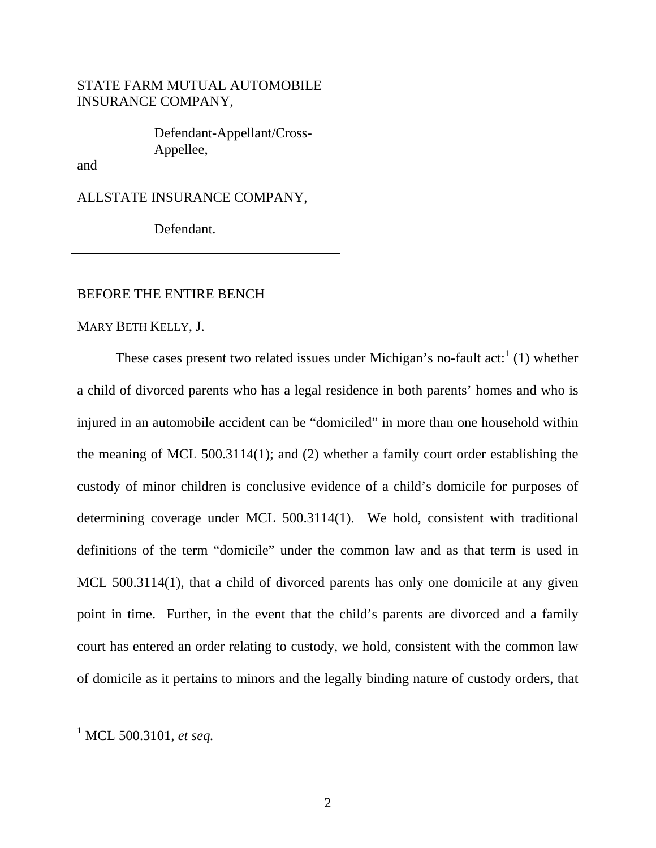# STATE FARM MUTUAL AUTOMOBILE INSURANCE COMPANY,

 Defendant-Appellant/Cross-Appellee,

and

ALLSTATE INSURANCE COMPANY,

Defendant.

#### BEFORE THE ENTIRE BENCH

MARY BETH KELLY, J.

These cases present two related issues under Michigan's no-fault act: $1(1)$  whether a child of divorced parents who has a legal residence in both parents' homes and who is injured in an automobile accident can be "domiciled" in more than one household within the meaning of MCL 500.3114(1); and (2) whether a family court order establishing the custody of minor children is conclusive evidence of a child's domicile for purposes of determining coverage under MCL 500.3114(1). We hold, consistent with traditional definitions of the term "domicile" under the common law and as that term is used in MCL 500.3114(1), that a child of divorced parents has only one domicile at any given point in time. Further, in the event that the child's parents are divorced and a family court has entered an order relating to custody, we hold, consistent with the common law of domicile as it pertains to minors and the legally binding nature of custody orders, that

<sup>1</sup> MCL 500.3101, *et seq.*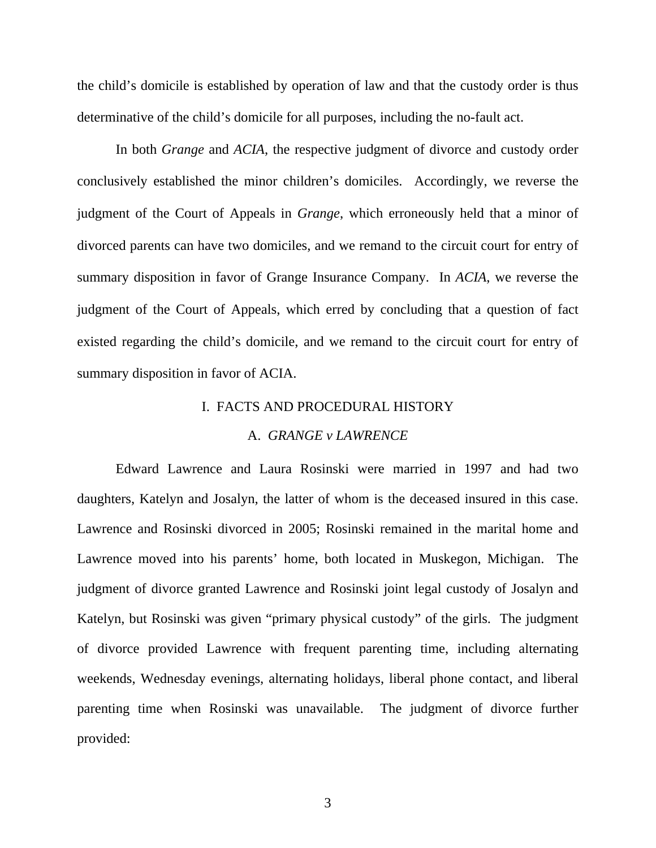the child's domicile is established by operation of law and that the custody order is thus determinative of the child's domicile for all purposes, including the no-fault act.

In both *Grange* and *ACIA*, the respective judgment of divorce and custody order conclusively established the minor children's domiciles. Accordingly, we reverse the judgment of the Court of Appeals in *Grange*, which erroneously held that a minor of divorced parents can have two domiciles, and we remand to the circuit court for entry of summary disposition in favor of Grange Insurance Company. In *ACIA*, we reverse the judgment of the Court of Appeals, which erred by concluding that a question of fact existed regarding the child's domicile, and we remand to the circuit court for entry of summary disposition in favor of ACIA.

# I. FACTS AND PROCEDURAL HISTORY

#### A. *GRANGE v LAWRENCE*

Edward Lawrence and Laura Rosinski were married in 1997 and had two daughters, Katelyn and Josalyn, the latter of whom is the deceased insured in this case. Lawrence and Rosinski divorced in 2005; Rosinski remained in the marital home and Lawrence moved into his parents' home, both located in Muskegon, Michigan. The judgment of divorce granted Lawrence and Rosinski joint legal custody of Josalyn and Katelyn, but Rosinski was given "primary physical custody" of the girls. The judgment of divorce provided Lawrence with frequent parenting time, including alternating weekends, Wednesday evenings, alternating holidays, liberal phone contact, and liberal parenting time when Rosinski was unavailable. The judgment of divorce further provided: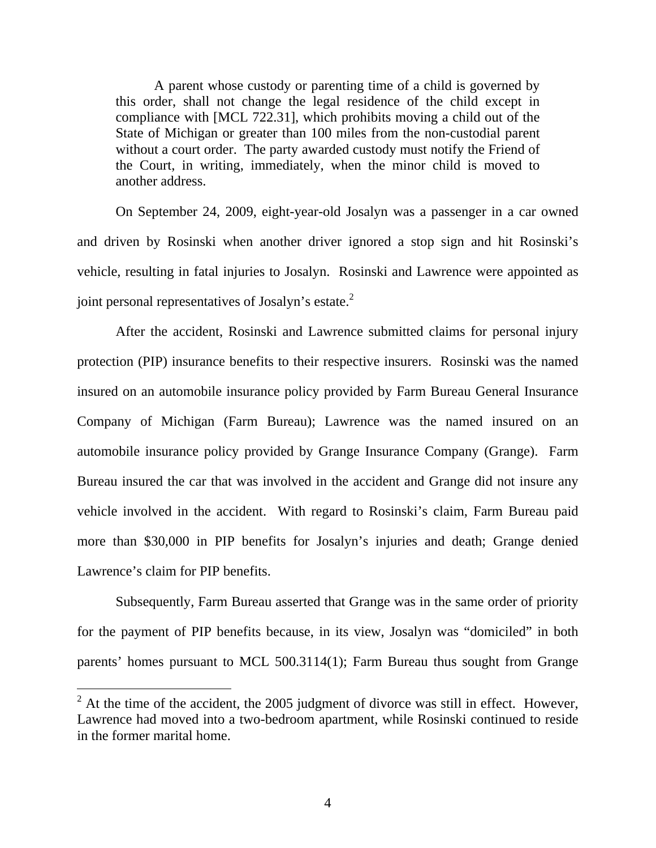A parent whose custody or parenting time of a child is governed by this order, shall not change the legal residence of the child except in compliance with [MCL 722.31], which prohibits moving a child out of the State of Michigan or greater than 100 miles from the non-custodial parent without a court order. The party awarded custody must notify the Friend of the Court, in writing, immediately, when the minor child is moved to another address.

On September 24, 2009, eight-year-old Josalyn was a passenger in a car owned and driven by Rosinski when another driver ignored a stop sign and hit Rosinski's vehicle, resulting in fatal injuries to Josalyn. Rosinski and Lawrence were appointed as joint personal representatives of Josalyn's estate. $2$ 

After the accident, Rosinski and Lawrence submitted claims for personal injury protection (PIP) insurance benefits to their respective insurers. Rosinski was the named insured on an automobile insurance policy provided by Farm Bureau General Insurance Company of Michigan (Farm Bureau); Lawrence was the named insured on an automobile insurance policy provided by Grange Insurance Company (Grange). Farm Bureau insured the car that was involved in the accident and Grange did not insure any vehicle involved in the accident. With regard to Rosinski's claim, Farm Bureau paid more than \$30,000 in PIP benefits for Josalyn's injuries and death; Grange denied Lawrence's claim for PIP benefits.

Subsequently, Farm Bureau asserted that Grange was in the same order of priority for the payment of PIP benefits because, in its view, Josalyn was "domiciled" in both parents' homes pursuant to MCL 500.3114(1); Farm Bureau thus sought from Grange

 $2^2$  At the time of the accident, the 2005 judgment of divorce was still in effect. However, Lawrence had moved into a two-bedroom apartment, while Rosinski continued to reside in the former marital home.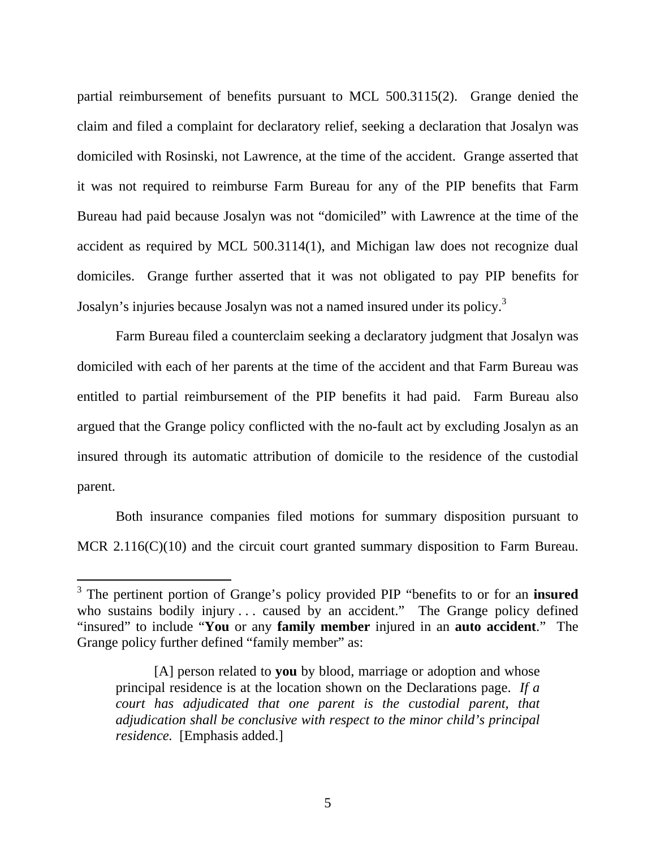partial reimbursement of benefits pursuant to MCL 500.3115(2). Grange denied the claim and filed a complaint for declaratory relief, seeking a declaration that Josalyn was domiciled with Rosinski, not Lawrence, at the time of the accident. Grange asserted that it was not required to reimburse Farm Bureau for any of the PIP benefits that Farm Bureau had paid because Josalyn was not "domiciled" with Lawrence at the time of the accident as required by MCL 500.3114(1), and Michigan law does not recognize dual domiciles. Grange further asserted that it was not obligated to pay PIP benefits for Josalyn's injuries because Josalyn was not a named insured under its policy.<sup>3</sup>

Farm Bureau filed a counterclaim seeking a declaratory judgment that Josalyn was domiciled with each of her parents at the time of the accident and that Farm Bureau was entitled to partial reimbursement of the PIP benefits it had paid. Farm Bureau also argued that the Grange policy conflicted with the no-fault act by excluding Josalyn as an insured through its automatic attribution of domicile to the residence of the custodial parent.

Both insurance companies filed motions for summary disposition pursuant to MCR 2.116(C)(10) and the circuit court granted summary disposition to Farm Bureau.

<sup>3</sup> The pertinent portion of Grange's policy provided PIP "benefits to or for an **insured** who sustains bodily injury . . . caused by an accident." The Grange policy defined "insured" to include "**You** or any **family member** injured in an **auto accident**." The Grange policy further defined "family member" as:

<sup>[</sup>A] person related to **you** by blood, marriage or adoption and whose principal residence is at the location shown on the Declarations page. *If a court has adjudicated that one parent is the custodial parent, that adjudication shall be conclusive with respect to the minor child's principal residence.* [Emphasis added.]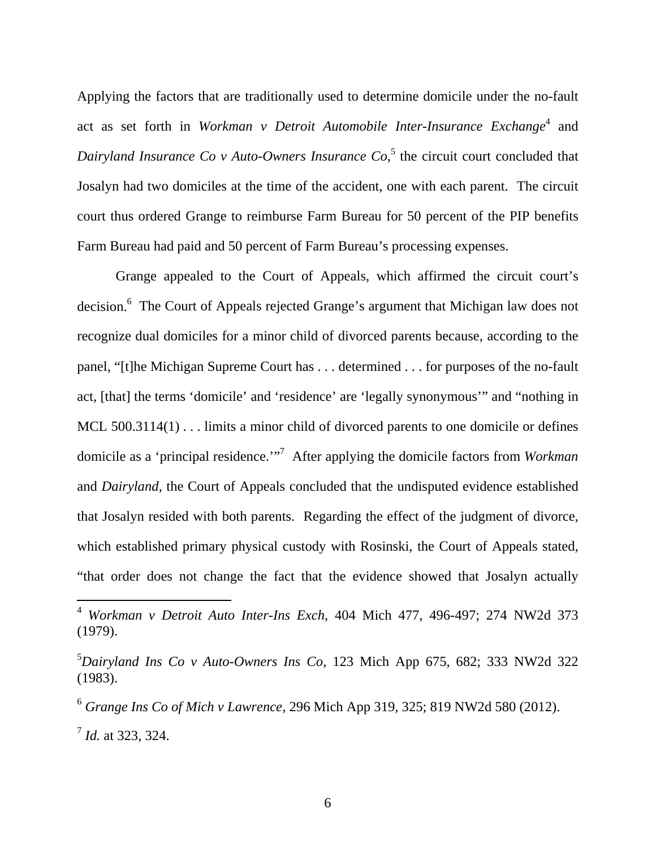Applying the factors that are traditionally used to determine domicile under the no-fault act as set forth in *Workman v Detroit Automobile Inter-Insurance Exchange*<sup>4</sup> and Dairyland Insurance Co v Auto-Owners Insurance Co,<sup>5</sup> the circuit court concluded that Josalyn had two domiciles at the time of the accident, one with each parent. The circuit court thus ordered Grange to reimburse Farm Bureau for 50 percent of the PIP benefits Farm Bureau had paid and 50 percent of Farm Bureau's processing expenses.

Grange appealed to the Court of Appeals, which affirmed the circuit court's decision.<sup>6</sup> The Court of Appeals rejected Grange's argument that Michigan law does not recognize dual domiciles for a minor child of divorced parents because, according to the panel, "[t]he Michigan Supreme Court has . . . determined . . . for purposes of the no-fault act, [that] the terms 'domicile' and 'residence' are 'legally synonymous'" and "nothing in MCL 500.3114(1) . . . limits a minor child of divorced parents to one domicile or defines domicile as a 'principal residence.'"7 After applying the domicile factors from *Workman* and *Dairyland*, the Court of Appeals concluded that the undisputed evidence established that Josalyn resided with both parents. Regarding the effect of the judgment of divorce, which established primary physical custody with Rosinski, the Court of Appeals stated, "that order does not change the fact that the evidence showed that Josalyn actually

<sup>4</sup> *Workman v Detroit Auto Inter-Ins Exch*, 404 Mich 477, 496-497; 274 NW2d 373 (1979).

<sup>5</sup> *Dairyland Ins Co v Auto-Owners Ins Co*, 123 Mich App 675, 682; 333 NW2d 322 (1983).

<sup>6</sup> *Grange Ins Co of Mich v Lawrence*, 296 Mich App 319, 325; 819 NW2d 580 (2012). <sup>7</sup> *Id.* at 323, 324.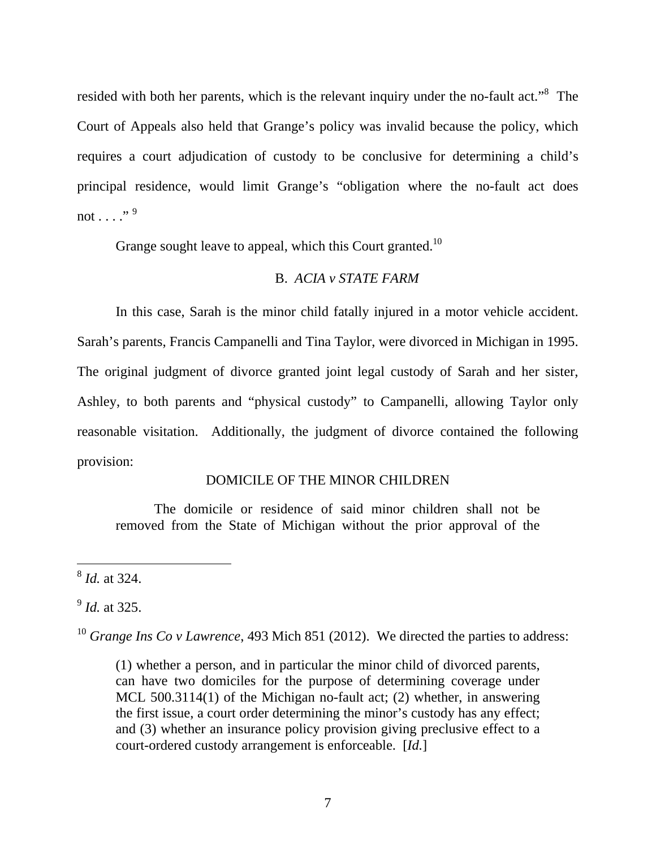resided with both her parents, which is the relevant inquiry under the no-fault act."<sup>8</sup> The Court of Appeals also held that Grange's policy was invalid because the policy, which requires a court adjudication of custody to be conclusive for determining a child's principal residence, would limit Grange's "obligation where the no-fault act does not  $\ldots$  . . . . . 9

Grange sought leave to appeal, which this Court granted.<sup>10</sup>

# B. *ACIA v STATE FARM*

In this case, Sarah is the minor child fatally injured in a motor vehicle accident. Sarah's parents, Francis Campanelli and Tina Taylor, were divorced in Michigan in 1995. The original judgment of divorce granted joint legal custody of Sarah and her sister, Ashley, to both parents and "physical custody" to Campanelli, allowing Taylor only reasonable visitation. Additionally, the judgment of divorce contained the following provision:

# DOMICILE OF THE MINOR CHILDREN

The domicile or residence of said minor children shall not be removed from the State of Michigan without the prior approval of the

<sup>9</sup> *Id.* at 325.

<sup>10</sup> *Grange Ins Co v Lawrence*, 493 Mich 851 (2012). We directed the parties to address:

(1) whether a person, and in particular the minor child of divorced parents, can have two domiciles for the purpose of determining coverage under MCL 500.3114(1) of the Michigan no-fault act; (2) whether, in answering the first issue, a court order determining the minor's custody has any effect; and (3) whether an insurance policy provision giving preclusive effect to a court-ordered custody arrangement is enforceable. [*Id.*]

 $\overline{a}$ <sup>8</sup> *Id.* at 324.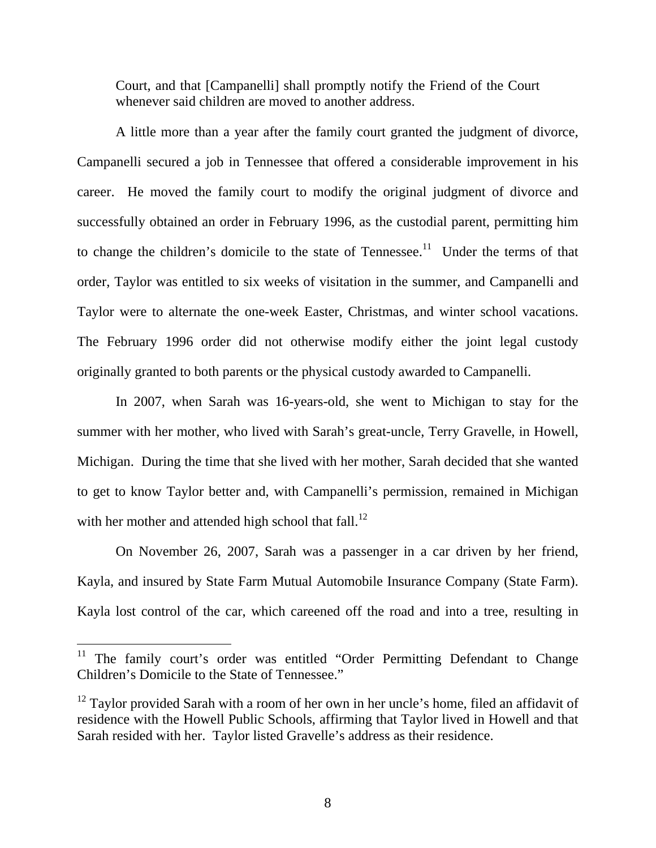Court, and that [Campanelli] shall promptly notify the Friend of the Court whenever said children are moved to another address.

A little more than a year after the family court granted the judgment of divorce, Campanelli secured a job in Tennessee that offered a considerable improvement in his career. He moved the family court to modify the original judgment of divorce and successfully obtained an order in February 1996, as the custodial parent, permitting him to change the children's domicile to the state of Tennessee.<sup>11</sup> Under the terms of that order, Taylor was entitled to six weeks of visitation in the summer, and Campanelli and Taylor were to alternate the one-week Easter, Christmas, and winter school vacations. The February 1996 order did not otherwise modify either the joint legal custody originally granted to both parents or the physical custody awarded to Campanelli.

In 2007, when Sarah was 16-years-old, she went to Michigan to stay for the summer with her mother, who lived with Sarah's great-uncle, Terry Gravelle, in Howell, Michigan. During the time that she lived with her mother, Sarah decided that she wanted to get to know Taylor better and, with Campanelli's permission, remained in Michigan with her mother and attended high school that fall. $^{12}$ 

On November 26, 2007, Sarah was a passenger in a car driven by her friend, Kayla, and insured by State Farm Mutual Automobile Insurance Company (State Farm). Kayla lost control of the car, which careened off the road and into a tree, resulting in

The family court's order was entitled "Order Permitting Defendant to Change Children's Domicile to the State of Tennessee."

 $12$  Taylor provided Sarah with a room of her own in her uncle's home, filed an affidavit of residence with the Howell Public Schools, affirming that Taylor lived in Howell and that Sarah resided with her. Taylor listed Gravelle's address as their residence.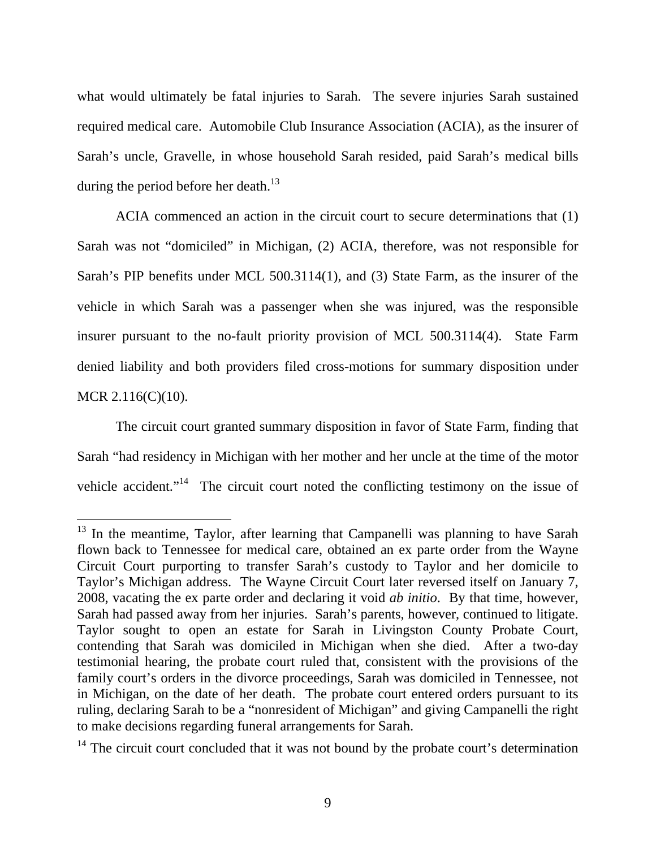what would ultimately be fatal injuries to Sarah. The severe injuries Sarah sustained required medical care. Automobile Club Insurance Association (ACIA), as the insurer of Sarah's uncle, Gravelle, in whose household Sarah resided, paid Sarah's medical bills during the period before her death.<sup>13</sup>

ACIA commenced an action in the circuit court to secure determinations that (1) Sarah was not "domiciled" in Michigan, (2) ACIA, therefore, was not responsible for Sarah's PIP benefits under MCL 500.3114(1), and (3) State Farm, as the insurer of the vehicle in which Sarah was a passenger when she was injured, was the responsible insurer pursuant to the no-fault priority provision of MCL 500.3114(4). State Farm denied liability and both providers filed cross-motions for summary disposition under MCR 2.116(C)(10).

The circuit court granted summary disposition in favor of State Farm, finding that Sarah "had residency in Michigan with her mother and her uncle at the time of the motor vehicle accident."<sup>14</sup> The circuit court noted the conflicting testimony on the issue of

 $13$  In the meantime, Taylor, after learning that Campanelli was planning to have Sarah flown back to Tennessee for medical care, obtained an ex parte order from the Wayne Circuit Court purporting to transfer Sarah's custody to Taylor and her domicile to Taylor's Michigan address. The Wayne Circuit Court later reversed itself on January 7, 2008, vacating the ex parte order and declaring it void *ab initio*. By that time, however, Sarah had passed away from her injuries. Sarah's parents, however, continued to litigate. Taylor sought to open an estate for Sarah in Livingston County Probate Court, contending that Sarah was domiciled in Michigan when she died. After a two-day testimonial hearing, the probate court ruled that, consistent with the provisions of the family court's orders in the divorce proceedings, Sarah was domiciled in Tennessee, not in Michigan, on the date of her death. The probate court entered orders pursuant to its ruling, declaring Sarah to be a "nonresident of Michigan" and giving Campanelli the right to make decisions regarding funeral arrangements for Sarah.

 $14$  The circuit court concluded that it was not bound by the probate court's determination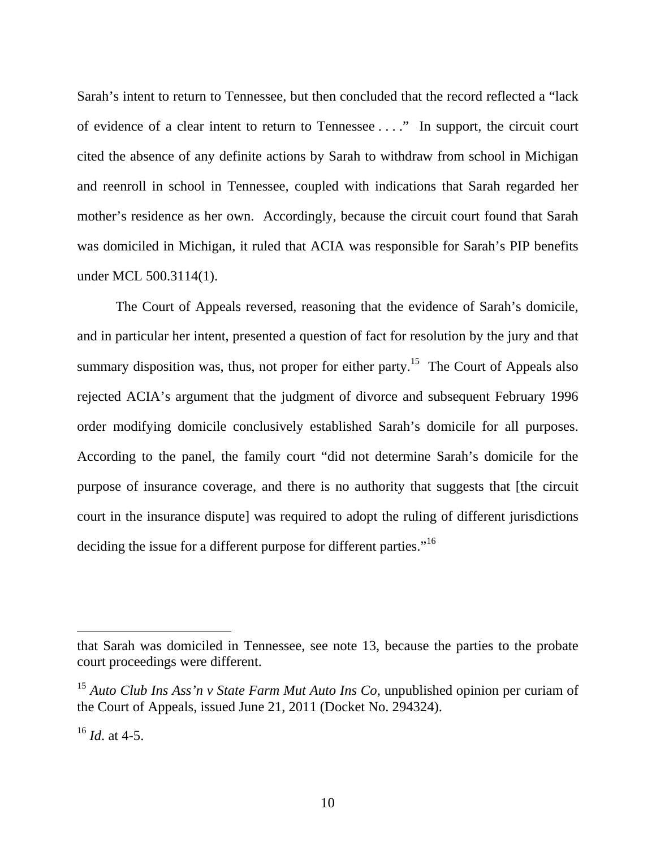Sarah's intent to return to Tennessee, but then concluded that the record reflected a "lack of evidence of a clear intent to return to Tennessee . . . ." In support, the circuit court cited the absence of any definite actions by Sarah to withdraw from school in Michigan and reenroll in school in Tennessee, coupled with indications that Sarah regarded her mother's residence as her own. Accordingly, because the circuit court found that Sarah was domiciled in Michigan, it ruled that ACIA was responsible for Sarah's PIP benefits under MCL 500.3114(1).

The Court of Appeals reversed, reasoning that the evidence of Sarah's domicile, and in particular her intent, presented a question of fact for resolution by the jury and that summary disposition was, thus, not proper for either party.<sup>15</sup> The Court of Appeals also rejected ACIA's argument that the judgment of divorce and subsequent February 1996 order modifying domicile conclusively established Sarah's domicile for all purposes. According to the panel, the family court "did not determine Sarah's domicile for the purpose of insurance coverage, and there is no authority that suggests that [the circuit court in the insurance dispute] was required to adopt the ruling of different jurisdictions deciding the issue for a different purpose for different parties."<sup>16</sup>

that Sarah was domiciled in Tennessee, see note 13, because the parties to the probate court proceedings were different.

<sup>15</sup> *Auto Club Ins Ass'n v State Farm Mut Auto Ins Co*, unpublished opinion per curiam of the Court of Appeals, issued June 21, 2011 (Docket No. 294324).

 $^{16}$  *Id.* at 4-5.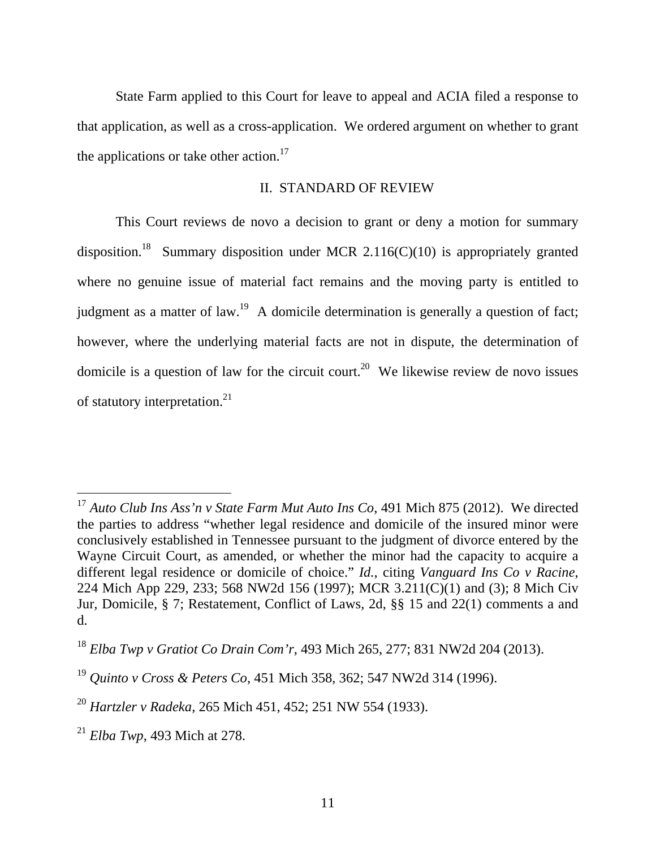State Farm applied to this Court for leave to appeal and ACIA filed a response to that application, as well as a cross-application. We ordered argument on whether to grant the applications or take other action.<sup>17</sup>

# II. STANDARD OF REVIEW

This Court reviews de novo a decision to grant or deny a motion for summary disposition.<sup>18</sup> Summary disposition under MCR 2.116(C)(10) is appropriately granted where no genuine issue of material fact remains and the moving party is entitled to judgment as a matter of law.<sup>19</sup> A domicile determination is generally a question of fact; however, where the underlying material facts are not in dispute, the determination of domicile is a question of law for the circuit court.<sup>20</sup> We likewise review de novo issues of statutory interpretation.<sup>21</sup>

<sup>&</sup>lt;sup>17</sup> Auto Club Ins Ass'n v State Farm Mut Auto Ins Co, 491 Mich 875 (2012). We directed the parties to address "whether legal residence and domicile of the insured minor were conclusively established in Tennessee pursuant to the judgment of divorce entered by the Wayne Circuit Court, as amended, or whether the minor had the capacity to acquire a different legal residence or domicile of choice." *Id.*, citing *Vanguard Ins Co v Racine*, 224 Mich App 229, 233; 568 NW2d 156 (1997); MCR 3.211(C)(1) and (3); 8 Mich Civ Jur, Domicile, § 7; Restatement, Conflict of Laws, 2d, §§ 15 and 22(1) comments a and d.

<sup>18</sup> *Elba Twp v Gratiot Co Drain Com'r*, 493 Mich 265, 277; 831 NW2d 204 (2013).

<sup>19</sup> *Quinto v Cross & Peters Co*, 451 Mich 358, 362; 547 NW2d 314 (1996).

<sup>20</sup> *Hartzler v Radeka*, 265 Mich 451, 452; 251 NW 554 (1933).

<sup>21</sup> *Elba Twp*, 493 Mich at 278.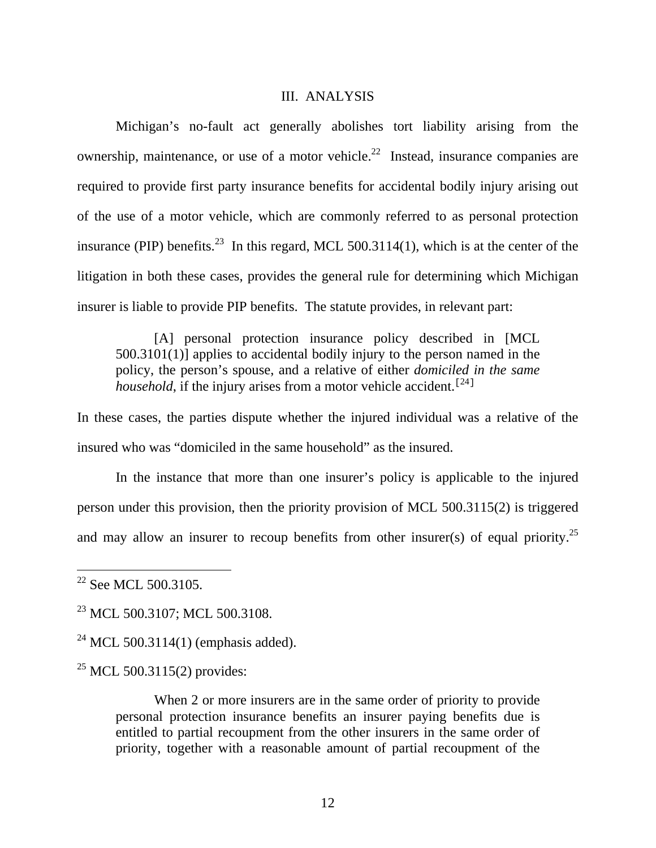#### III. ANALYSIS

Michigan's no-fault act generally abolishes tort liability arising from the ownership, maintenance, or use of a motor vehicle.<sup>22</sup> Instead, insurance companies are required to provide first party insurance benefits for accidental bodily injury arising out of the use of a motor vehicle, which are commonly referred to as personal protection insurance (PIP) benefits.<sup>23</sup> In this regard, MCL 500.3114(1), which is at the center of the litigation in both these cases, provides the general rule for determining which Michigan insurer is liable to provide PIP benefits. The statute provides, in relevant part:

[A] personal protection insurance policy described in [MCL 500.3101(1)] applies to accidental bodily injury to the person named in the policy, the person's spouse, and a relative of either *domiciled in the same household*, if the injury arises from a motor vehicle accident.<sup>[24]</sup>

In these cases, the parties dispute whether the injured individual was a relative of the insured who was "domiciled in the same household" as the insured.

In the instance that more than one insurer's policy is applicable to the injured person under this provision, then the priority provision of MCL 500.3115(2) is triggered and may allow an insurer to recoup benefits from other insurer(s) of equal priority.<sup>25</sup>

 $\overline{a}$ 

<sup>25</sup> MCL 500.3115(2) provides:

When 2 or more insurers are in the same order of priority to provide personal protection insurance benefits an insurer paying benefits due is entitled to partial recoupment from the other insurers in the same order of priority, together with a reasonable amount of partial recoupment of the

 $22$  See MCL 500.3105.

<sup>&</sup>lt;sup>23</sup> MCL 500.3107; MCL 500.3108.

<sup>&</sup>lt;sup>24</sup> MCL 500.3114(1) (emphasis added).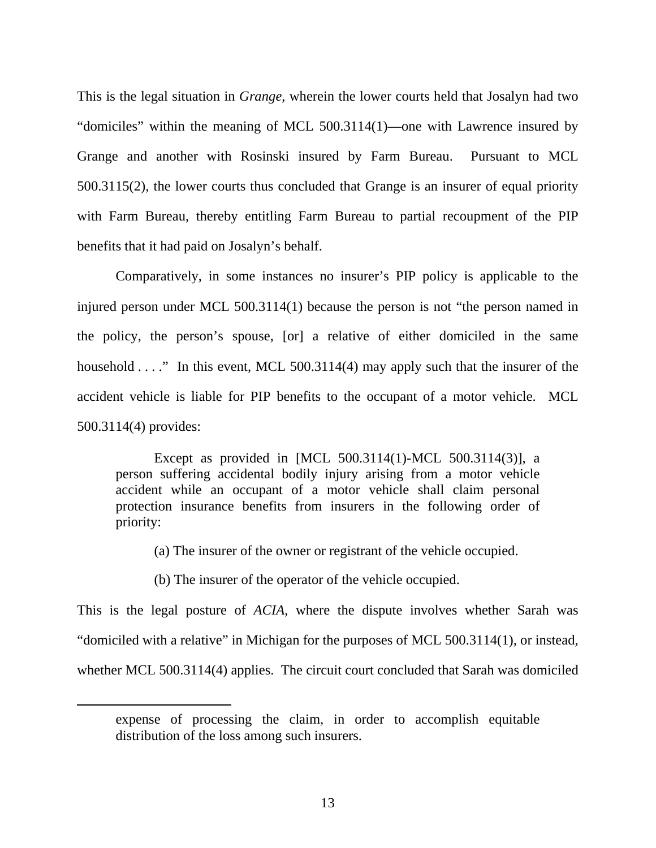This is the legal situation in *Grange*, wherein the lower courts held that Josalyn had two "domiciles" within the meaning of MCL 500.3114(1)—one with Lawrence insured by Grange and another with Rosinski insured by Farm Bureau. Pursuant to MCL 500.3115(2), the lower courts thus concluded that Grange is an insurer of equal priority with Farm Bureau, thereby entitling Farm Bureau to partial recoupment of the PIP benefits that it had paid on Josalyn's behalf.

Comparatively, in some instances no insurer's PIP policy is applicable to the injured person under MCL 500.3114(1) because the person is not "the person named in the policy, the person's spouse, [or] a relative of either domiciled in the same household . . . ." In this event, MCL 500.3114(4) may apply such that the insurer of the accident vehicle is liable for PIP benefits to the occupant of a motor vehicle. MCL 500.3114(4) provides:

Except as provided in [MCL 500.3114(1)-MCL 500.3114(3)], a person suffering accidental bodily injury arising from a motor vehicle accident while an occupant of a motor vehicle shall claim personal protection insurance benefits from insurers in the following order of priority:

(a) The insurer of the owner or registrant of the vehicle occupied.

(b) The insurer of the operator of the vehicle occupied.

 $\overline{a}$ 

This is the legal posture of *ACIA*, where the dispute involves whether Sarah was "domiciled with a relative" in Michigan for the purposes of MCL 500.3114(1), or instead, whether MCL 500.3114(4) applies. The circuit court concluded that Sarah was domiciled

expense of processing the claim, in order to accomplish equitable distribution of the loss among such insurers.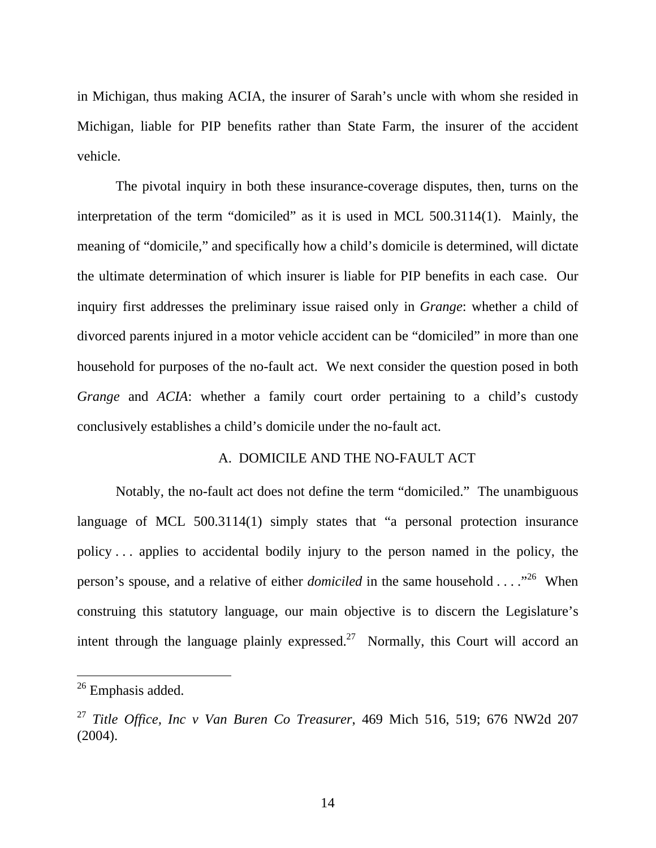in Michigan, thus making ACIA, the insurer of Sarah's uncle with whom she resided in Michigan, liable for PIP benefits rather than State Farm, the insurer of the accident vehicle.

The pivotal inquiry in both these insurance-coverage disputes, then, turns on the interpretation of the term "domiciled" as it is used in MCL 500.3114(1). Mainly, the meaning of "domicile," and specifically how a child's domicile is determined, will dictate the ultimate determination of which insurer is liable for PIP benefits in each case. Our inquiry first addresses the preliminary issue raised only in *Grange*: whether a child of divorced parents injured in a motor vehicle accident can be "domiciled" in more than one household for purposes of the no-fault act. We next consider the question posed in both *Grange* and *ACIA*: whether a family court order pertaining to a child's custody conclusively establishes a child's domicile under the no-fault act.

# A. DOMICILE AND THE NO-FAULT ACT

Notably, the no-fault act does not define the term "domiciled." The unambiguous language of MCL 500.3114(1) simply states that "a personal protection insurance policy . . . applies to accidental bodily injury to the person named in the policy, the person's spouse, and a relative of either *domiciled* in the same household . . . ."26 When construing this statutory language, our main objective is to discern the Legislature's intent through the language plainly expressed.<sup>27</sup> Normally, this Court will accord an

<sup>&</sup>lt;sup>26</sup> Emphasis added.

<sup>27</sup> *Title Office, Inc v Van Buren Co Treasurer*, 469 Mich 516, 519; 676 NW2d 207 (2004).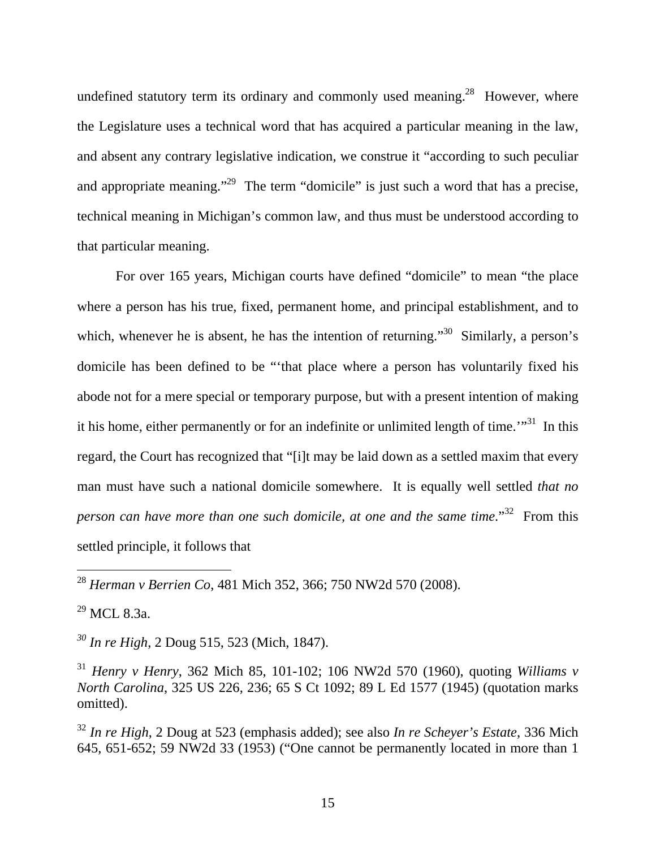undefined statutory term its ordinary and commonly used meaning.<sup>28</sup> However, where the Legislature uses a technical word that has acquired a particular meaning in the law, and absent any contrary legislative indication, we construe it "according to such peculiar and appropriate meaning."<sup>29</sup> The term "domicile" is just such a word that has a precise, technical meaning in Michigan's common law, and thus must be understood according to that particular meaning.

For over 165 years, Michigan courts have defined "domicile" to mean "the place where a person has his true, fixed, permanent home, and principal establishment, and to which, whenever he is absent, he has the intention of returning."<sup>30</sup> Similarly, a person's domicile has been defined to be "'that place where a person has voluntarily fixed his abode not for a mere special or temporary purpose, but with a present intention of making it his home, either permanently or for an indefinite or unlimited length of time. $\cdot$ <sup>31</sup>. In this regard, the Court has recognized that "[i]t may be laid down as a settled maxim that every man must have such a national domicile somewhere. It is equally well settled *that no person can have more than one such domicile, at one and the same time.*"<sup>32</sup> From this settled principle, it follows that

 $^{29}$  MCL 8.3a.

 $\overline{a}$ 

*30 In re High*, 2 Doug 515, 523 (Mich, 1847).

<sup>28</sup> *Herman v Berrien Co*, 481 Mich 352, 366; 750 NW2d 570 (2008).

<sup>31</sup> *Henry v Henry*, 362 Mich 85, 101-102; 106 NW2d 570 (1960), quoting *Williams v North Carolina*, 325 US 226, 236; 65 S Ct 1092; 89 L Ed 1577 (1945) (quotation marks omitted).

<sup>32</sup> *In re High*, 2 Doug at 523 (emphasis added); see also *In re Scheyer's Estate*, 336 Mich 645, 651-652; 59 NW2d 33 (1953) ("One cannot be permanently located in more than 1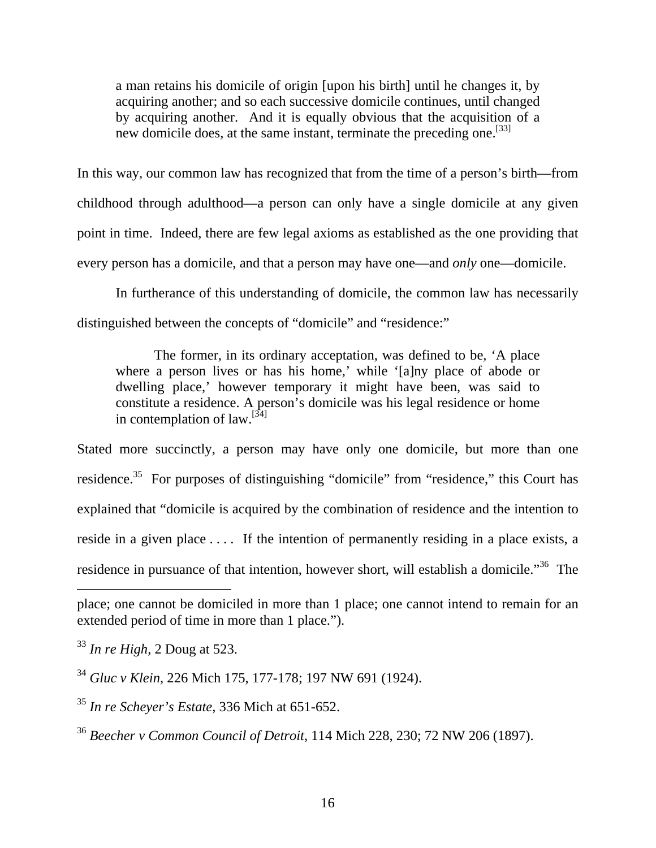a man retains his domicile of origin [upon his birth] until he changes it, by acquiring another; and so each successive domicile continues, until changed by acquiring another. And it is equally obvious that the acquisition of a new domicile does, at the same instant, terminate the preceding one.<sup>[33]</sup>

In this way, our common law has recognized that from the time of a person's birth—from childhood through adulthood—a person can only have a single domicile at any given point in time. Indeed, there are few legal axioms as established as the one providing that every person has a domicile, and that a person may have one—and *only* one—domicile.

In furtherance of this understanding of domicile, the common law has necessarily distinguished between the concepts of "domicile" and "residence:"

The former, in its ordinary acceptation, was defined to be, 'A place where a person lives or has his home,' while '[a]ny place of abode or dwelling place,' however temporary it might have been, was said to constitute a residence. A person's domicile was his legal residence or home in contemplation of  $law$ <sup>[34]</sup>

Stated more succinctly, a person may have only one domicile, but more than one residence.<sup>35</sup> For purposes of distinguishing "domicile" from "residence," this Court has explained that "domicile is acquired by the combination of residence and the intention to reside in a given place .... If the intention of permanently residing in a place exists, a residence in pursuance of that intention, however short, will establish a domicile."<sup>36</sup> The

place; one cannot be domiciled in more than 1 place; one cannot intend to remain for an extended period of time in more than 1 place.").

<sup>33</sup> *In re High*, 2 Doug at 523.

<sup>34</sup> *Gluc v Klein*, 226 Mich 175, 177-178; 197 NW 691 (1924).

<sup>35</sup> *In re Scheyer's Estate*, 336 Mich at 651-652.

<sup>36</sup> *Beecher v Common Council of Detroit*, 114 Mich 228, 230; 72 NW 206 (1897).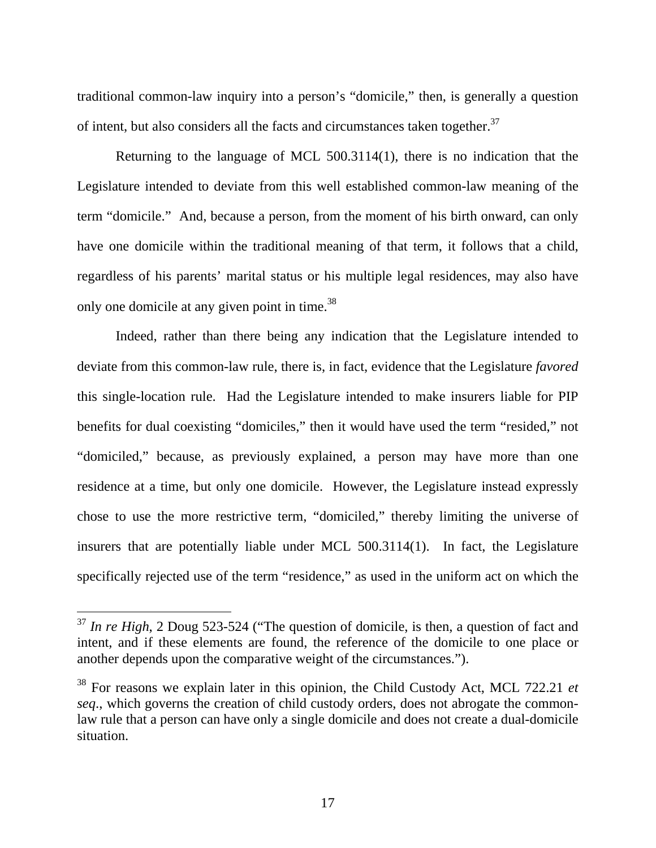traditional common-law inquiry into a person's "domicile," then, is generally a question of intent, but also considers all the facts and circumstances taken together.<sup>37</sup>

Returning to the language of MCL 500.3114(1), there is no indication that the Legislature intended to deviate from this well established common-law meaning of the term "domicile." And, because a person, from the moment of his birth onward, can only have one domicile within the traditional meaning of that term, it follows that a child, regardless of his parents' marital status or his multiple legal residences, may also have only one domicile at any given point in time.<sup>38</sup>

Indeed, rather than there being any indication that the Legislature intended to deviate from this common-law rule, there is, in fact, evidence that the Legislature *favored*  this single-location rule. Had the Legislature intended to make insurers liable for PIP benefits for dual coexisting "domiciles," then it would have used the term "resided," not "domiciled," because, as previously explained, a person may have more than one residence at a time, but only one domicile. However, the Legislature instead expressly chose to use the more restrictive term, "domiciled," thereby limiting the universe of insurers that are potentially liable under MCL 500.3114(1). In fact, the Legislature specifically rejected use of the term "residence," as used in the uniform act on which the

<sup>&</sup>lt;sup>37</sup> In re High, 2 Doug 523-524 ("The question of domicile, is then, a question of fact and intent, and if these elements are found, the reference of the domicile to one place or another depends upon the comparative weight of the circumstances.").

<sup>38</sup> For reasons we explain later in this opinion, the Child Custody Act, MCL 722.21 *et seq*., which governs the creation of child custody orders, does not abrogate the commonlaw rule that a person can have only a single domicile and does not create a dual-domicile situation.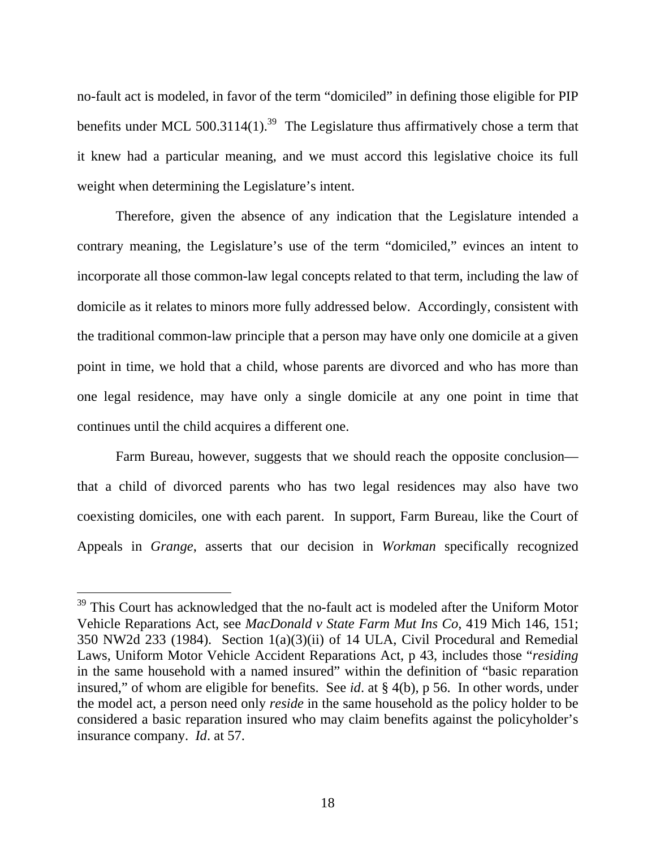no-fault act is modeled, in favor of the term "domiciled" in defining those eligible for PIP benefits under MCL 500.3114(1).<sup>39</sup> The Legislature thus affirmatively chose a term that it knew had a particular meaning, and we must accord this legislative choice its full weight when determining the Legislature's intent.

Therefore, given the absence of any indication that the Legislature intended a contrary meaning, the Legislature's use of the term "domiciled," evinces an intent to incorporate all those common-law legal concepts related to that term, including the law of domicile as it relates to minors more fully addressed below. Accordingly, consistent with the traditional common-law principle that a person may have only one domicile at a given point in time, we hold that a child, whose parents are divorced and who has more than one legal residence, may have only a single domicile at any one point in time that continues until the child acquires a different one.

Farm Bureau, however, suggests that we should reach the opposite conclusion that a child of divorced parents who has two legal residences may also have two coexisting domiciles, one with each parent. In support, Farm Bureau, like the Court of Appeals in *Grange*, asserts that our decision in *Workman* specifically recognized

 $39$  This Court has acknowledged that the no-fault act is modeled after the Uniform Motor Vehicle Reparations Act, see *MacDonald v State Farm Mut Ins Co*, 419 Mich 146, 151; 350 NW2d 233 (1984). Section 1(a)(3)(ii) of 14 ULA, Civil Procedural and Remedial Laws, Uniform Motor Vehicle Accident Reparations Act, p 43, includes those "*residing* in the same household with a named insured" within the definition of "basic reparation insured," of whom are eligible for benefits. See *id*. at § 4(b), p 56. In other words, under the model act, a person need only *reside* in the same household as the policy holder to be considered a basic reparation insured who may claim benefits against the policyholder's insurance company. *Id*. at 57.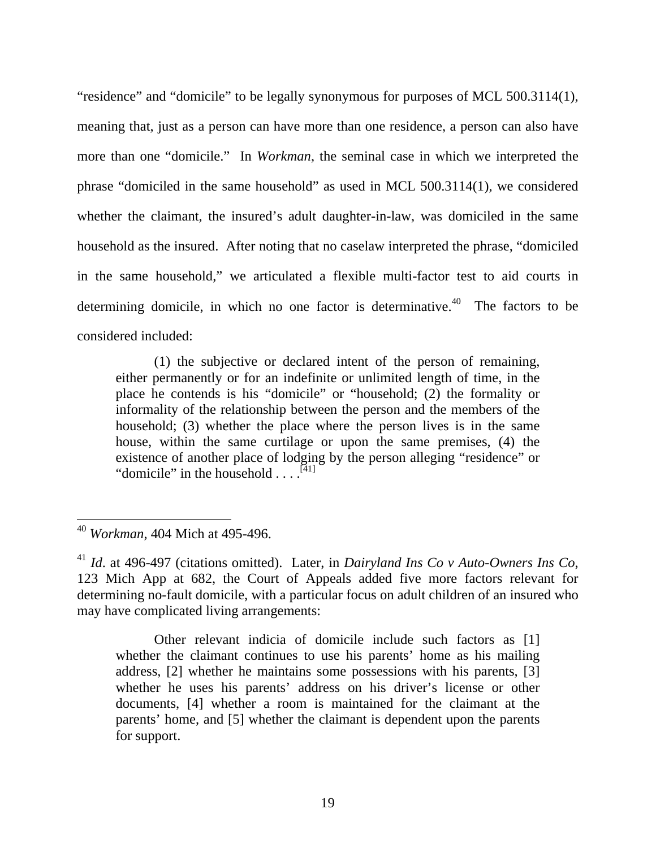"residence" and "domicile" to be legally synonymous for purposes of MCL 500.3114(1), meaning that, just as a person can have more than one residence, a person can also have more than one "domicile." In *Workman*, the seminal case in which we interpreted the phrase "domiciled in the same household" as used in MCL 500.3114(1), we considered whether the claimant, the insured's adult daughter-in-law, was domiciled in the same household as the insured. After noting that no caselaw interpreted the phrase, "domiciled in the same household," we articulated a flexible multi-factor test to aid courts in determining domicile, in which no one factor is determinative.<sup>40</sup> The factors to be considered included:

(1) the subjective or declared intent of the person of remaining, either permanently or for an indefinite or unlimited length of time, in the place he contends is his "domicile" or "household; (2) the formality or informality of the relationship between the person and the members of the household; (3) whether the place where the person lives is in the same house, within the same curtilage or upon the same premises, (4) the existence of another place of lodging by the person alleging "residence" or "domicile" in the household  $\dots$ <sup>[41]</sup>

 $\overline{a}$ 

Other relevant indicia of domicile include such factors as [1] whether the claimant continues to use his parents' home as his mailing address, [2] whether he maintains some possessions with his parents, [3] whether he uses his parents' address on his driver's license or other documents, [4] whether a room is maintained for the claimant at the parents' home, and [5] whether the claimant is dependent upon the parents for support.

<sup>40</sup> *Workman*, 404 Mich at 495-496.

<sup>41</sup> *Id*. at 496-497 (citations omitted). Later, in *Dairyland Ins Co v Auto-Owners Ins Co*, 123 Mich App at 682, the Court of Appeals added five more factors relevant for determining no-fault domicile, with a particular focus on adult children of an insured who may have complicated living arrangements: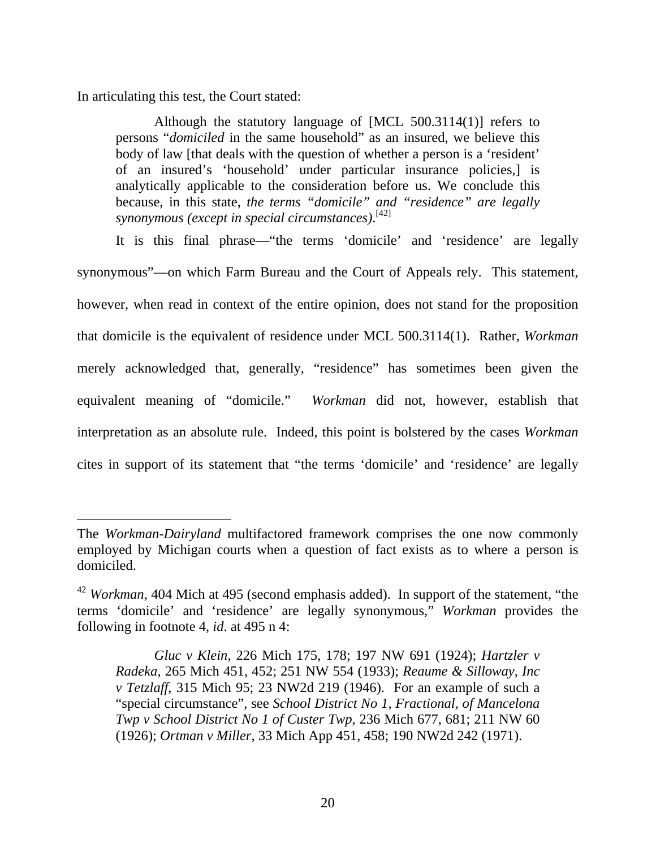In articulating this test, the Court stated:

 $\overline{a}$ 

Although the statutory language of [MCL 500.3114(1)] refers to persons "*domiciled* in the same household" as an insured, we believe this body of law [that deals with the question of whether a person is a 'resident' of an insured's 'household' under particular insurance policies,] is analytically applicable to the consideration before us. We conclude this because, in this state, *the terms "domicile" and "residence" are legally synonymous (except in special circumstances)*. [42]

It is this final phrase—"the terms 'domicile' and 'residence' are legally synonymous"—on which Farm Bureau and the Court of Appeals rely. This statement, however, when read in context of the entire opinion, does not stand for the proposition that domicile is the equivalent of residence under MCL 500.3114(1). Rather, *Workman* merely acknowledged that, generally, "residence" has sometimes been given the equivalent meaning of "domicile." *Workman* did not, however, establish that interpretation as an absolute rule. Indeed, this point is bolstered by the cases *Workman* cites in support of its statement that "the terms 'domicile' and 'residence' are legally

The *Workman-Dairyland* multifactored framework comprises the one now commonly employed by Michigan courts when a question of fact exists as to where a person is domiciled.

<sup>42</sup> *Workman*, 404 Mich at 495 (second emphasis added). In support of the statement, "the terms 'domicile' and 'residence' are legally synonymous," *Workman* provides the following in footnote 4, *id*. at 495 n 4:

*Gluc v Klein*, 226 Mich 175, 178; 197 NW 691 (1924); *Hartzler v Radeka*, 265 Mich 451, 452; 251 NW 554 (1933); *Reaume & Silloway, Inc v Tetzlaff*, 315 Mich 95; 23 NW2d 219 (1946). For an example of such a "special circumstance", see *School District No 1, Fractional, of Mancelona Twp v School District No 1 of Custer Twp*, 236 Mich 677, 681; 211 NW 60 (1926); *Ortman v Miller*, 33 Mich App 451, 458; 190 NW2d 242 (1971).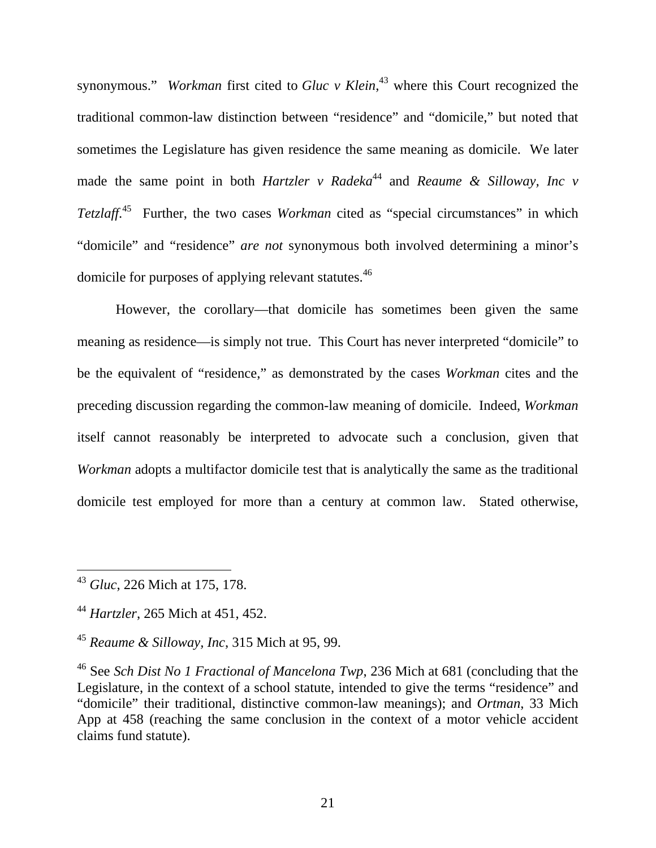synonymous." *Workman* first cited to *Gluc v Klein*, <sup>43</sup> where this Court recognized the traditional common-law distinction between "residence" and "domicile," but noted that sometimes the Legislature has given residence the same meaning as domicile. We later made the same point in both *Hartzler* v Radeka<sup>44</sup> and *Reaume & Silloway*, *Inc* v *Tetzlaff*. 45 Further, the two cases *Workman* cited as "special circumstances" in which "domicile" and "residence" *are not* synonymous both involved determining a minor's domicile for purposes of applying relevant statutes.46

However, the corollary—that domicile has sometimes been given the same meaning as residence—is simply not true. This Court has never interpreted "domicile" to be the equivalent of "residence," as demonstrated by the cases *Workman* cites and the preceding discussion regarding the common-law meaning of domicile. Indeed, *Workman* itself cannot reasonably be interpreted to advocate such a conclusion, given that *Workman* adopts a multifactor domicile test that is analytically the same as the traditional domicile test employed for more than a century at common law. Stated otherwise,

<sup>43</sup> *Gluc*, 226 Mich at 175, 178.

<sup>44</sup> *Hartzler*, 265 Mich at 451, 452.

<sup>45</sup> *Reaume & Silloway, Inc*, 315 Mich at 95, 99.

<sup>46</sup> See *Sch Dist No 1 Fractional of Mancelona Twp*, 236 Mich at 681 (concluding that the Legislature, in the context of a school statute, intended to give the terms "residence" and "domicile" their traditional, distinctive common-law meanings); and *Ortman*, 33 Mich App at 458 (reaching the same conclusion in the context of a motor vehicle accident claims fund statute).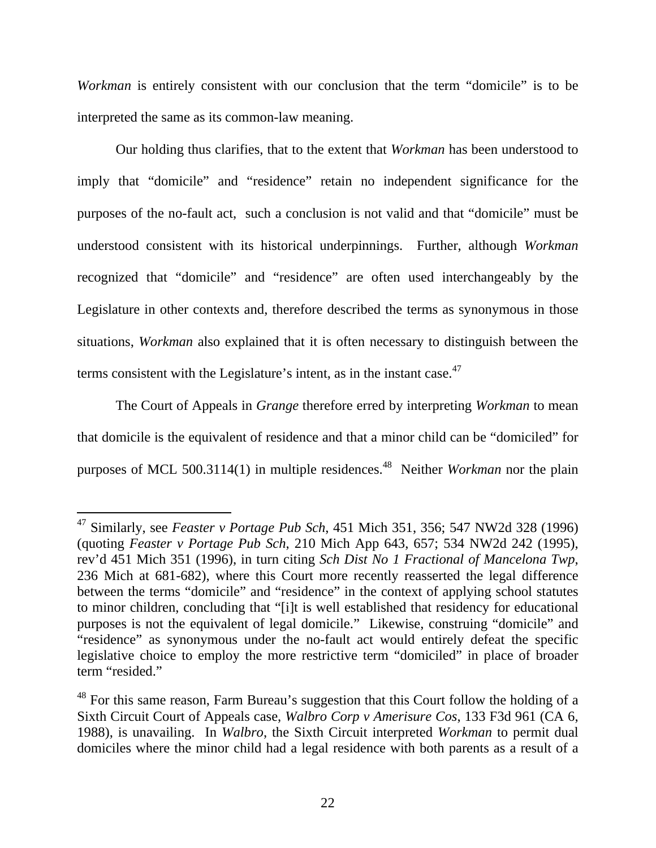*Workman* is entirely consistent with our conclusion that the term "domicile" is to be interpreted the same as its common-law meaning.

Our holding thus clarifies, that to the extent that *Workman* has been understood to imply that "domicile" and "residence" retain no independent significance for the purposes of the no-fault act, such a conclusion is not valid and that "domicile" must be understood consistent with its historical underpinnings. Further, although *Workman*  recognized that "domicile" and "residence" are often used interchangeably by the Legislature in other contexts and, therefore described the terms as synonymous in those situations, *Workman* also explained that it is often necessary to distinguish between the terms consistent with the Legislature's intent, as in the instant case.<sup>47</sup>

The Court of Appeals in *Grange* therefore erred by interpreting *Workman* to mean that domicile is the equivalent of residence and that a minor child can be "domiciled" for purposes of MCL 500.3114(1) in multiple residences.<sup>48</sup> Neither *Workman* nor the plain

<sup>47</sup> Similarly, see *Feaster v Portage Pub Sch*, 451 Mich 351, 356; 547 NW2d 328 (1996) (quoting *Feaster v Portage Pub Sch*, 210 Mich App 643, 657; 534 NW2d 242 (1995), rev'd 451 Mich 351 (1996), in turn citing *Sch Dist No 1 Fractional of Mancelona Twp*, 236 Mich at 681-682), where this Court more recently reasserted the legal difference between the terms "domicile" and "residence" in the context of applying school statutes to minor children, concluding that "[i]t is well established that residency for educational purposes is not the equivalent of legal domicile." Likewise, construing "domicile" and "residence" as synonymous under the no-fault act would entirely defeat the specific legislative choice to employ the more restrictive term "domiciled" in place of broader term "resided."

<sup>&</sup>lt;sup>48</sup> For this same reason, Farm Bureau's suggestion that this Court follow the holding of a Sixth Circuit Court of Appeals case, *Walbro Corp v Amerisure Cos*, 133 F3d 961 (CA 6, 1988), is unavailing. In *Walbro*, the Sixth Circuit interpreted *Workman* to permit dual domiciles where the minor child had a legal residence with both parents as a result of a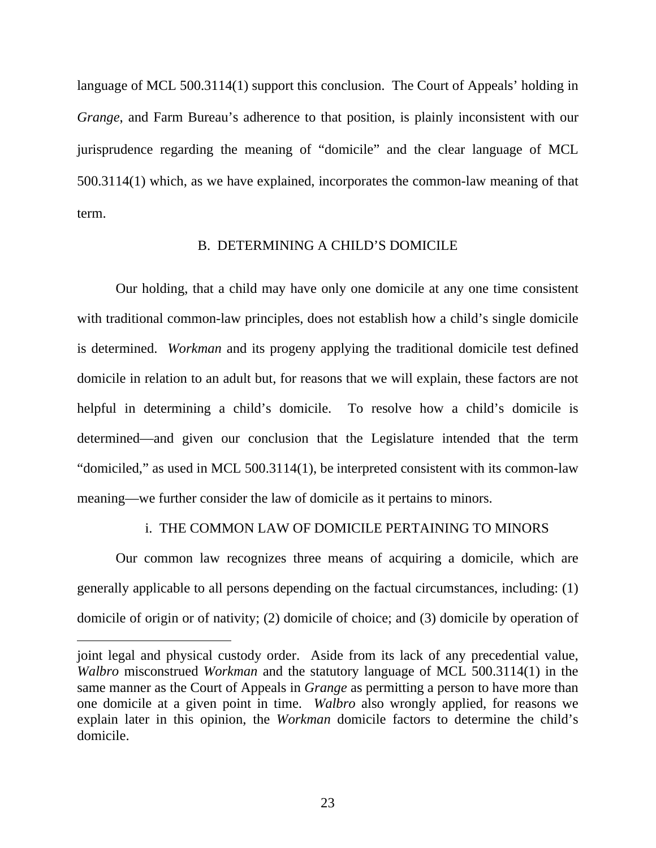language of MCL 500.3114(1) support this conclusion. The Court of Appeals' holding in *Grange*, and Farm Bureau's adherence to that position, is plainly inconsistent with our jurisprudence regarding the meaning of "domicile" and the clear language of MCL 500.3114(1) which, as we have explained, incorporates the common-law meaning of that term.

#### B. DETERMINING A CHILD'S DOMICILE

Our holding, that a child may have only one domicile at any one time consistent with traditional common-law principles, does not establish how a child's single domicile is determined. *Workman* and its progeny applying the traditional domicile test defined domicile in relation to an adult but, for reasons that we will explain, these factors are not helpful in determining a child's domicile. To resolve how a child's domicile is determined—and given our conclusion that the Legislature intended that the term "domiciled," as used in MCL 500.3114(1), be interpreted consistent with its common-law meaning—we further consider the law of domicile as it pertains to minors.

#### i. THE COMMON LAW OF DOMICILE PERTAINING TO MINORS

Our common law recognizes three means of acquiring a domicile, which are generally applicable to all persons depending on the factual circumstances, including: (1) domicile of origin or of nativity; (2) domicile of choice; and (3) domicile by operation of

joint legal and physical custody order. Aside from its lack of any precedential value, *Walbro* misconstrued *Workman* and the statutory language of MCL 500.3114(1) in the same manner as the Court of Appeals in *Grange* as permitting a person to have more than one domicile at a given point in time. *Walbro* also wrongly applied, for reasons we explain later in this opinion, the *Workman* domicile factors to determine the child's domicile.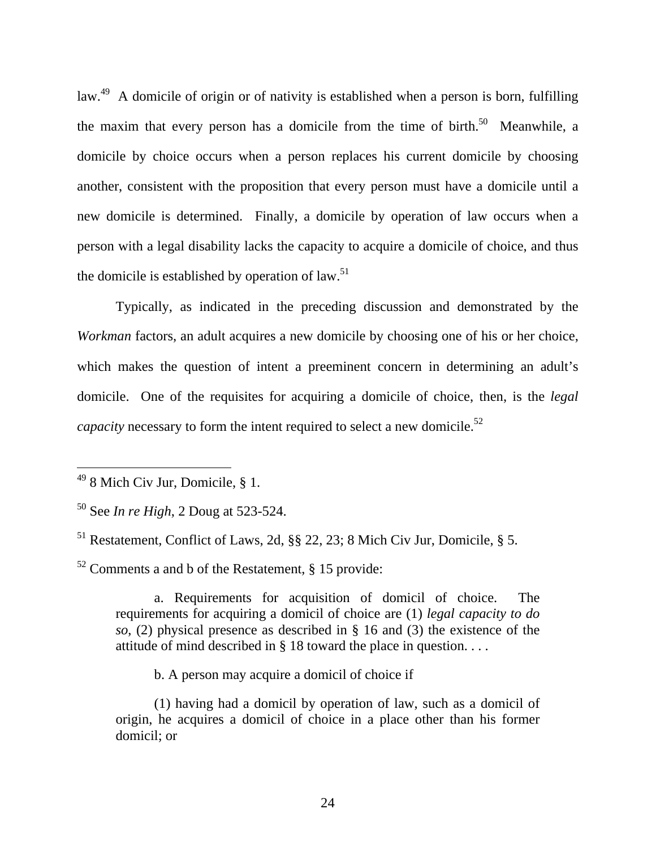law.<sup>49</sup> A domicile of origin or of nativity is established when a person is born, fulfilling the maxim that every person has a domicile from the time of birth.<sup>50</sup> Meanwhile, a domicile by choice occurs when a person replaces his current domicile by choosing another, consistent with the proposition that every person must have a domicile until a new domicile is determined. Finally, a domicile by operation of law occurs when a person with a legal disability lacks the capacity to acquire a domicile of choice, and thus the domicile is established by operation of law. $51$ 

Typically, as indicated in the preceding discussion and demonstrated by the *Workman* factors, an adult acquires a new domicile by choosing one of his or her choice, which makes the question of intent a preeminent concern in determining an adult's domicile. One of the requisites for acquiring a domicile of choice, then, is the *legal capacity* necessary to form the intent required to select a new domicile.<sup>52</sup>

 $\overline{a}$ 

 $52$  Comments a and b of the Restatement, § 15 provide:

a. Requirements for acquisition of domicil of choice. The requirements for acquiring a domicil of choice are (1) *legal capacity to do so*, (2) physical presence as described in § 16 and (3) the existence of the attitude of mind described in § 18 toward the place in question. . . .

b. A person may acquire a domicil of choice if

(1) having had a domicil by operation of law, such as a domicil of origin, he acquires a domicil of choice in a place other than his former domicil; or

 $498$  Mich Civ Jur, Domicile, § 1.

<sup>50</sup> See *In re High*, 2 Doug at 523-524.

<sup>51</sup> Restatement, Conflict of Laws, 2d, §§ 22, 23; 8 Mich Civ Jur, Domicile, § 5.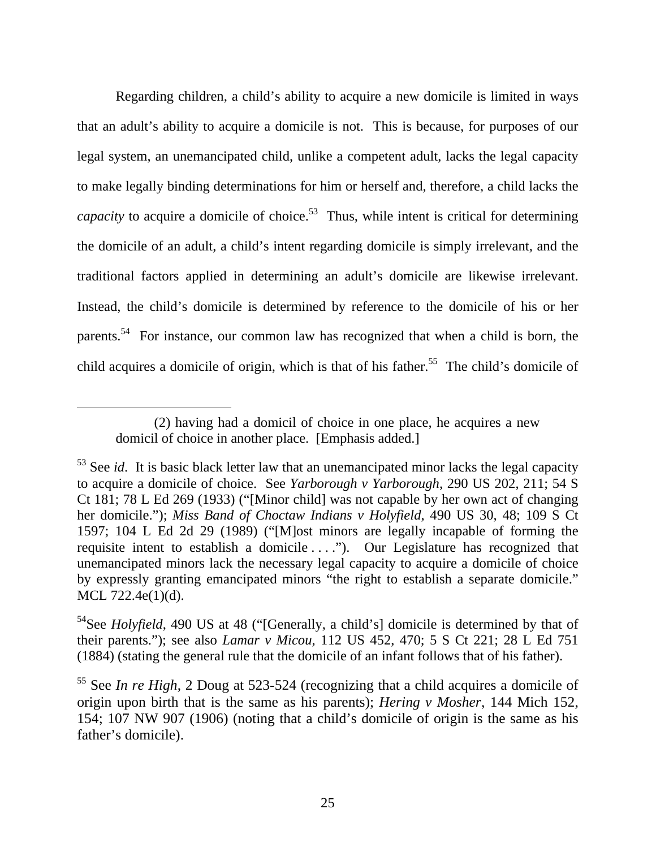Regarding children, a child's ability to acquire a new domicile is limited in ways that an adult's ability to acquire a domicile is not. This is because, for purposes of our legal system, an unemancipated child, unlike a competent adult, lacks the legal capacity to make legally binding determinations for him or herself and, therefore, a child lacks the *capacity* to acquire a domicile of choice.<sup>53</sup> Thus, while intent is critical for determining the domicile of an adult, a child's intent regarding domicile is simply irrelevant, and the traditional factors applied in determining an adult's domicile are likewise irrelevant. Instead, the child's domicile is determined by reference to the domicile of his or her parents.54 For instance, our common law has recognized that when a child is born, the child acquires a domicile of origin, which is that of his father.<sup>55</sup> The child's domicile of

<sup>(2)</sup> having had a domicil of choice in one place, he acquires a new domicil of choice in another place. [Emphasis added.]

<sup>&</sup>lt;sup>53</sup> See *id*. It is basic black letter law that an unemancipated minor lacks the legal capacity to acquire a domicile of choice. See *Yarborough v Yarborough*, 290 US 202, 211; 54 S Ct 181; 78 L Ed 269 (1933) ("[Minor child] was not capable by her own act of changing her domicile."); *Miss Band of Choctaw Indians v Holyfield*, 490 US 30, 48; 109 S Ct 1597; 104 L Ed 2d 29 (1989) ("[M]ost minors are legally incapable of forming the requisite intent to establish a domicile ...."). Our Legislature has recognized that unemancipated minors lack the necessary legal capacity to acquire a domicile of choice by expressly granting emancipated minors "the right to establish a separate domicile." MCL 722.4e(1)(d).

<sup>&</sup>lt;sup>54</sup>See *Holyfield*, 490 US at 48 ("[Generally, a child's] domicile is determined by that of their parents."); see also *Lamar v Micou*, 112 US 452, 470; 5 S Ct 221; 28 L Ed 751 (1884) (stating the general rule that the domicile of an infant follows that of his father).

<sup>55</sup> See *In re High*, 2 Doug at 523-524 (recognizing that a child acquires a domicile of origin upon birth that is the same as his parents); *Hering v Mosher*, 144 Mich 152, 154; 107 NW 907 (1906) (noting that a child's domicile of origin is the same as his father's domicile).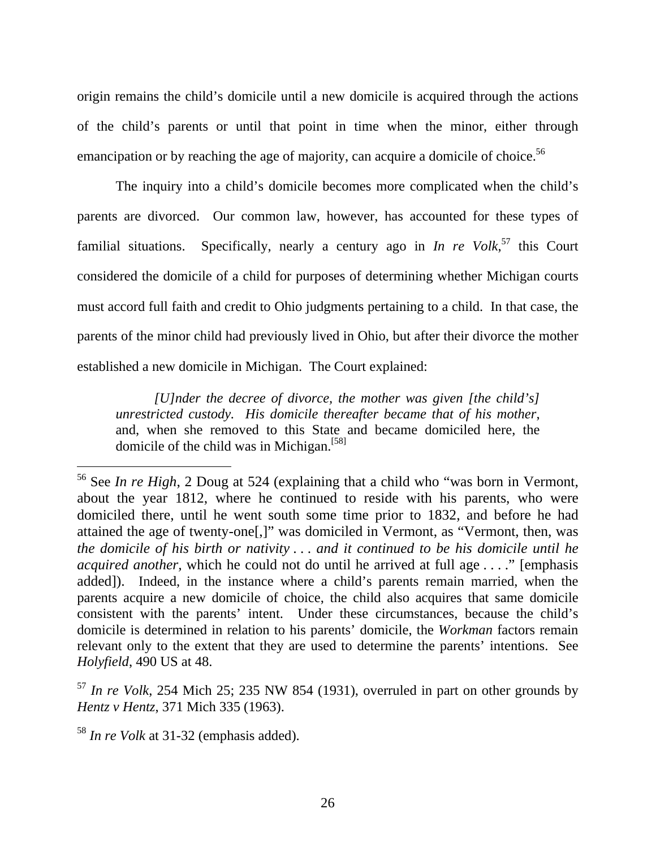origin remains the child's domicile until a new domicile is acquired through the actions of the child's parents or until that point in time when the minor, either through emancipation or by reaching the age of majority, can acquire a domicile of choice.<sup>56</sup>

The inquiry into a child's domicile becomes more complicated when the child's parents are divorced. Our common law, however, has accounted for these types of familial situations. Specifically, nearly a century ago in *In re Volk*, 57 this Court considered the domicile of a child for purposes of determining whether Michigan courts must accord full faith and credit to Ohio judgments pertaining to a child. In that case, the parents of the minor child had previously lived in Ohio, but after their divorce the mother established a new domicile in Michigan. The Court explained:

*[U]nder the decree of divorce, the mother was given [the child's] unrestricted custody. His domicile thereafter became that of his mother*, and, when she removed to this State and became domiciled here, the domicile of the child was in Michigan.<sup>[58]</sup>

<sup>56</sup> See *In re High*, 2 Doug at 524 (explaining that a child who "was born in Vermont, about the year 1812, where he continued to reside with his parents, who were domiciled there, until he went south some time prior to 1832, and before he had attained the age of twenty-one[,]" was domiciled in Vermont, as "Vermont, then, was *the domicile of his birth or nativity* . . . *and it continued to be his domicile until he acquired another*, which he could not do until he arrived at full age . . . ." [emphasis added]). Indeed, in the instance where a child's parents remain married, when the parents acquire a new domicile of choice, the child also acquires that same domicile consistent with the parents' intent. Under these circumstances, because the child's domicile is determined in relation to his parents' domicile, the *Workman* factors remain relevant only to the extent that they are used to determine the parents' intentions. See *Holyfield*, 490 US at 48.

<sup>57</sup> *In re Volk*, 254 Mich 25; 235 NW 854 (1931), overruled in part on other grounds by *Hentz v Hentz*, 371 Mich 335 (1963).

<sup>58</sup> *In re Volk* at 31-32 (emphasis added).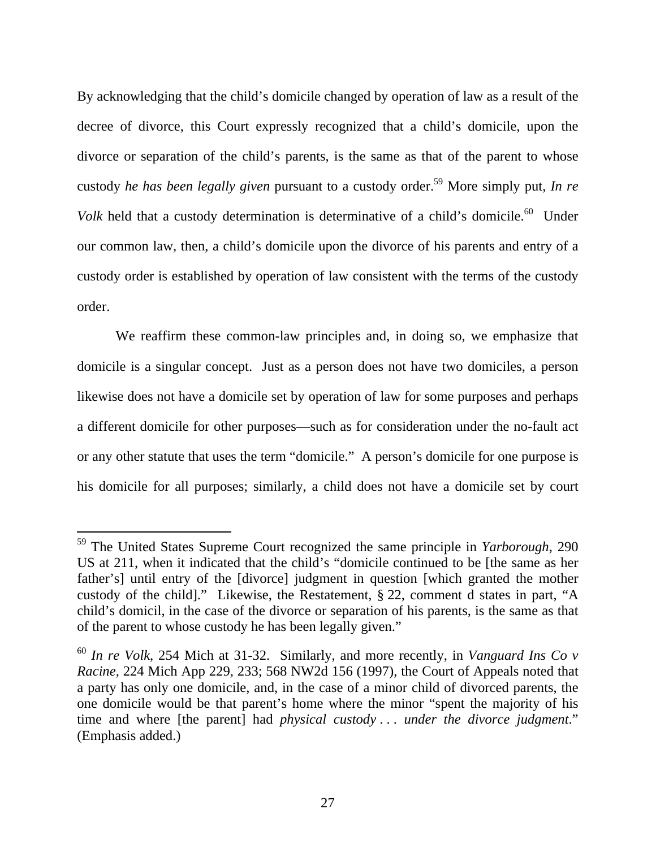By acknowledging that the child's domicile changed by operation of law as a result of the decree of divorce, this Court expressly recognized that a child's domicile, upon the divorce or separation of the child's parents, is the same as that of the parent to whose custody *he has been legally given* pursuant to a custody order.59 More simply put, *In re Volk* held that a custody determination is determinative of a child's domicile.<sup>60</sup> Under our common law, then, a child's domicile upon the divorce of his parents and entry of a custody order is established by operation of law consistent with the terms of the custody order.

We reaffirm these common-law principles and, in doing so, we emphasize that domicile is a singular concept. Just as a person does not have two domiciles, a person likewise does not have a domicile set by operation of law for some purposes and perhaps a different domicile for other purposes—such as for consideration under the no-fault act or any other statute that uses the term "domicile." A person's domicile for one purpose is his domicile for all purposes; similarly, a child does not have a domicile set by court

<sup>59</sup> The United States Supreme Court recognized the same principle in *Yarborough*, 290 US at 211, when it indicated that the child's "domicile continued to be [the same as her father's] until entry of the [divorce] judgment in question [which granted the mother custody of the child]." Likewise, the Restatement, § 22, comment d states in part, "A child's domicil, in the case of the divorce or separation of his parents, is the same as that of the parent to whose custody he has been legally given."

<sup>60</sup> *In re Volk*, 254 Mich at 31-32. Similarly, and more recently, in *Vanguard Ins Co v Racine*, 224 Mich App 229, 233; 568 NW2d 156 (1997), the Court of Appeals noted that a party has only one domicile, and, in the case of a minor child of divorced parents, the one domicile would be that parent's home where the minor "spent the majority of his time and where [the parent] had *physical custody* . . . *under the divorce judgment*." (Emphasis added.)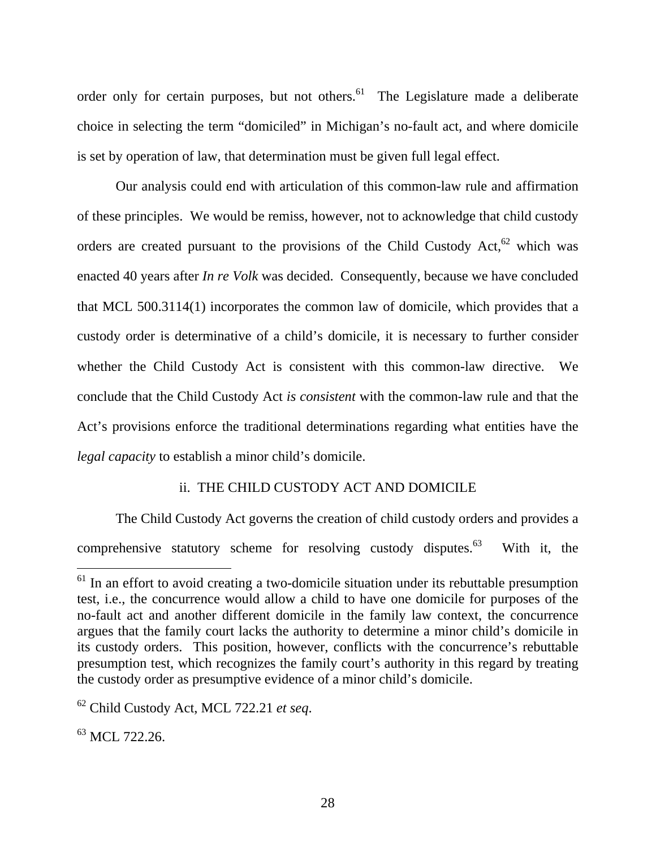order only for certain purposes, but not others.<sup>61</sup> The Legislature made a deliberate choice in selecting the term "domiciled" in Michigan's no-fault act, and where domicile is set by operation of law, that determination must be given full legal effect.

 Our analysis could end with articulation of this common-law rule and affirmation of these principles. We would be remiss, however, not to acknowledge that child custody orders are created pursuant to the provisions of the Child Custody Act,  $62$  which was enacted 40 years after *In re Volk* was decided. Consequently, because we have concluded that MCL 500.3114(1) incorporates the common law of domicile, which provides that a custody order is determinative of a child's domicile, it is necessary to further consider whether the Child Custody Act is consistent with this common-law directive. We conclude that the Child Custody Act *is consistent* with the common-law rule and that the Act's provisions enforce the traditional determinations regarding what entities have the *legal capacity* to establish a minor child's domicile.

#### ii. THE CHILD CUSTODY ACT AND DOMICILE

 The Child Custody Act governs the creation of child custody orders and provides a comprehensive statutory scheme for resolving custody disputes. $63$  With it, the

<sup>&</sup>lt;sup>61</sup> In an effort to avoid creating a two-domicile situation under its rebuttable presumption test, i.e., the concurrence would allow a child to have one domicile for purposes of the no-fault act and another different domicile in the family law context, the concurrence argues that the family court lacks the authority to determine a minor child's domicile in its custody orders. This position, however, conflicts with the concurrence's rebuttable presumption test, which recognizes the family court's authority in this regard by treating the custody order as presumptive evidence of a minor child's domicile.

<sup>62</sup> Child Custody Act, MCL 722.21 *et seq*.

 $^{63}$  MCI, 722,26.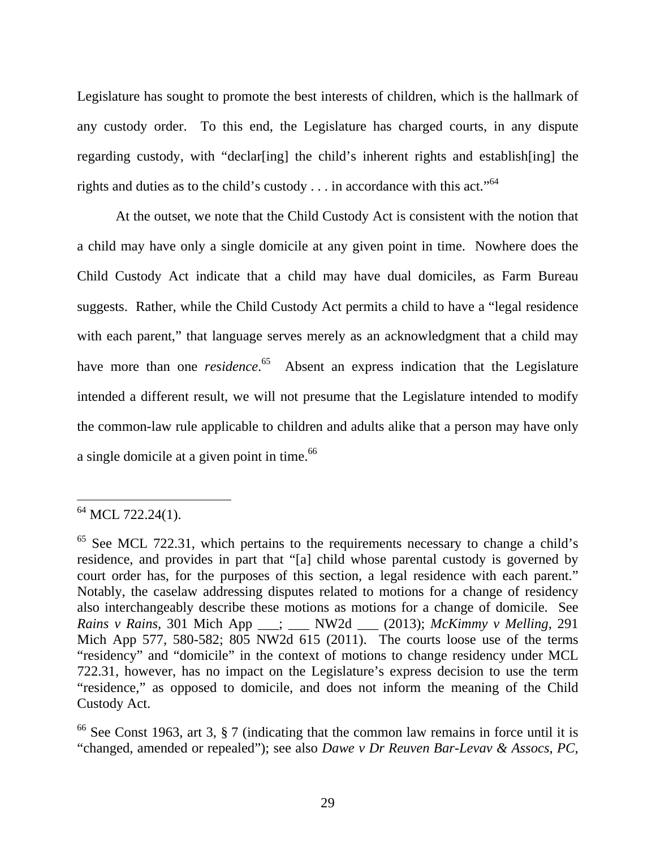Legislature has sought to promote the best interests of children, which is the hallmark of any custody order. To this end, the Legislature has charged courts, in any dispute regarding custody, with "declar[ing] the child's inherent rights and establish[ing] the rights and duties as to the child's custody . . . in accordance with this act."64

 At the outset, we note that the Child Custody Act is consistent with the notion that a child may have only a single domicile at any given point in time. Nowhere does the Child Custody Act indicate that a child may have dual domiciles, as Farm Bureau suggests. Rather, while the Child Custody Act permits a child to have a "legal residence with each parent," that language serves merely as an acknowledgment that a child may have more than one *residence*.<sup>65</sup> Absent an express indication that the Legislature intended a different result, we will not presume that the Legislature intended to modify the common-law rule applicable to children and adults alike that a person may have only a single domicile at a given point in time.<sup>66</sup>

 $64$  MCL 722.24(1).

 $65$  See MCL 722.31, which pertains to the requirements necessary to change a child's residence, and provides in part that "[a] child whose parental custody is governed by court order has, for the purposes of this section, a legal residence with each parent." Notably, the caselaw addressing disputes related to motions for a change of residency also interchangeably describe these motions as motions for a change of domicile. See *Rains v Rains*, 301 Mich App \_\_\_; \_\_\_ NW2d \_\_\_ (2013); *McKimmy v Melling*, 291 Mich App 577, 580-582; 805 NW2d 615 (2011). The courts loose use of the terms "residency" and "domicile" in the context of motions to change residency under MCL 722.31, however, has no impact on the Legislature's express decision to use the term "residence," as opposed to domicile, and does not inform the meaning of the Child Custody Act.

 $66$  See Const 1963, art 3, § 7 (indicating that the common law remains in force until it is "changed, amended or repealed"); see also *Dawe v Dr Reuven Bar-Levav & Assocs, PC*,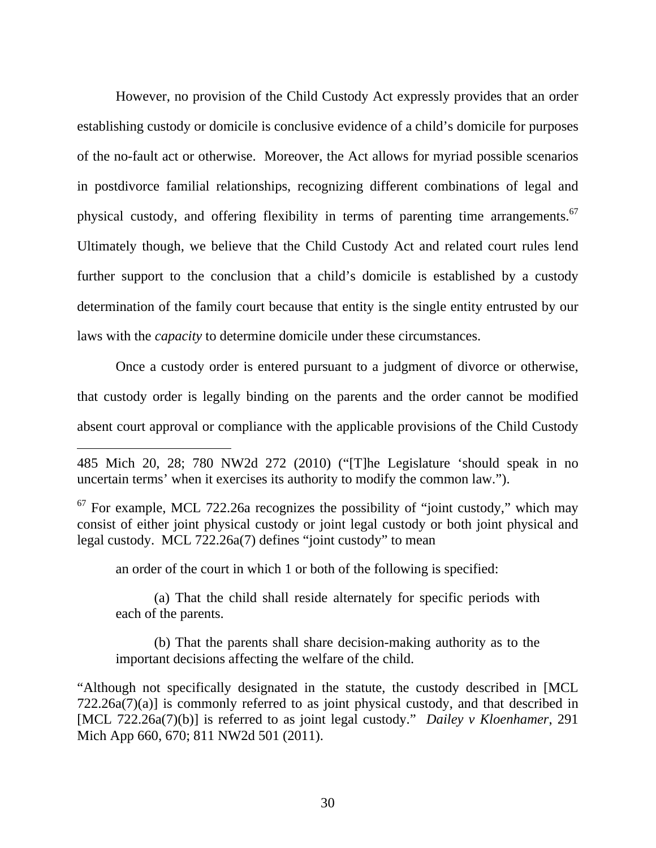However, no provision of the Child Custody Act expressly provides that an order establishing custody or domicile is conclusive evidence of a child's domicile for purposes of the no-fault act or otherwise. Moreover, the Act allows for myriad possible scenarios in postdivorce familial relationships, recognizing different combinations of legal and physical custody, and offering flexibility in terms of parenting time arrangements.<sup>67</sup> Ultimately though, we believe that the Child Custody Act and related court rules lend further support to the conclusion that a child's domicile is established by a custody determination of the family court because that entity is the single entity entrusted by our laws with the *capacity* to determine domicile under these circumstances.

 Once a custody order is entered pursuant to a judgment of divorce or otherwise, that custody order is legally binding on the parents and the order cannot be modified absent court approval or compliance with the applicable provisions of the Child Custody

an order of the court in which 1 or both of the following is specified:

 $\overline{a}$ 

(a) That the child shall reside alternately for specific periods with each of the parents.

(b) That the parents shall share decision-making authority as to the important decisions affecting the welfare of the child.

"Although not specifically designated in the statute, the custody described in [MCL 722.26a(7)(a)] is commonly referred to as joint physical custody, and that described in [MCL 722.26a(7)(b)] is referred to as joint legal custody." *Dailey v Kloenhamer*, 291 Mich App 660, 670; 811 NW2d 501 (2011).

<sup>485</sup> Mich 20, 28; 780 NW2d 272 (2010) ("[T]he Legislature 'should speak in no uncertain terms' when it exercises its authority to modify the common law.").

 $67$  For example, MCL 722.26a recognizes the possibility of "joint custody," which may consist of either joint physical custody or joint legal custody or both joint physical and legal custody. MCL  $722.26a(7)$  defines "joint custody" to mean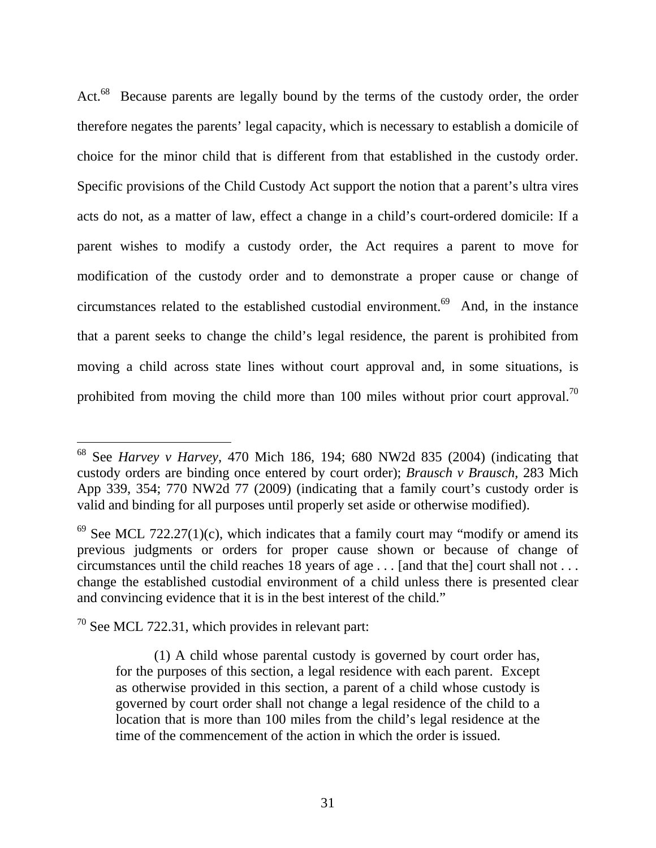Act.<sup>68</sup> Because parents are legally bound by the terms of the custody order, the order therefore negates the parents' legal capacity, which is necessary to establish a domicile of choice for the minor child that is different from that established in the custody order. Specific provisions of the Child Custody Act support the notion that a parent's ultra vires acts do not, as a matter of law, effect a change in a child's court-ordered domicile: If a parent wishes to modify a custody order, the Act requires a parent to move for modification of the custody order and to demonstrate a proper cause or change of circumstances related to the established custodial environment.<sup>69</sup> And, in the instance that a parent seeks to change the child's legal residence, the parent is prohibited from moving a child across state lines without court approval and, in some situations, is prohibited from moving the child more than 100 miles without prior court approval.<sup>70</sup>

 $70$  See MCL 722.31, which provides in relevant part:

<sup>68</sup> See *Harvey v Harvey*, 470 Mich 186, 194; 680 NW2d 835 (2004) (indicating that custody orders are binding once entered by court order); *Brausch v Brausch*, 283 Mich App 339, 354; 770 NW2d 77 (2009) (indicating that a family court's custody order is valid and binding for all purposes until properly set aside or otherwise modified).

 $69$  See MCL 722.27(1)(c), which indicates that a family court may "modify or amend its previous judgments or orders for proper cause shown or because of change of circumstances until the child reaches 18 years of age . . . [and that the] court shall not . . . change the established custodial environment of a child unless there is presented clear and convincing evidence that it is in the best interest of the child."

<sup>(1)</sup> A child whose parental custody is governed by court order has, for the purposes of this section, a legal residence with each parent. Except as otherwise provided in this section, a parent of a child whose custody is governed by court order shall not change a legal residence of the child to a location that is more than 100 miles from the child's legal residence at the time of the commencement of the action in which the order is issued.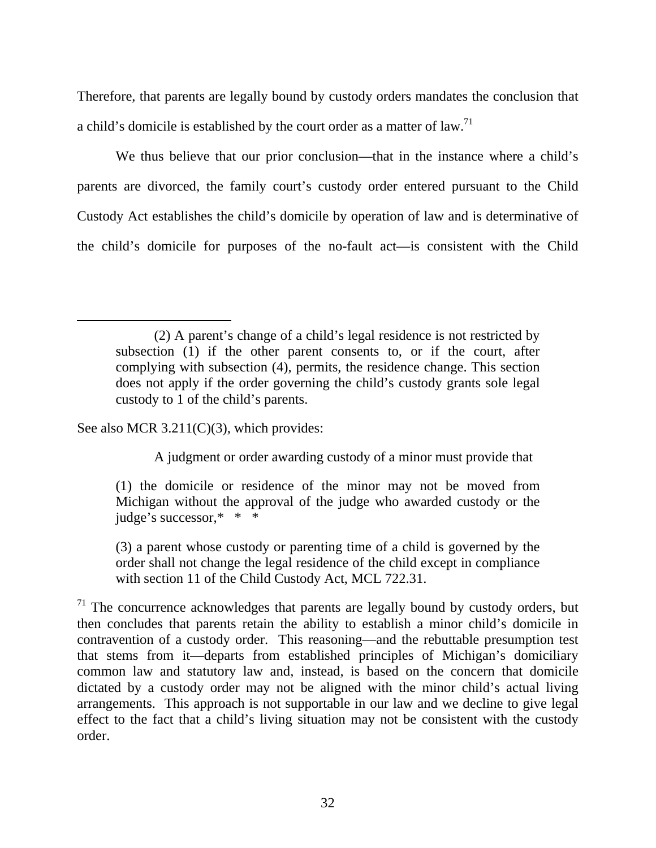Therefore, that parents are legally bound by custody orders mandates the conclusion that a child's domicile is established by the court order as a matter of law.<sup>71</sup>

We thus believe that our prior conclusion—that in the instance where a child's parents are divorced, the family court's custody order entered pursuant to the Child Custody Act establishes the child's domicile by operation of law and is determinative of the child's domicile for purposes of the no-fault act—is consistent with the Child

See also MCR 3.211(C)(3), which provides:

A judgment or order awarding custody of a minor must provide that

(1) the domicile or residence of the minor may not be moved from Michigan without the approval of the judge who awarded custody or the judge's successor,\* \* \*

(3) a parent whose custody or parenting time of a child is governed by the order shall not change the legal residence of the child except in compliance with section 11 of the Child Custody Act, MCL 722.31.

<sup>(2)</sup> A parent's change of a child's legal residence is not restricted by subsection (1) if the other parent consents to, or if the court, after complying with subsection (4), permits, the residence change. This section does not apply if the order governing the child's custody grants sole legal custody to 1 of the child's parents.

 $71$  The concurrence acknowledges that parents are legally bound by custody orders, but then concludes that parents retain the ability to establish a minor child's domicile in contravention of a custody order. This reasoning—and the rebuttable presumption test that stems from it—departs from established principles of Michigan's domiciliary common law and statutory law and, instead, is based on the concern that domicile dictated by a custody order may not be aligned with the minor child's actual living arrangements. This approach is not supportable in our law and we decline to give legal effect to the fact that a child's living situation may not be consistent with the custody order.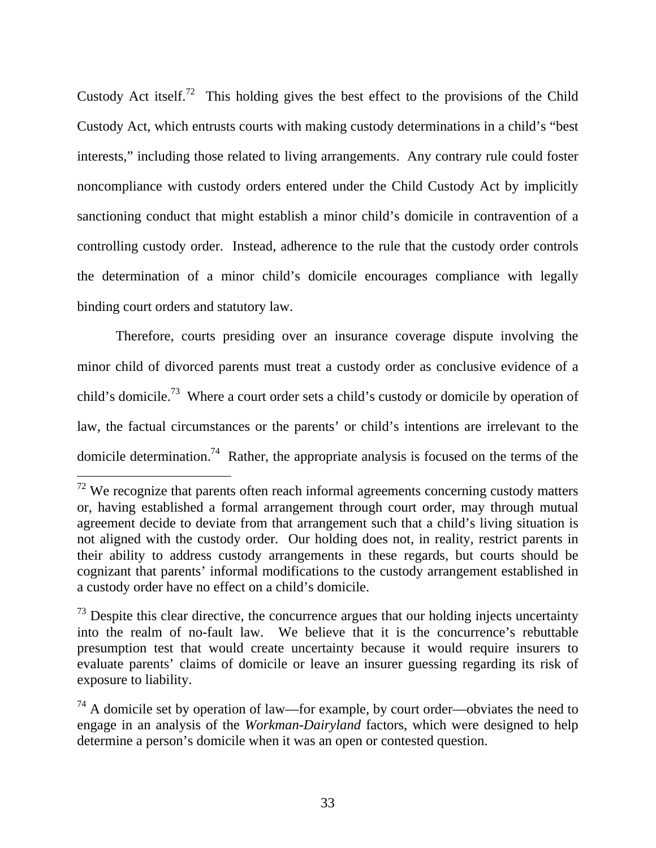Custody Act itself.<sup>72</sup> This holding gives the best effect to the provisions of the Child Custody Act, which entrusts courts with making custody determinations in a child's "best interests," including those related to living arrangements. Any contrary rule could foster noncompliance with custody orders entered under the Child Custody Act by implicitly sanctioning conduct that might establish a minor child's domicile in contravention of a controlling custody order. Instead, adherence to the rule that the custody order controls the determination of a minor child's domicile encourages compliance with legally binding court orders and statutory law.

Therefore, courts presiding over an insurance coverage dispute involving the minor child of divorced parents must treat a custody order as conclusive evidence of a child's domicile.73 Where a court order sets a child's custody or domicile by operation of law, the factual circumstances or the parents' or child's intentions are irrelevant to the domicile determination.<sup>74</sup> Rather, the appropriate analysis is focused on the terms of the

 $72$  We recognize that parents often reach informal agreements concerning custody matters or, having established a formal arrangement through court order, may through mutual agreement decide to deviate from that arrangement such that a child's living situation is not aligned with the custody order. Our holding does not, in reality, restrict parents in their ability to address custody arrangements in these regards, but courts should be cognizant that parents' informal modifications to the custody arrangement established in a custody order have no effect on a child's domicile.

 $73$  Despite this clear directive, the concurrence argues that our holding injects uncertainty into the realm of no-fault law. We believe that it is the concurrence's rebuttable presumption test that would create uncertainty because it would require insurers to evaluate parents' claims of domicile or leave an insurer guessing regarding its risk of exposure to liability.

 $74$  A domicile set by operation of law—for example, by court order—obviates the need to engage in an analysis of the *Workman-Dairyland* factors, which were designed to help determine a person's domicile when it was an open or contested question.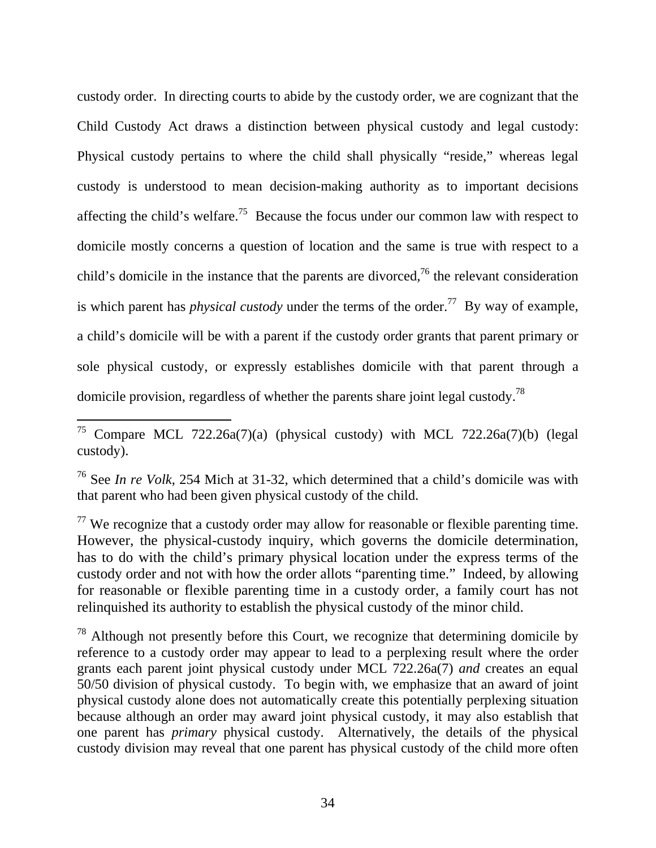custody order. In directing courts to abide by the custody order, we are cognizant that the Child Custody Act draws a distinction between physical custody and legal custody: Physical custody pertains to where the child shall physically "reside," whereas legal custody is understood to mean decision-making authority as to important decisions affecting the child's welfare.<sup>75</sup> Because the focus under our common law with respect to domicile mostly concerns a question of location and the same is true with respect to a child's domicile in the instance that the parents are divorced,<sup>76</sup> the relevant consideration is which parent has *physical custody* under the terms of the order.<sup>77</sup> By way of example, a child's domicile will be with a parent if the custody order grants that parent primary or sole physical custody, or expressly establishes domicile with that parent through a domicile provision, regardless of whether the parents share joint legal custody.78

 $\overline{a}$ 

 $77$  We recognize that a custody order may allow for reasonable or flexible parenting time. However, the physical-custody inquiry, which governs the domicile determination, has to do with the child's primary physical location under the express terms of the custody order and not with how the order allots "parenting time." Indeed, by allowing for reasonable or flexible parenting time in a custody order, a family court has not relinquished its authority to establish the physical custody of the minor child.

 $78$  Although not presently before this Court, we recognize that determining domicile by reference to a custody order may appear to lead to a perplexing result where the order grants each parent joint physical custody under MCL 722.26a(7) *and* creates an equal 50/50 division of physical custody. To begin with, we emphasize that an award of joint physical custody alone does not automatically create this potentially perplexing situation because although an order may award joint physical custody, it may also establish that one parent has *primary* physical custody. Alternatively, the details of the physical custody division may reveal that one parent has physical custody of the child more often

<sup>&</sup>lt;sup>75</sup> Compare MCL 722.26a(7)(a) (physical custody) with MCL 722.26a(7)(b) (legal custody).

<sup>76</sup> See *In re Volk*, 254 Mich at 31-32, which determined that a child's domicile was with that parent who had been given physical custody of the child.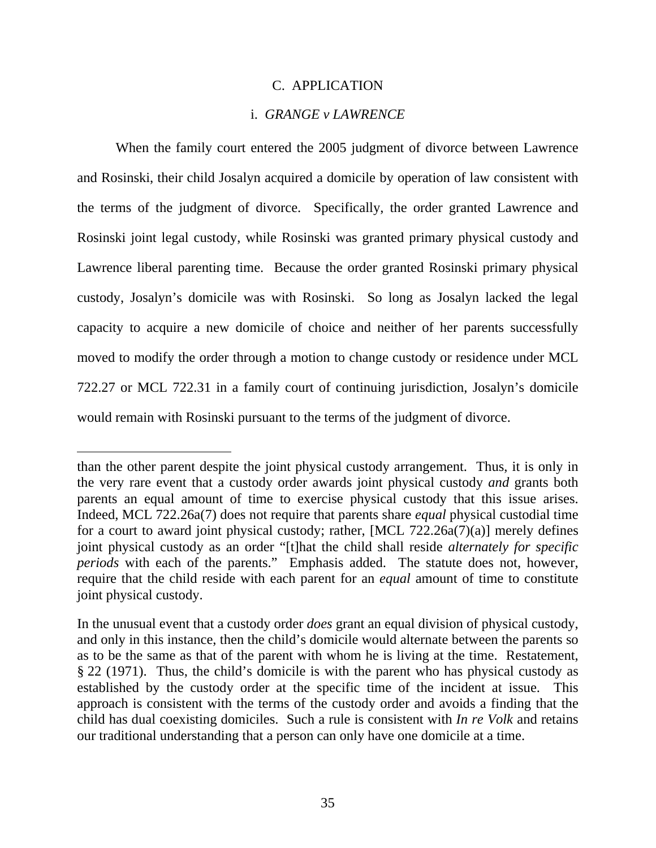#### C. APPLICATION

# i. *GRANGE v LAWRENCE*

When the family court entered the 2005 judgment of divorce between Lawrence and Rosinski, their child Josalyn acquired a domicile by operation of law consistent with the terms of the judgment of divorce. Specifically, the order granted Lawrence and Rosinski joint legal custody, while Rosinski was granted primary physical custody and Lawrence liberal parenting time. Because the order granted Rosinski primary physical custody, Josalyn's domicile was with Rosinski. So long as Josalyn lacked the legal capacity to acquire a new domicile of choice and neither of her parents successfully moved to modify the order through a motion to change custody or residence under MCL 722.27 or MCL 722.31 in a family court of continuing jurisdiction, Josalyn's domicile would remain with Rosinski pursuant to the terms of the judgment of divorce.

than the other parent despite the joint physical custody arrangement. Thus, it is only in the very rare event that a custody order awards joint physical custody *and* grants both parents an equal amount of time to exercise physical custody that this issue arises. Indeed, MCL 722.26a(7) does not require that parents share *equal* physical custodial time for a court to award joint physical custody; rather, [MCL 722.26a(7)(a)] merely defines joint physical custody as an order "[t]hat the child shall reside *alternately for specific periods* with each of the parents." Emphasis added. The statute does not, however, require that the child reside with each parent for an *equal* amount of time to constitute joint physical custody.

In the unusual event that a custody order *does* grant an equal division of physical custody, and only in this instance, then the child's domicile would alternate between the parents so as to be the same as that of the parent with whom he is living at the time. Restatement, § 22 (1971). Thus, the child's domicile is with the parent who has physical custody as established by the custody order at the specific time of the incident at issue. This approach is consistent with the terms of the custody order and avoids a finding that the child has dual coexisting domiciles. Such a rule is consistent with *In re Volk* and retains our traditional understanding that a person can only have one domicile at a time.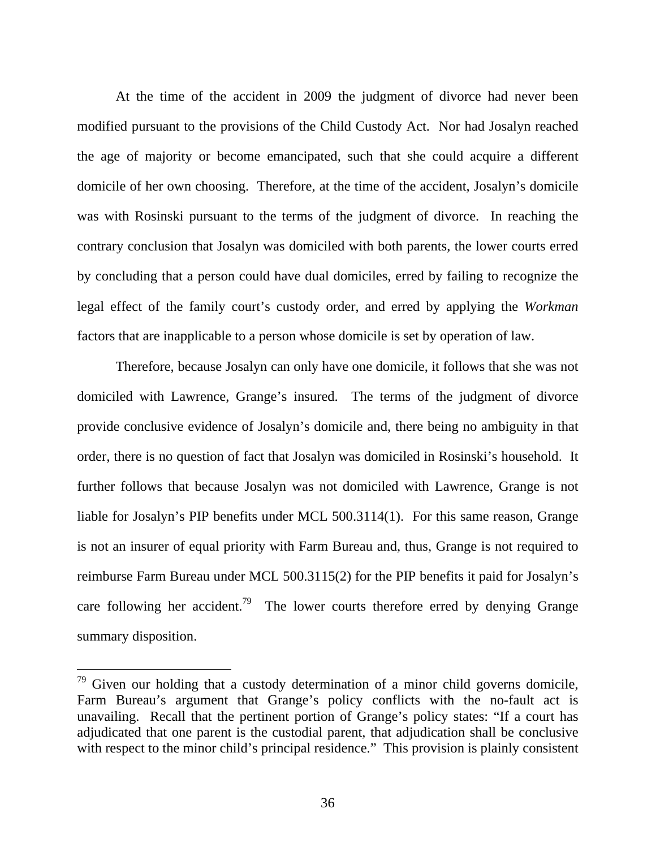At the time of the accident in 2009 the judgment of divorce had never been modified pursuant to the provisions of the Child Custody Act. Nor had Josalyn reached the age of majority or become emancipated, such that she could acquire a different domicile of her own choosing. Therefore, at the time of the accident, Josalyn's domicile was with Rosinski pursuant to the terms of the judgment of divorce. In reaching the contrary conclusion that Josalyn was domiciled with both parents, the lower courts erred by concluding that a person could have dual domiciles, erred by failing to recognize the legal effect of the family court's custody order, and erred by applying the *Workman* factors that are inapplicable to a person whose domicile is set by operation of law.

Therefore, because Josalyn can only have one domicile, it follows that she was not domiciled with Lawrence, Grange's insured. The terms of the judgment of divorce provide conclusive evidence of Josalyn's domicile and, there being no ambiguity in that order, there is no question of fact that Josalyn was domiciled in Rosinski's household. It further follows that because Josalyn was not domiciled with Lawrence, Grange is not liable for Josalyn's PIP benefits under MCL 500.3114(1). For this same reason, Grange is not an insurer of equal priority with Farm Bureau and, thus, Grange is not required to reimburse Farm Bureau under MCL 500.3115(2) for the PIP benefits it paid for Josalyn's care following her accident.<sup>79</sup> The lower courts therefore erred by denying Grange summary disposition.

 $79$  Given our holding that a custody determination of a minor child governs domicile, Farm Bureau's argument that Grange's policy conflicts with the no-fault act is unavailing. Recall that the pertinent portion of Grange's policy states: "If a court has adjudicated that one parent is the custodial parent, that adjudication shall be conclusive with respect to the minor child's principal residence." This provision is plainly consistent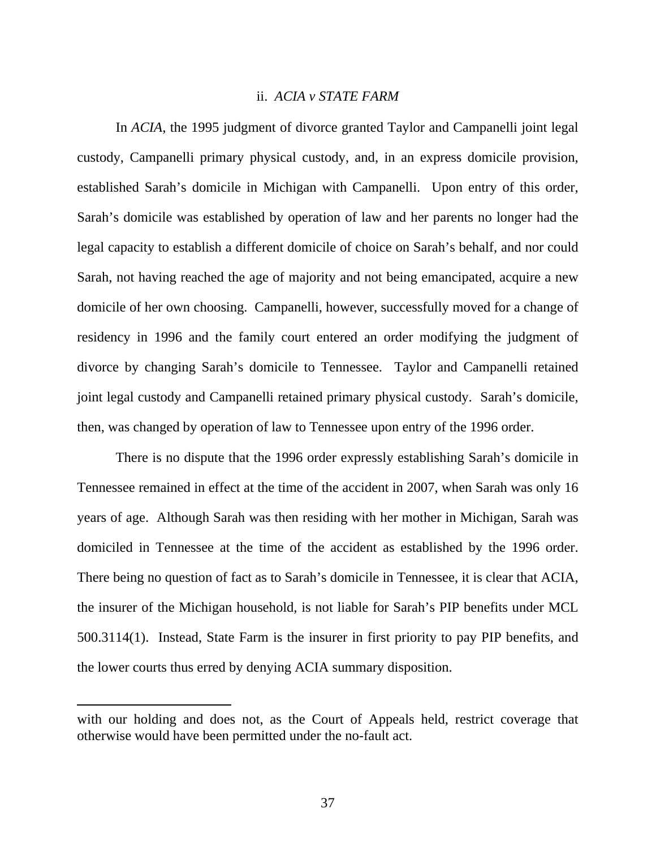## ii. *ACIA v STATE FARM*

In *ACIA*, the 1995 judgment of divorce granted Taylor and Campanelli joint legal custody, Campanelli primary physical custody, and, in an express domicile provision, established Sarah's domicile in Michigan with Campanelli. Upon entry of this order, Sarah's domicile was established by operation of law and her parents no longer had the legal capacity to establish a different domicile of choice on Sarah's behalf, and nor could Sarah, not having reached the age of majority and not being emancipated, acquire a new domicile of her own choosing. Campanelli, however, successfully moved for a change of residency in 1996 and the family court entered an order modifying the judgment of divorce by changing Sarah's domicile to Tennessee. Taylor and Campanelli retained joint legal custody and Campanelli retained primary physical custody. Sarah's domicile, then, was changed by operation of law to Tennessee upon entry of the 1996 order.

There is no dispute that the 1996 order expressly establishing Sarah's domicile in Tennessee remained in effect at the time of the accident in 2007, when Sarah was only 16 years of age. Although Sarah was then residing with her mother in Michigan, Sarah was domiciled in Tennessee at the time of the accident as established by the 1996 order. There being no question of fact as to Sarah's domicile in Tennessee, it is clear that ACIA, the insurer of the Michigan household, is not liable for Sarah's PIP benefits under MCL 500.3114(1). Instead, State Farm is the insurer in first priority to pay PIP benefits, and the lower courts thus erred by denying ACIA summary disposition.

with our holding and does not, as the Court of Appeals held, restrict coverage that otherwise would have been permitted under the no-fault act.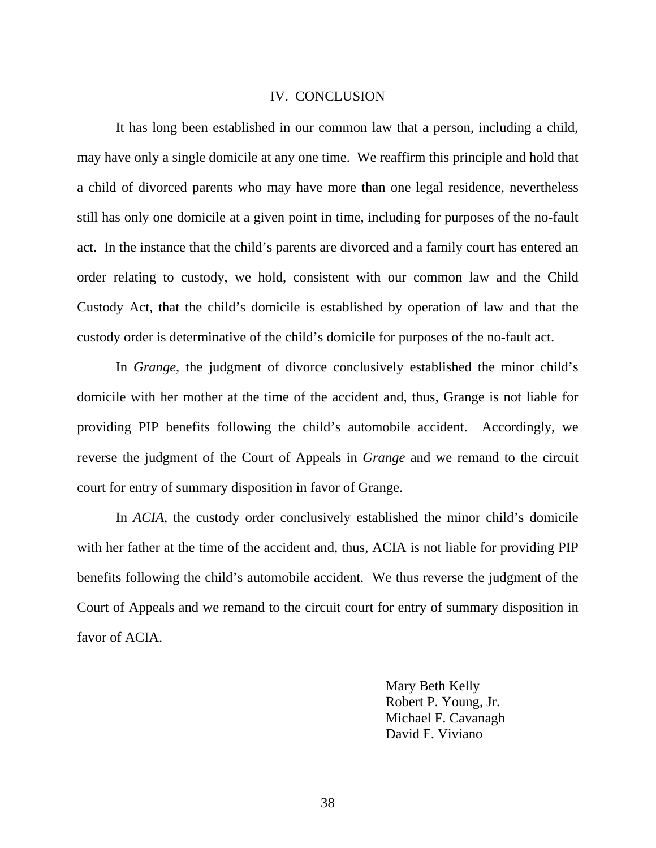#### IV. CONCLUSION

It has long been established in our common law that a person, including a child, may have only a single domicile at any one time. We reaffirm this principle and hold that a child of divorced parents who may have more than one legal residence, nevertheless still has only one domicile at a given point in time, including for purposes of the no-fault act. In the instance that the child's parents are divorced and a family court has entered an order relating to custody, we hold, consistent with our common law and the Child Custody Act, that the child's domicile is established by operation of law and that the custody order is determinative of the child's domicile for purposes of the no-fault act.

In *Grange*, the judgment of divorce conclusively established the minor child's domicile with her mother at the time of the accident and, thus, Grange is not liable for providing PIP benefits following the child's automobile accident. Accordingly, we reverse the judgment of the Court of Appeals in *Grange* and we remand to the circuit court for entry of summary disposition in favor of Grange.

In *ACIA*, the custody order conclusively established the minor child's domicile with her father at the time of the accident and, thus, ACIA is not liable for providing PIP benefits following the child's automobile accident. We thus reverse the judgment of the Court of Appeals and we remand to the circuit court for entry of summary disposition in favor of ACIA.

> Mary Beth Kelly Robert P. Young, Jr. Michael F. Cavanagh David F. Viviano

38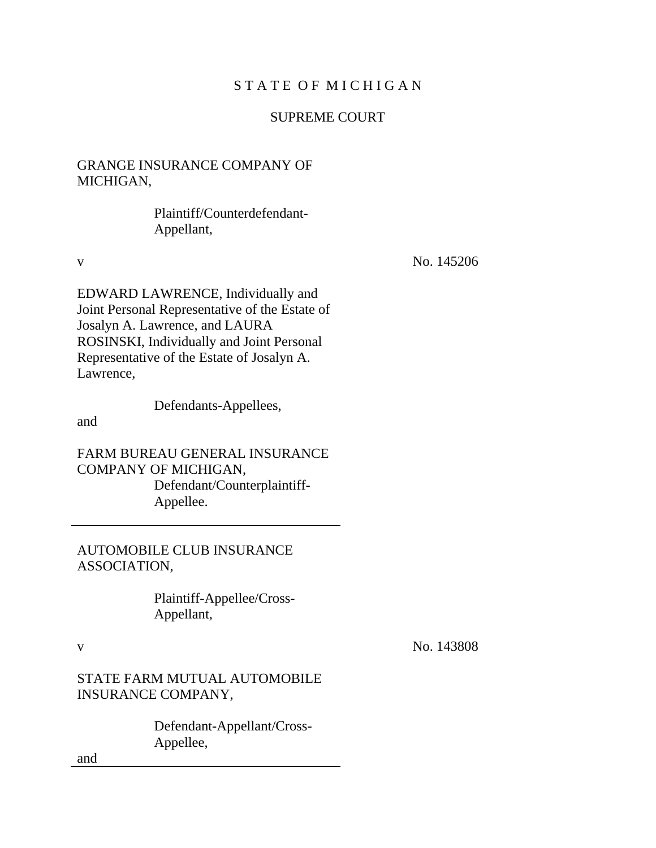# STATE OF MICHIGAN

# SUPREME COURT

# GRANGE INSURANCE COMPANY OF MICHIGAN,

 Plaintiff/Counterdefendant-Appellant,

v No. 145206

EDWARD LAWRENCE, Individually and Joint Personal Representative of the Estate of Josalyn A. Lawrence, and LAURA ROSINSKI, Individually and Joint Personal Representative of the Estate of Josalyn A. Lawrence,

Defendants-Appellees,

and

FARM BUREAU GENERAL INSURANCE COMPANY OF MICHIGAN, Defendant/Counterplaintiff- Appellee.

AUTOMOBILE CLUB INSURANCE ASSOCIATION,

> Plaintiff-Appellee/Cross-Appellant,

v No. 143808

STATE FARM MUTUAL AUTOMOBILE INSURANCE COMPANY,

> Defendant-Appellant/Cross-Appellee,

and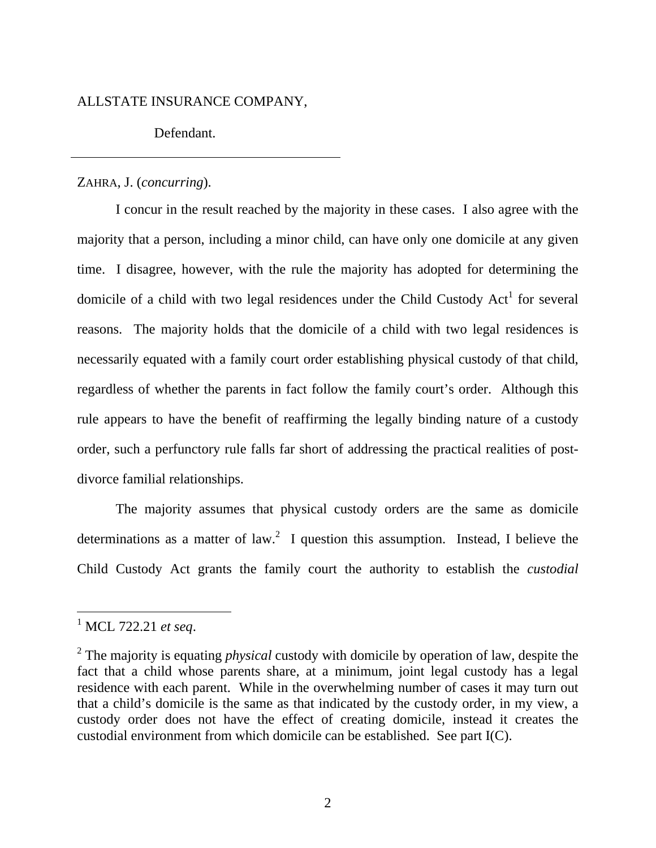#### ALLSTATE INSURANCE COMPANY,

Defendant.

#### ZAHRA, J. (*concurring*).

I concur in the result reached by the majority in these cases. I also agree with the majority that a person, including a minor child, can have only one domicile at any given time. I disagree, however, with the rule the majority has adopted for determining the domicile of a child with two legal residences under the Child Custody  $Act<sup>1</sup>$  for several reasons. The majority holds that the domicile of a child with two legal residences is necessarily equated with a family court order establishing physical custody of that child, regardless of whether the parents in fact follow the family court's order. Although this rule appears to have the benefit of reaffirming the legally binding nature of a custody order, such a perfunctory rule falls far short of addressing the practical realities of postdivorce familial relationships.

The majority assumes that physical custody orders are the same as domicile determinations as a matter of law.<sup>2</sup> I question this assumption. Instead, I believe the Child Custody Act grants the family court the authority to establish the *custodial* 

<sup>1</sup> MCL 722.21 *et seq*.

<sup>2</sup> The majority is equating *physical* custody with domicile by operation of law, despite the fact that a child whose parents share, at a minimum, joint legal custody has a legal residence with each parent. While in the overwhelming number of cases it may turn out that a child's domicile is the same as that indicated by the custody order, in my view, a custody order does not have the effect of creating domicile, instead it creates the custodial environment from which domicile can be established. See part I(C).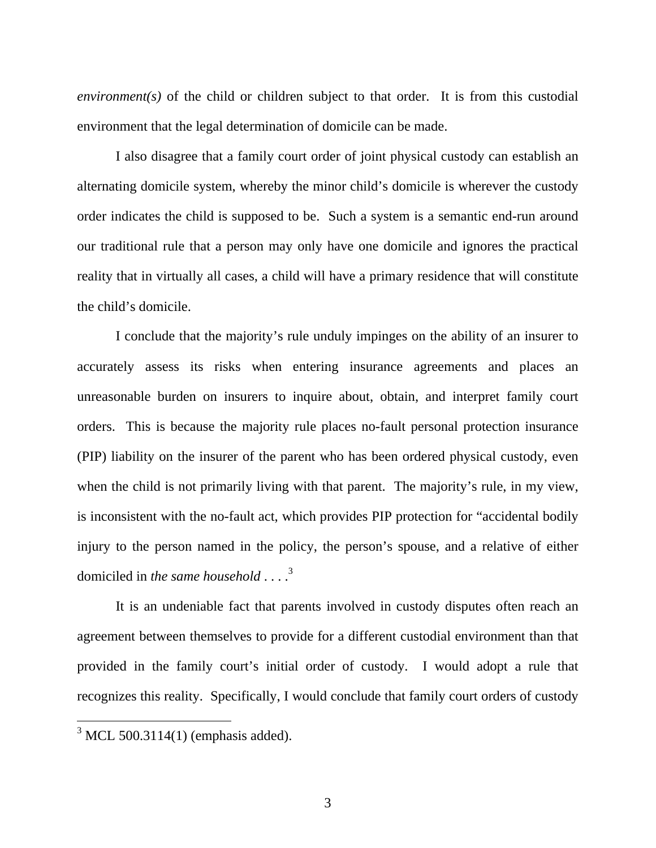*environment(s)* of the child or children subject to that order. It is from this custodial environment that the legal determination of domicile can be made.

I also disagree that a family court order of joint physical custody can establish an alternating domicile system, whereby the minor child's domicile is wherever the custody order indicates the child is supposed to be. Such a system is a semantic end-run around our traditional rule that a person may only have one domicile and ignores the practical reality that in virtually all cases, a child will have a primary residence that will constitute the child's domicile.

I conclude that the majority's rule unduly impinges on the ability of an insurer to accurately assess its risks when entering insurance agreements and places an unreasonable burden on insurers to inquire about, obtain, and interpret family court orders. This is because the majority rule places no-fault personal protection insurance (PIP) liability on the insurer of the parent who has been ordered physical custody, even when the child is not primarily living with that parent. The majority's rule, in my view, is inconsistent with the no-fault act, which provides PIP protection for "accidental bodily injury to the person named in the policy, the person's spouse, and a relative of either domiciled in *the same household* . . . .<sup>3</sup>

It is an undeniable fact that parents involved in custody disputes often reach an agreement between themselves to provide for a different custodial environment than that provided in the family court's initial order of custody. I would adopt a rule that recognizes this reality. Specifically, I would conclude that family court orders of custody

 $3$  MCL 500.3114(1) (emphasis added).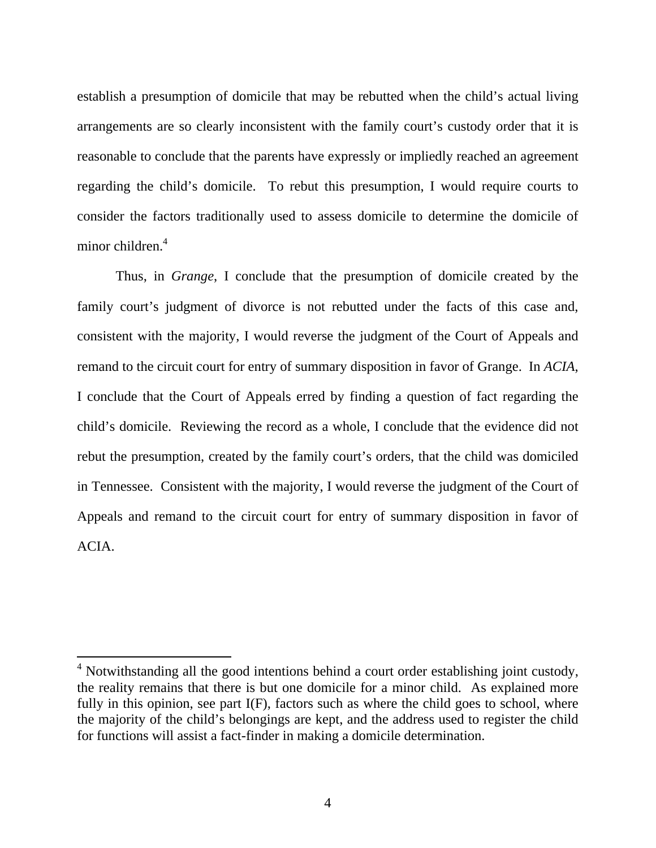establish a presumption of domicile that may be rebutted when the child's actual living arrangements are so clearly inconsistent with the family court's custody order that it is reasonable to conclude that the parents have expressly or impliedly reached an agreement regarding the child's domicile. To rebut this presumption, I would require courts to consider the factors traditionally used to assess domicile to determine the domicile of minor children.<sup>4</sup>

Thus, in *Grange*, I conclude that the presumption of domicile created by the family court's judgment of divorce is not rebutted under the facts of this case and, consistent with the majority, I would reverse the judgment of the Court of Appeals and remand to the circuit court for entry of summary disposition in favor of Grange. In *ACIA*, I conclude that the Court of Appeals erred by finding a question of fact regarding the child's domicile. Reviewing the record as a whole, I conclude that the evidence did not rebut the presumption, created by the family court's orders, that the child was domiciled in Tennessee. Consistent with the majority, I would reverse the judgment of the Court of Appeals and remand to the circuit court for entry of summary disposition in favor of ACIA.

<sup>&</sup>lt;sup>4</sup> Notwithstanding all the good intentions behind a court order establishing joint custody, the reality remains that there is but one domicile for a minor child. As explained more fully in this opinion, see part I(F), factors such as where the child goes to school, where the majority of the child's belongings are kept, and the address used to register the child for functions will assist a fact-finder in making a domicile determination.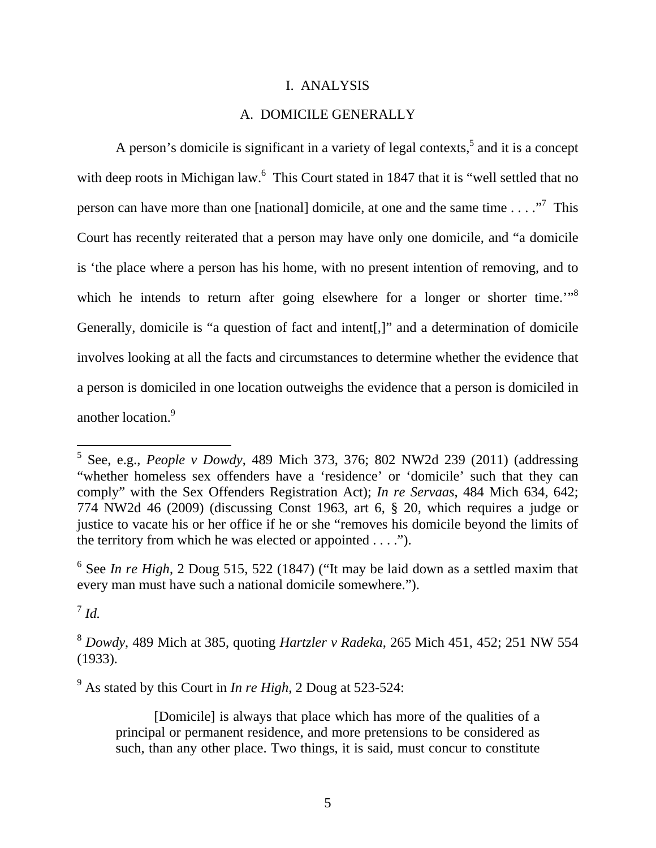#### I. ANALYSIS

# A. DOMICILE GENERALLY

A person's domicile is significant in a variety of legal contexts, $5$  and it is a concept with deep roots in Michigan law.<sup>6</sup> This Court stated in 1847 that it is "well settled that no person can have more than one [national] domicile, at one and the same time  $\dots$ ."<sup>7</sup> This Court has recently reiterated that a person may have only one domicile, and "a domicile is 'the place where a person has his home, with no present intention of removing, and to which he intends to return after going elsewhere for a longer or shorter time.<sup>"8</sup> Generally, domicile is "a question of fact and intent[,]" and a determination of domicile involves looking at all the facts and circumstances to determine whether the evidence that a person is domiciled in one location outweighs the evidence that a person is domiciled in another location.<sup>9</sup>

<sup>6</sup> See *In re High*, 2 Doug 515, 522 (1847) ("It may be laid down as a settled maxim that every man must have such a national domicile somewhere.").

 $^7$  *Id.* 

 $\overline{a}$ 

9 As stated by this Court in *In re High*, 2 Doug at 523-524:

[Domicile] is always that place which has more of the qualities of a principal or permanent residence, and more pretensions to be considered as such, than any other place. Two things, it is said, must concur to constitute

<sup>5</sup> See, e.g., *People v Dowdy*, 489 Mich 373, 376; 802 NW2d 239 (2011) (addressing "whether homeless sex offenders have a 'residence' or 'domicile' such that they can comply" with the Sex Offenders Registration Act); *In re Servaas*, 484 Mich 634, 642; 774 NW2d 46 (2009) (discussing Const 1963, art 6, § 20, which requires a judge or justice to vacate his or her office if he or she "removes his domicile beyond the limits of the territory from which he was elected or appointed  $\dots$ .").

<sup>8</sup> *Dowdy*, 489 Mich at 385, quoting *Hartzler v Radeka*, 265 Mich 451, 452; 251 NW 554 (1933).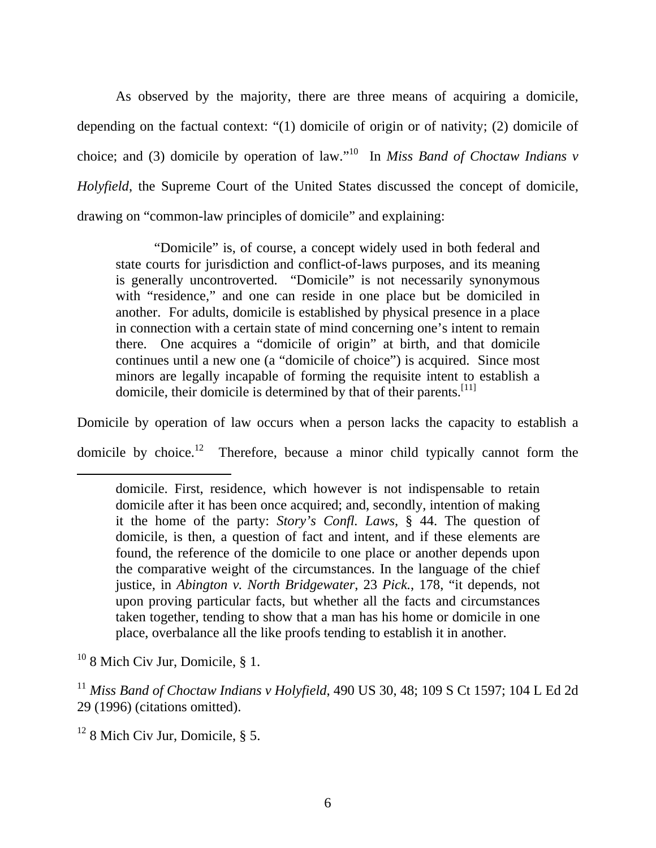As observed by the majority, there are three means of acquiring a domicile, depending on the factual context: "(1) domicile of origin or of nativity; (2) domicile of choice; and (3) domicile by operation of law."10 In *Miss Band of Choctaw Indians v Holyfield*, the Supreme Court of the United States discussed the concept of domicile, drawing on "common-law principles of domicile" and explaining:

"Domicile" is, of course, a concept widely used in both federal and state courts for jurisdiction and conflict-of-laws purposes, and its meaning is generally uncontroverted. "Domicile" is not necessarily synonymous with "residence," and one can reside in one place but be domiciled in another. For adults, domicile is established by physical presence in a place in connection with a certain state of mind concerning one's intent to remain there. One acquires a "domicile of origin" at birth, and that domicile continues until a new one (a "domicile of choice") is acquired. Since most minors are legally incapable of forming the requisite intent to establish a domicile, their domicile is determined by that of their parents.<sup>[11]</sup>

Domicile by operation of law occurs when a person lacks the capacity to establish a domicile by choice.<sup>12</sup> Therefore, because a minor child typically cannot form the

 $10$  8 Mich Civ Jur, Domicile, § 1.

domicile. First, residence, which however is not indispensable to retain domicile after it has been once acquired; and, secondly, intention of making it the home of the party: *Story's Confl. Laws*, § 44. The question of domicile, is then, a question of fact and intent, and if these elements are found, the reference of the domicile to one place or another depends upon the comparative weight of the circumstances. In the language of the chief justice, in *Abington v. North Bridgewater*, 23 *Pick.*, 178, "it depends, not upon proving particular facts, but whether all the facts and circumstances taken together, tending to show that a man has his home or domicile in one place, overbalance all the like proofs tending to establish it in another.

<sup>11</sup> *Miss Band of Choctaw Indians v Holyfield*, 490 US 30, 48; 109 S Ct 1597; 104 L Ed 2d 29 (1996) (citations omitted).

 $12$  8 Mich Civ Jur, Domicile, § 5.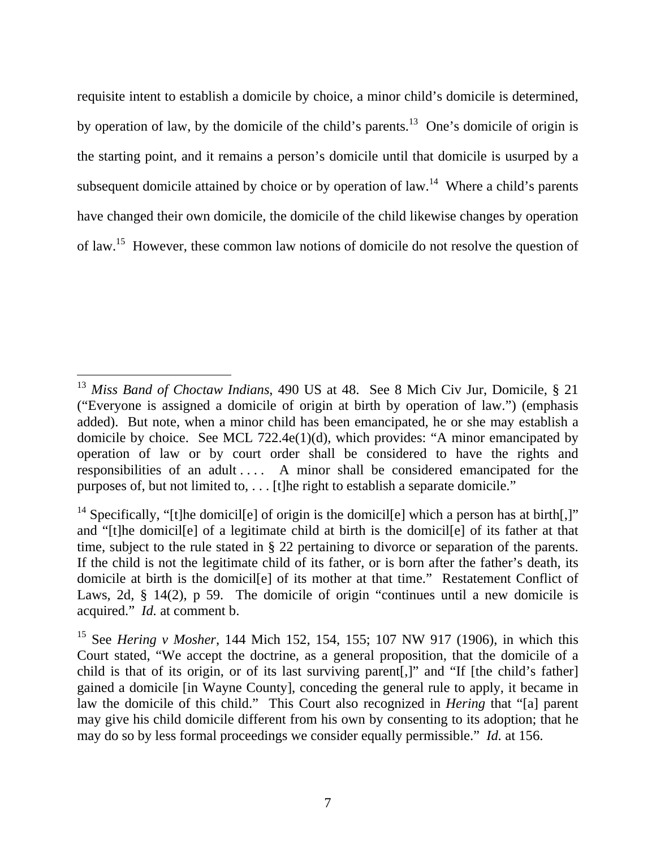requisite intent to establish a domicile by choice, a minor child's domicile is determined, by operation of law, by the domicile of the child's parents.<sup>13</sup> One's domicile of origin is the starting point, and it remains a person's domicile until that domicile is usurped by a subsequent domicile attained by choice or by operation of law.<sup>14</sup> Where a child's parents have changed their own domicile, the domicile of the child likewise changes by operation of law.15 However, these common law notions of domicile do not resolve the question of

<sup>13</sup> *Miss Band of Choctaw Indians*, 490 US at 48. See 8 Mich Civ Jur, Domicile, § 21 ("Everyone is assigned a domicile of origin at birth by operation of law.") (emphasis added). But note, when a minor child has been emancipated, he or she may establish a domicile by choice. See MCL 722.4e(1)(d), which provides: "A minor emancipated by operation of law or by court order shall be considered to have the rights and responsibilities of an adult . . . . A minor shall be considered emancipated for the purposes of, but not limited to, . . . [t]he right to establish a separate domicile."

<sup>&</sup>lt;sup>14</sup> Specifically, "[t]he domicil[e] of origin is the domicil[e] which a person has at birth[,]" and "[t]he domicil[e] of a legitimate child at birth is the domicil[e] of its father at that time, subject to the rule stated in § 22 pertaining to divorce or separation of the parents. If the child is not the legitimate child of its father, or is born after the father's death, its domicile at birth is the domicil[e] of its mother at that time." Restatement Conflict of Laws, 2d, § 14(2), p 59. The domicile of origin "continues until a new domicile is acquired." *Id.* at comment b.

<sup>15</sup> See *Hering v Mosher*, 144 Mich 152, 154, 155; 107 NW 917 (1906), in which this Court stated, "We accept the doctrine, as a general proposition, that the domicile of a child is that of its origin, or of its last surviving parent[,]" and "If [the child's father] gained a domicile [in Wayne County], conceding the general rule to apply, it became in law the domicile of this child." This Court also recognized in *Hering* that "[a] parent may give his child domicile different from his own by consenting to its adoption; that he may do so by less formal proceedings we consider equally permissible." *Id.* at 156.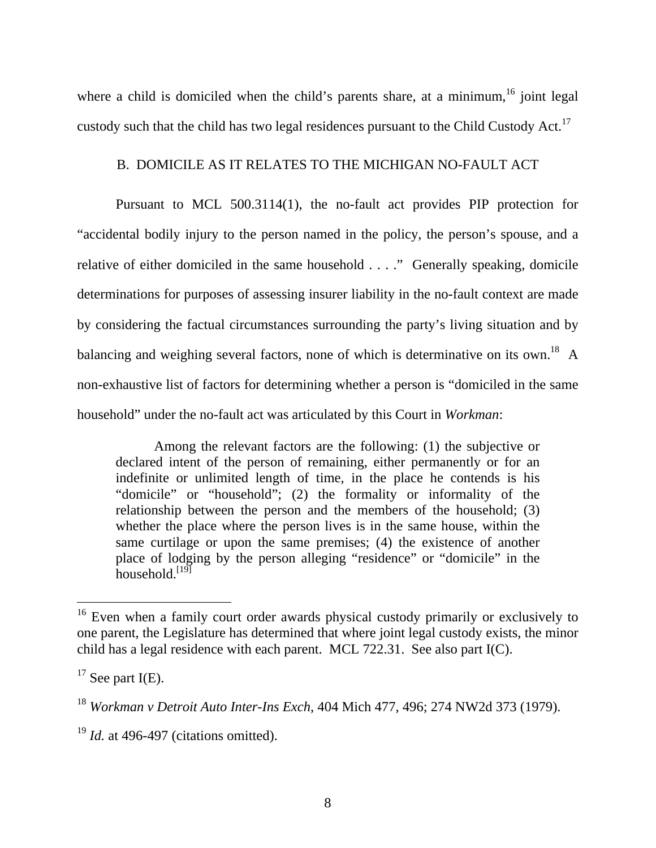where a child is domiciled when the child's parents share, at a minimum,  $16$  joint legal custody such that the child has two legal residences pursuant to the Child Custody Act.<sup>17</sup>

# B. DOMICILE AS IT RELATES TO THE MICHIGAN NO-FAULT ACT

Pursuant to MCL 500.3114(1), the no-fault act provides PIP protection for "accidental bodily injury to the person named in the policy, the person's spouse, and a relative of either domiciled in the same household . . . ." Generally speaking, domicile determinations for purposes of assessing insurer liability in the no-fault context are made by considering the factual circumstances surrounding the party's living situation and by balancing and weighing several factors, none of which is determinative on its own.<sup>18</sup> A non-exhaustive list of factors for determining whether a person is "domiciled in the same household" under the no-fault act was articulated by this Court in *Workman*:

Among the relevant factors are the following: (1) the subjective or declared intent of the person of remaining, either permanently or for an indefinite or unlimited length of time, in the place he contends is his "domicile" or "household"; (2) the formality or informality of the relationship between the person and the members of the household; (3) whether the place where the person lives is in the same house, within the same curtilage or upon the same premises; (4) the existence of another place of lodging by the person alleging "residence" or "domicile" in the household. $[19]$ 

<sup>&</sup>lt;sup>16</sup> Even when a family court order awards physical custody primarily or exclusively to one parent, the Legislature has determined that where joint legal custody exists, the minor child has a legal residence with each parent. MCL 722.31. See also part I(C).

 $17$  See part I(E).

<sup>18</sup> *Workman v Detroit Auto Inter-Ins Exch*, 404 Mich 477, 496; 274 NW2d 373 (1979).

<sup>&</sup>lt;sup>19</sup> *Id.* at 496-497 (citations omitted).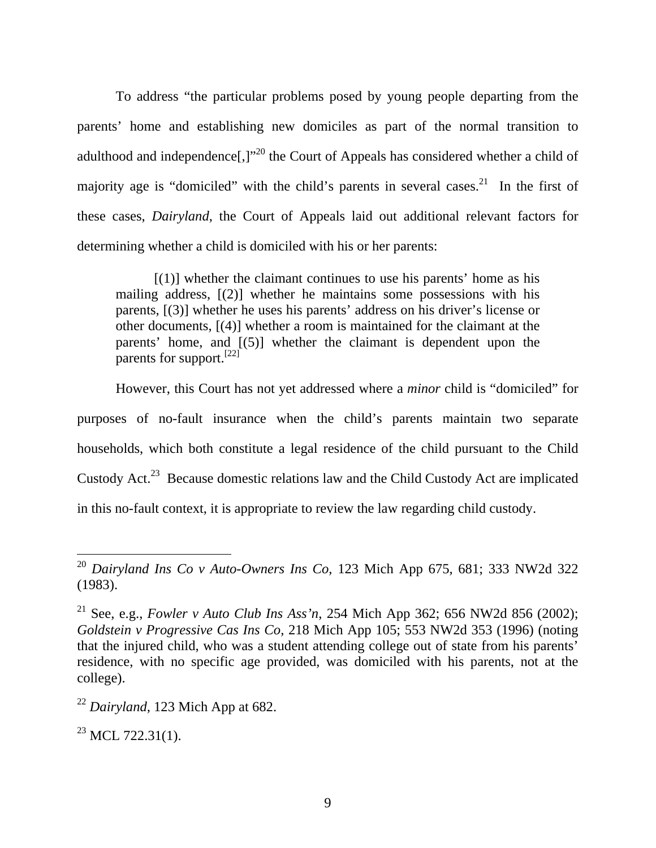To address "the particular problems posed by young people departing from the parents' home and establishing new domiciles as part of the normal transition to adulthood and independence<sup>[1]</sup><sup>20</sup> the Court of Appeals has considered whether a child of majority age is "domiciled" with the child's parents in several cases.<sup>21</sup> In the first of these cases, *Dairyland*, the Court of Appeals laid out additional relevant factors for determining whether a child is domiciled with his or her parents:

 $[(1)]$  whether the claimant continues to use his parents' home as his mailing address, [(2)] whether he maintains some possessions with his parents, [(3)] whether he uses his parents' address on his driver's license or other documents, [(4)] whether a room is maintained for the claimant at the parents' home, and [(5)] whether the claimant is dependent upon the parents for support.[22]

However, this Court has not yet addressed where a *minor* child is "domiciled" for purposes of no-fault insurance when the child's parents maintain two separate households, which both constitute a legal residence of the child pursuant to the Child Custody Act.23 Because domestic relations law and the Child Custody Act are implicated in this no-fault context, it is appropriate to review the law regarding child custody.

 $^{23}$  MCL 722.31(1).

 $\overline{a}$ <sup>20</sup> *Dairyland Ins Co v Auto-Owners Ins Co*, 123 Mich App 675, 681; 333 NW2d 322 (1983).

<sup>21</sup> See, e.g., *Fowler v Auto Club Ins Ass'n*, 254 Mich App 362; 656 NW2d 856 (2002); *Goldstein v Progressive Cas Ins Co*, 218 Mich App 105; 553 NW2d 353 (1996) (noting that the injured child, who was a student attending college out of state from his parents' residence, with no specific age provided, was domiciled with his parents, not at the college).

<sup>22</sup> *Dairyland*, 123 Mich App at 682.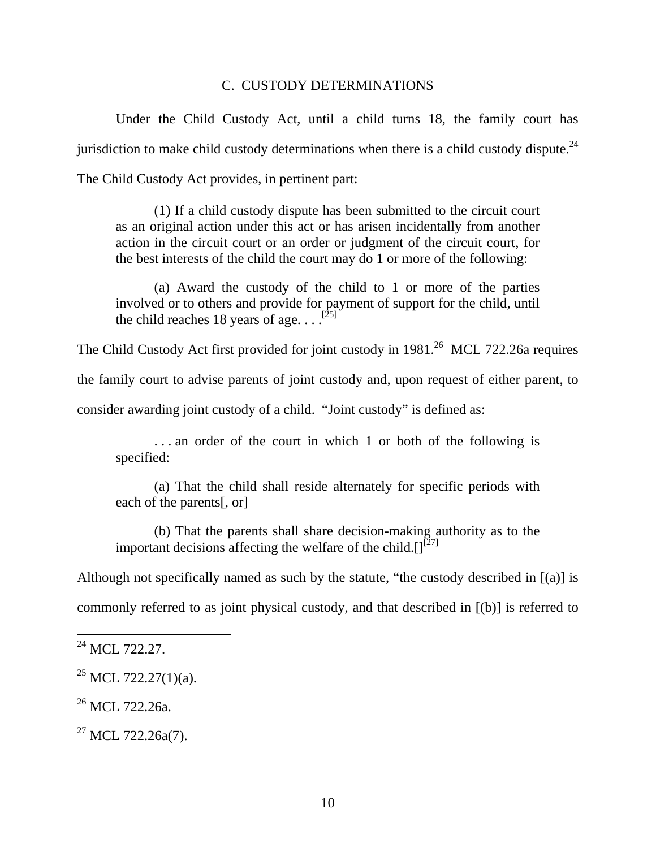### C. CUSTODY DETERMINATIONS

Under the Child Custody Act, until a child turns 18, the family court has jurisdiction to make child custody determinations when there is a child custody dispute. $^{24}$ The Child Custody Act provides, in pertinent part:

(1) If a child custody dispute has been submitted to the circuit court as an original action under this act or has arisen incidentally from another action in the circuit court or an order or judgment of the circuit court, for the best interests of the child the court may do 1 or more of the following:

(a) Award the custody of the child to 1 or more of the parties involved or to others and provide for payment of support for the child, until the child reaches 18 years of age.  $\ldots$ <sup>[25]</sup>

The Child Custody Act first provided for joint custody in  $1981<sup>26</sup>$  MCL 722.26a requires

the family court to advise parents of joint custody and, upon request of either parent, to

consider awarding joint custody of a child. "Joint custody" is defined as:

. . . an order of the court in which 1 or both of the following is specified:

(a) That the child shall reside alternately for specific periods with each of the parents[, or]

(b) That the parents shall share decision-making authority as to the important decisions affecting the welfare of the child. $\prod^{[27]}$ 

Although not specifically named as such by the statute, "the custody described in [(a)] is commonly referred to as joint physical custody, and that described in [(b)] is referred to

<sup>&</sup>lt;sup>24</sup> MCL 722.27

 $^{25}$  MCL 722.27(1)(a).

 $^{26}$  MCL 722.26a.

 $27$  MCL 722.26a(7).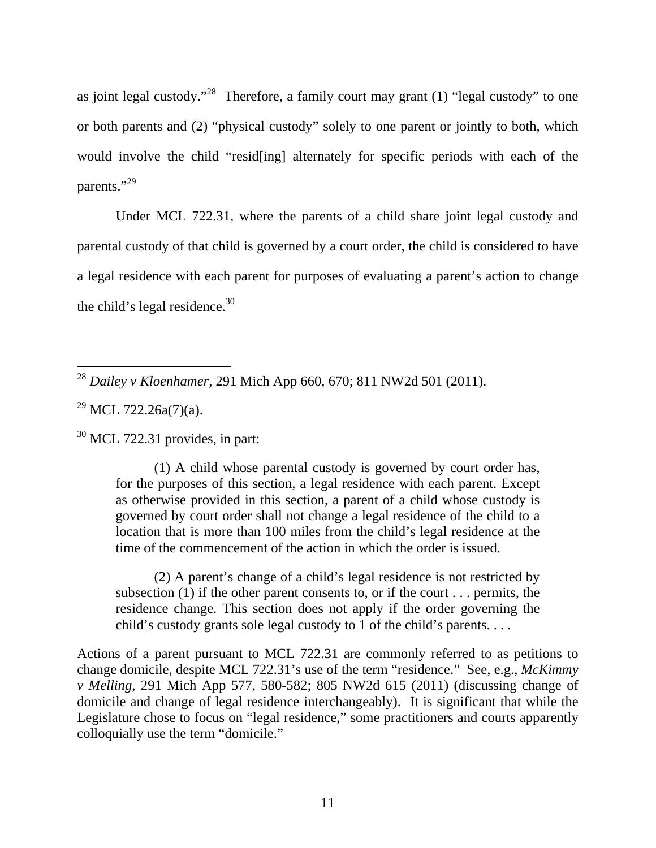as joint legal custody."<sup>28</sup> Therefore, a family court may grant (1) "legal custody" to one or both parents and (2) "physical custody" solely to one parent or jointly to both, which would involve the child "resid[ing] alternately for specific periods with each of the parents."<sup>29</sup>

Under MCL 722.31, where the parents of a child share joint legal custody and parental custody of that child is governed by a court order, the child is considered to have a legal residence with each parent for purposes of evaluating a parent's action to change the child's legal residence.<sup>30</sup>

 $30$  MCL 722.31 provides, in part:

(1) A child whose parental custody is governed by court order has, for the purposes of this section, a legal residence with each parent. Except as otherwise provided in this section, a parent of a child whose custody is governed by court order shall not change a legal residence of the child to a location that is more than 100 miles from the child's legal residence at the time of the commencement of the action in which the order is issued.

(2) A parent's change of a child's legal residence is not restricted by subsection  $(1)$  if the other parent consents to, or if the court ... permits, the residence change. This section does not apply if the order governing the child's custody grants sole legal custody to 1 of the child's parents. . . .

Actions of a parent pursuant to MCL 722.31 are commonly referred to as petitions to change domicile, despite MCL 722.31's use of the term "residence." See, e.g., *McKimmy v Melling*, 291 Mich App 577, 580-582; 805 NW2d 615 (2011) (discussing change of domicile and change of legal residence interchangeably). It is significant that while the Legislature chose to focus on "legal residence," some practitioners and courts apparently colloquially use the term "domicile."

 $\overline{a}$ <sup>28</sup> *Dailey v Kloenhamer*, 291 Mich App 660, 670; 811 NW2d 501 (2011).

 $^{29}$  MCL 722.26a(7)(a).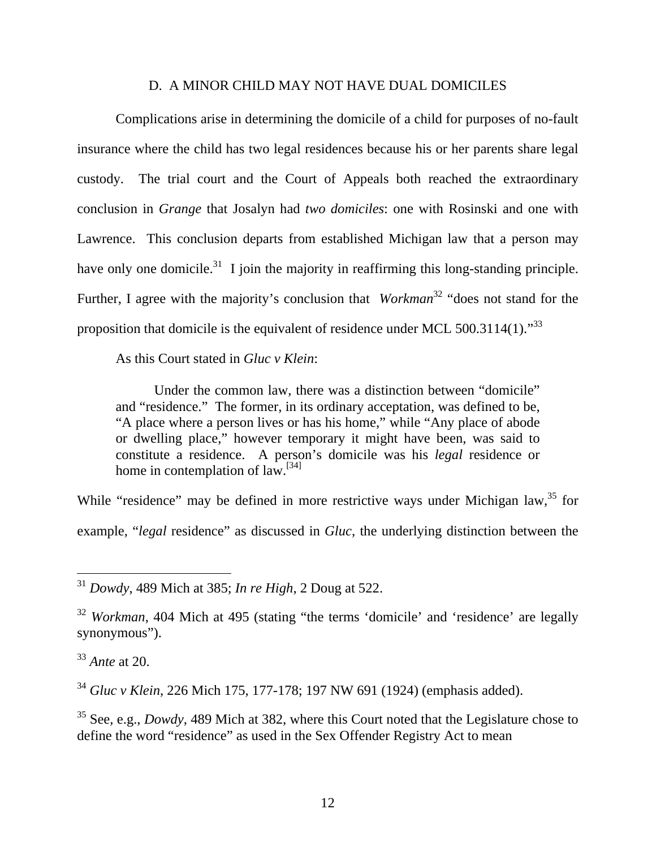#### D. A MINOR CHILD MAY NOT HAVE DUAL DOMICILES

Complications arise in determining the domicile of a child for purposes of no-fault insurance where the child has two legal residences because his or her parents share legal custody. The trial court and the Court of Appeals both reached the extraordinary conclusion in *Grange* that Josalyn had *two domiciles*: one with Rosinski and one with Lawrence. This conclusion departs from established Michigan law that a person may have only one domicile.<sup>31</sup> I join the majority in reaffirming this long-standing principle. Further, I agree with the majority's conclusion that *Workman*<sup>32</sup> "does not stand for the proposition that domicile is the equivalent of residence under MCL 500.3114(1)."<sup>33</sup>

As this Court stated in *Gluc v Klein*:

Under the common law, there was a distinction between "domicile" and "residence." The former, in its ordinary acceptation, was defined to be, "A place where a person lives or has his home," while "Any place of abode or dwelling place," however temporary it might have been, was said to constitute a residence. A person's domicile was his *legal* residence or home in contemplation of law.<sup>[34]</sup>

While "residence" may be defined in more restrictive ways under Michigan law,<sup>35</sup> for example, "*legal* residence" as discussed in *Gluc*, the underlying distinction between the

 $\overline{a}$ 

<sup>34</sup> *Gluc v Klein*, 226 Mich 175, 177-178; 197 NW 691 (1924) (emphasis added).

35 See, e.g., *Dowdy*, 489 Mich at 382, where this Court noted that the Legislature chose to define the word "residence" as used in the Sex Offender Registry Act to mean

<sup>31</sup> *Dowdy*, 489 Mich at 385; *In re High*, 2 Doug at 522.

<sup>32</sup> *Workman*, 404 Mich at 495 (stating "the terms 'domicile' and 'residence' are legally synonymous").

<sup>33</sup> *Ante* at 20.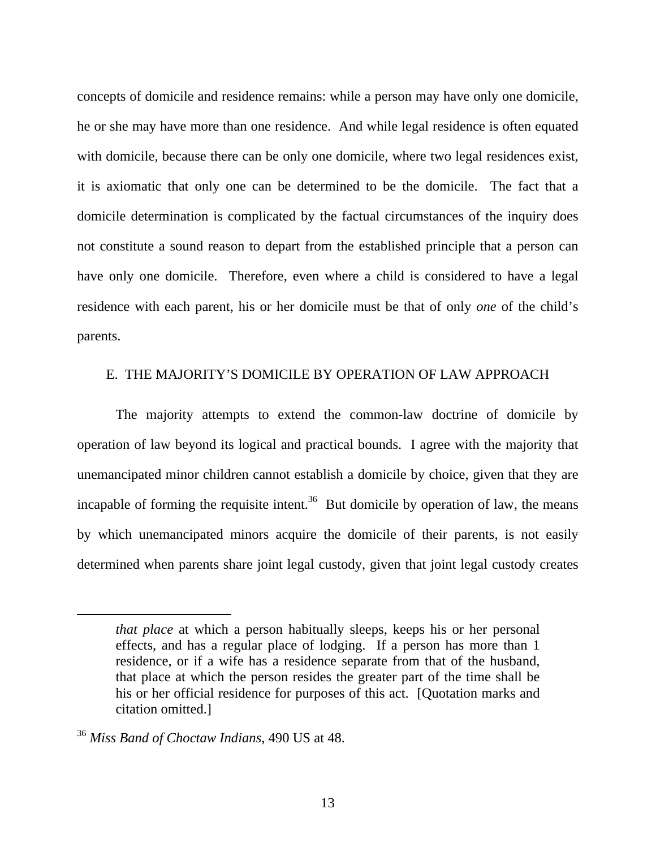concepts of domicile and residence remains: while a person may have only one domicile, he or she may have more than one residence. And while legal residence is often equated with domicile, because there can be only one domicile, where two legal residences exist, it is axiomatic that only one can be determined to be the domicile. The fact that a domicile determination is complicated by the factual circumstances of the inquiry does not constitute a sound reason to depart from the established principle that a person can have only one domicile. Therefore, even where a child is considered to have a legal residence with each parent, his or her domicile must be that of only *one* of the child's parents.

#### E. THE MAJORITY'S DOMICILE BY OPERATION OF LAW APPROACH

The majority attempts to extend the common-law doctrine of domicile by operation of law beyond its logical and practical bounds. I agree with the majority that unemancipated minor children cannot establish a domicile by choice, given that they are incapable of forming the requisite intent.<sup>36</sup> But domicile by operation of law, the means by which unemancipated minors acquire the domicile of their parents, is not easily determined when parents share joint legal custody, given that joint legal custody creates

*that place* at which a person habitually sleeps, keeps his or her personal effects, and has a regular place of lodging. If a person has more than 1 residence, or if a wife has a residence separate from that of the husband, that place at which the person resides the greater part of the time shall be his or her official residence for purposes of this act. [Quotation marks and citation omitted.]

<sup>36</sup> *Miss Band of Choctaw Indians*, 490 US at 48.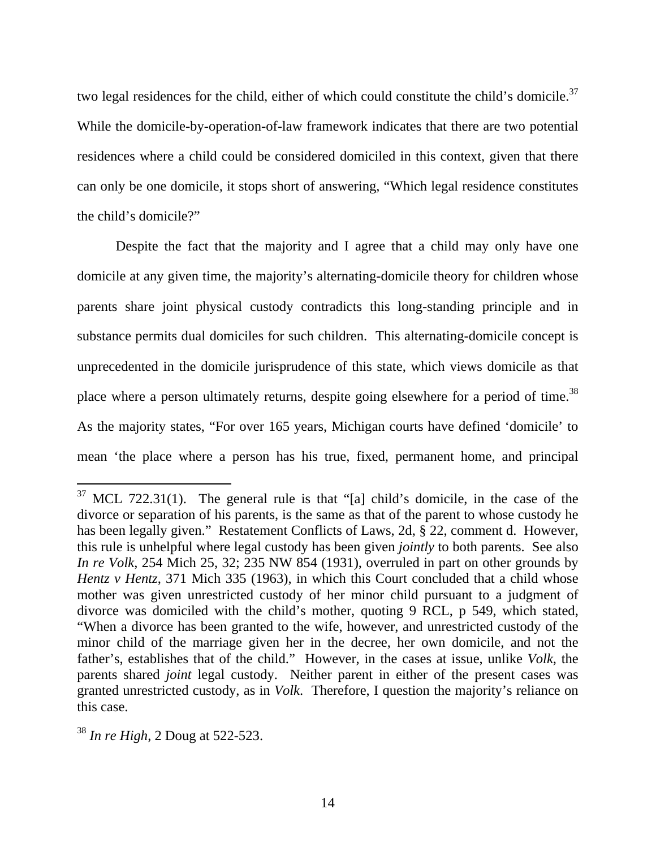two legal residences for the child, either of which could constitute the child's domicile.<sup>37</sup> While the domicile-by-operation-of-law framework indicates that there are two potential residences where a child could be considered domiciled in this context, given that there can only be one domicile, it stops short of answering, "Which legal residence constitutes the child's domicile?"

Despite the fact that the majority and I agree that a child may only have one domicile at any given time, the majority's alternating-domicile theory for children whose parents share joint physical custody contradicts this long-standing principle and in substance permits dual domiciles for such children. This alternating-domicile concept is unprecedented in the domicile jurisprudence of this state, which views domicile as that place where a person ultimately returns, despite going elsewhere for a period of time.<sup>38</sup> As the majority states, "For over 165 years, Michigan courts have defined 'domicile' to mean 'the place where a person has his true, fixed, permanent home, and principal

 $37$  MCL 722.31(1). The general rule is that "[a] child's domicile, in the case of the divorce or separation of his parents, is the same as that of the parent to whose custody he has been legally given." Restatement Conflicts of Laws, 2d, § 22, comment d. However, this rule is unhelpful where legal custody has been given *jointly* to both parents. See also *In re Volk*, 254 Mich 25, 32; 235 NW 854 (1931), overruled in part on other grounds by *Hentz v Hentz*, 371 Mich 335 (1963), in which this Court concluded that a child whose mother was given unrestricted custody of her minor child pursuant to a judgment of divorce was domiciled with the child's mother, quoting 9 RCL, p 549, which stated, "When a divorce has been granted to the wife, however, and unrestricted custody of the minor child of the marriage given her in the decree, her own domicile, and not the father's, establishes that of the child." However, in the cases at issue, unlike *Volk*, the parents shared *joint* legal custody. Neither parent in either of the present cases was granted unrestricted custody, as in *Volk*. Therefore, I question the majority's reliance on this case.

<sup>38</sup> *In re High*, 2 Doug at 522-523.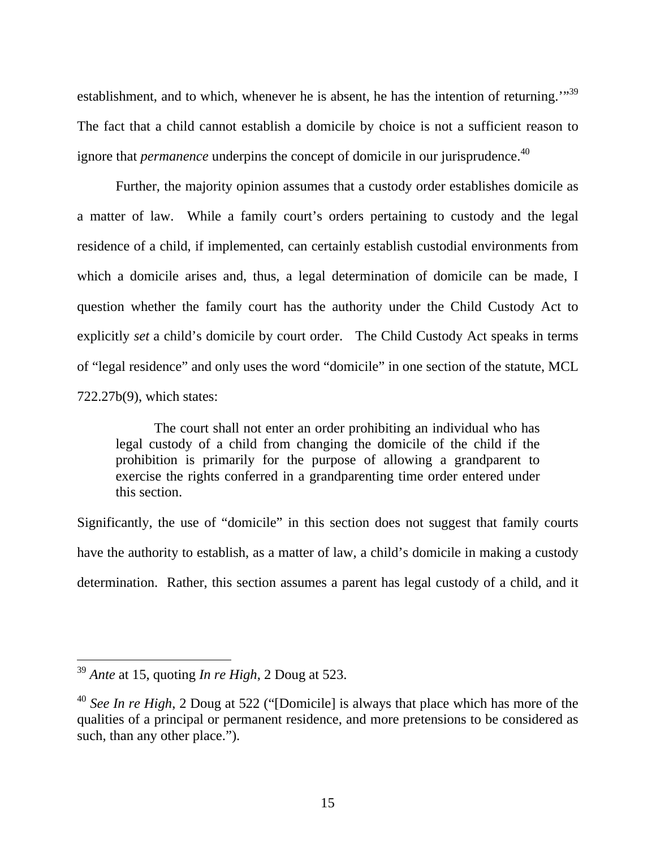establishment, and to which, whenever he is absent, he has the intention of returning."<sup>39</sup> The fact that a child cannot establish a domicile by choice is not a sufficient reason to ignore that *permanence* underpins the concept of domicile in our jurisprudence.<sup>40</sup>

Further, the majority opinion assumes that a custody order establishes domicile as a matter of law. While a family court's orders pertaining to custody and the legal residence of a child, if implemented, can certainly establish custodial environments from which a domicile arises and, thus, a legal determination of domicile can be made, I question whether the family court has the authority under the Child Custody Act to explicitly *set* a child's domicile by court order. The Child Custody Act speaks in terms of "legal residence" and only uses the word "domicile" in one section of the statute, MCL 722.27b(9), which states:

The court shall not enter an order prohibiting an individual who has legal custody of a child from changing the domicile of the child if the prohibition is primarily for the purpose of allowing a grandparent to exercise the rights conferred in a grandparenting time order entered under this section.

Significantly, the use of "domicile" in this section does not suggest that family courts have the authority to establish, as a matter of law, a child's domicile in making a custody determination. Rather, this section assumes a parent has legal custody of a child, and it

<sup>39</sup> *Ante* at 15, quoting *In re High*, 2 Doug at 523.

<sup>40</sup> *See In re High*, 2 Doug at 522 ("[Domicile] is always that place which has more of the qualities of a principal or permanent residence, and more pretensions to be considered as such, than any other place.").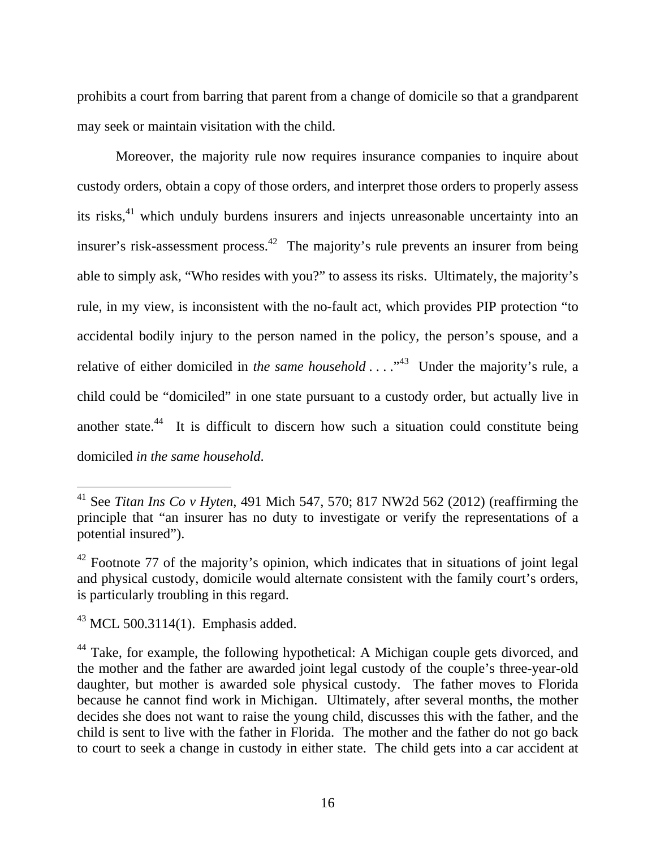prohibits a court from barring that parent from a change of domicile so that a grandparent may seek or maintain visitation with the child.

Moreover, the majority rule now requires insurance companies to inquire about custody orders, obtain a copy of those orders, and interpret those orders to properly assess its risks,<sup>41</sup> which unduly burdens insurers and injects unreasonable uncertainty into an insurer's risk-assessment process.<sup>42</sup> The majority's rule prevents an insurer from being able to simply ask, "Who resides with you?" to assess its risks. Ultimately, the majority's rule, in my view, is inconsistent with the no-fault act, which provides PIP protection "to accidental bodily injury to the person named in the policy, the person's spouse, and a relative of either domiciled in *the same household* . . . .<sup>43</sup> Under the majority's rule, a child could be "domiciled" in one state pursuant to a custody order, but actually live in another state.<sup>44</sup> It is difficult to discern how such a situation could constitute being domiciled *in the same household*.

<sup>41</sup> See *Titan Ins Co v Hyten*, 491 Mich 547, 570; 817 NW2d 562 (2012) (reaffirming the principle that "an insurer has no duty to investigate or verify the representations of a potential insured").

 $42$  Footnote 77 of the majority's opinion, which indicates that in situations of joint legal and physical custody, domicile would alternate consistent with the family court's orders, is particularly troubling in this regard.

 $43$  MCL 500.3114(1). Emphasis added.

<sup>&</sup>lt;sup>44</sup> Take, for example, the following hypothetical: A Michigan couple gets divorced, and the mother and the father are awarded joint legal custody of the couple's three-year-old daughter, but mother is awarded sole physical custody. The father moves to Florida because he cannot find work in Michigan. Ultimately, after several months, the mother decides she does not want to raise the young child, discusses this with the father, and the child is sent to live with the father in Florida. The mother and the father do not go back to court to seek a change in custody in either state. The child gets into a car accident at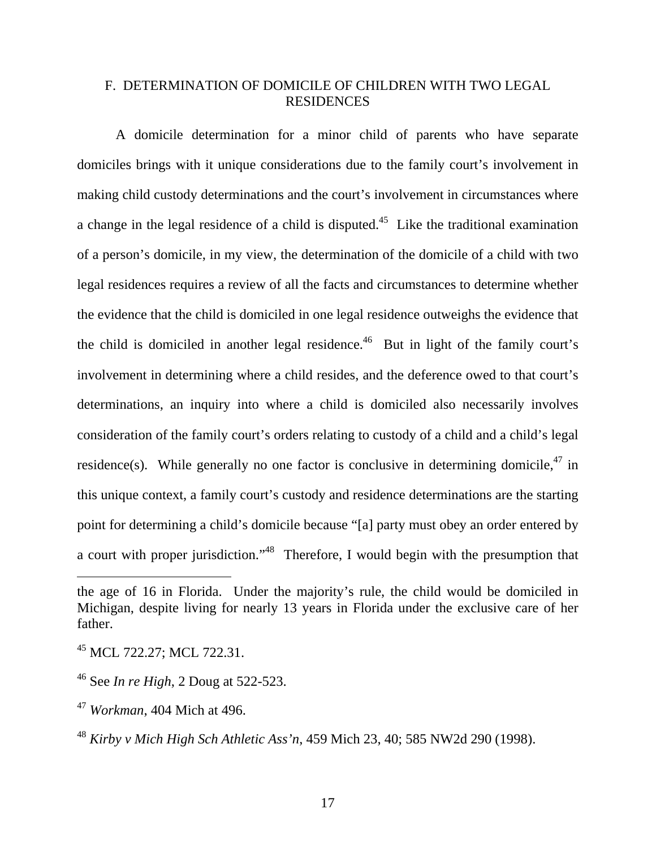# F. DETERMINATION OF DOMICILE OF CHILDREN WITH TWO LEGAL RESIDENCES

 A domicile determination for a minor child of parents who have separate domiciles brings with it unique considerations due to the family court's involvement in making child custody determinations and the court's involvement in circumstances where a change in the legal residence of a child is disputed.<sup>45</sup> Like the traditional examination of a person's domicile, in my view, the determination of the domicile of a child with two legal residences requires a review of all the facts and circumstances to determine whether the evidence that the child is domiciled in one legal residence outweighs the evidence that the child is domiciled in another legal residence.<sup>46</sup> But in light of the family court's involvement in determining where a child resides, and the deference owed to that court's determinations, an inquiry into where a child is domiciled also necessarily involves consideration of the family court's orders relating to custody of a child and a child's legal residence(s). While generally no one factor is conclusive in determining domicile,<sup>47</sup> in this unique context, a family court's custody and residence determinations are the starting point for determining a child's domicile because "[a] party must obey an order entered by a court with proper jurisdiction."<sup>48</sup> Therefore, I would begin with the presumption that

the age of 16 in Florida. Under the majority's rule, the child would be domiciled in Michigan, despite living for nearly 13 years in Florida under the exclusive care of her father.

<sup>45</sup> MCL 722.27; MCL 722.31.

<sup>46</sup> See *In re High*, 2 Doug at 522-523.

<sup>47</sup> *Workman*, 404 Mich at 496.

<sup>48</sup> *Kirby v Mich High Sch Athletic Ass'n*, 459 Mich 23, 40; 585 NW2d 290 (1998).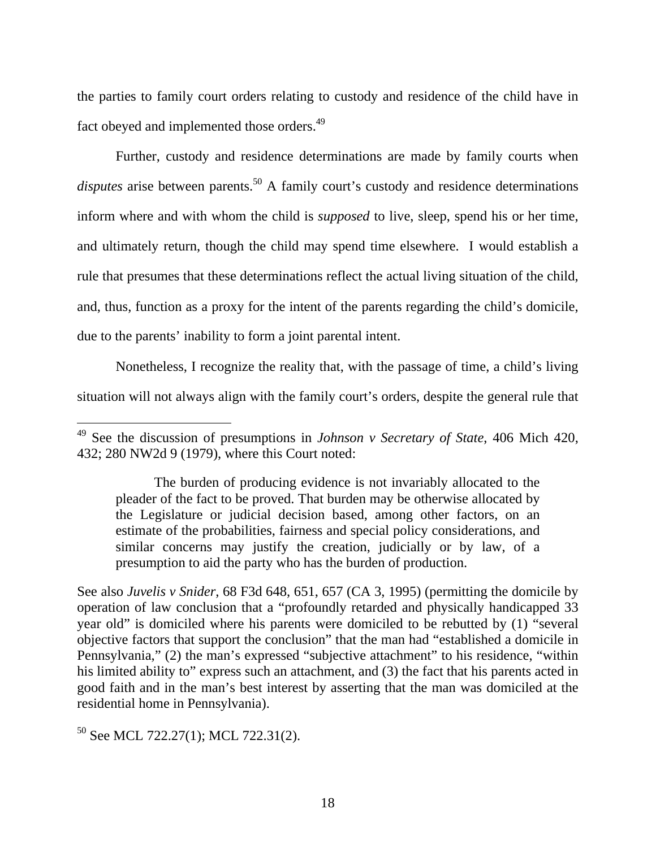the parties to family court orders relating to custody and residence of the child have in fact obeyed and implemented those orders.<sup>49</sup>

Further, custody and residence determinations are made by family courts when disputes arise between parents.<sup>50</sup> A family court's custody and residence determinations inform where and with whom the child is *supposed* to live, sleep, spend his or her time, and ultimately return, though the child may spend time elsewhere. I would establish a rule that presumes that these determinations reflect the actual living situation of the child, and, thus, function as a proxy for the intent of the parents regarding the child's domicile, due to the parents' inability to form a joint parental intent.

Nonetheless, I recognize the reality that, with the passage of time, a child's living situation will not always align with the family court's orders, despite the general rule that

See also *Juvelis v Snider*, 68 F3d 648, 651, 657 (CA 3, 1995) (permitting the domicile by operation of law conclusion that a "profoundly retarded and physically handicapped 33 year old" is domiciled where his parents were domiciled to be rebutted by (1) "several objective factors that support the conclusion" that the man had "established a domicile in Pennsylvania," (2) the man's expressed "subjective attachment" to his residence, "within his limited ability to" express such an attachment, and (3) the fact that his parents acted in good faith and in the man's best interest by asserting that the man was domiciled at the residential home in Pennsylvania).

 $50$  See MCL 722.27(1); MCL 722.31(2).

<sup>49</sup> See the discussion of presumptions in *Johnson v Secretary of State*, 406 Mich 420, 432; 280 NW2d 9 (1979), where this Court noted:

The burden of producing evidence is not invariably allocated to the pleader of the fact to be proved. That burden may be otherwise allocated by the Legislature or judicial decision based, among other factors, on an estimate of the probabilities, fairness and special policy considerations, and similar concerns may justify the creation, judicially or by law, of a presumption to aid the party who has the burden of production.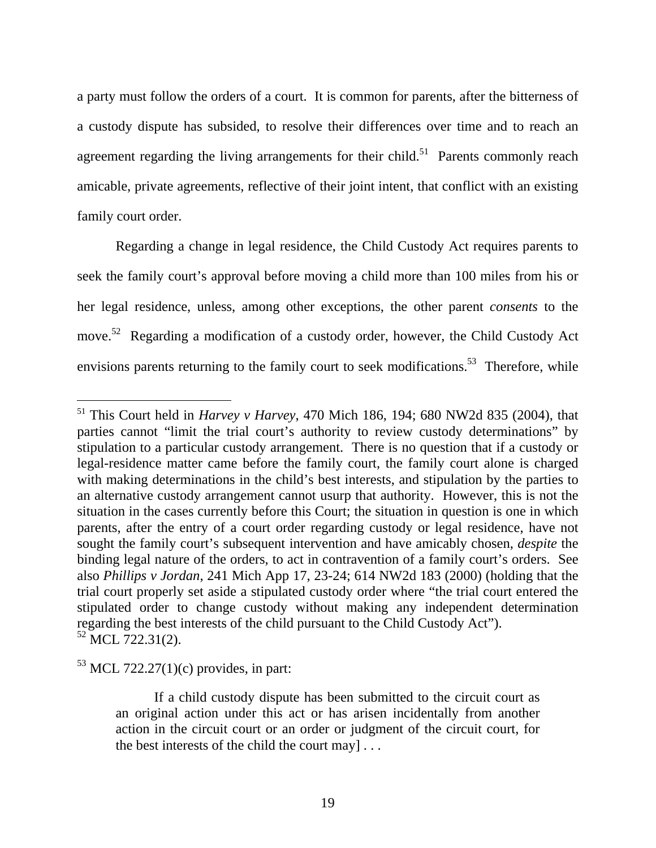a party must follow the orders of a court. It is common for parents, after the bitterness of a custody dispute has subsided, to resolve their differences over time and to reach an agreement regarding the living arrangements for their child.<sup>51</sup> Parents commonly reach amicable, private agreements, reflective of their joint intent, that conflict with an existing family court order.

Regarding a change in legal residence, the Child Custody Act requires parents to seek the family court's approval before moving a child more than 100 miles from his or her legal residence, unless, among other exceptions, the other parent *consents* to the move.<sup>52</sup> Regarding a modification of a custody order, however, the Child Custody Act envisions parents returning to the family court to seek modifications.<sup>53</sup> Therefore, while

<sup>51</sup> This Court held in *Harvey v Harvey*, 470 Mich 186, 194; 680 NW2d 835 (2004), that parties cannot "limit the trial court's authority to review custody determinations" by stipulation to a particular custody arrangement. There is no question that if a custody or legal-residence matter came before the family court, the family court alone is charged with making determinations in the child's best interests, and stipulation by the parties to an alternative custody arrangement cannot usurp that authority. However, this is not the situation in the cases currently before this Court; the situation in question is one in which parents, after the entry of a court order regarding custody or legal residence, have not sought the family court's subsequent intervention and have amicably chosen, *despite* the binding legal nature of the orders, to act in contravention of a family court's orders. See also *Phillips v Jordan*, 241 Mich App 17, 23-24; 614 NW2d 183 (2000) (holding that the trial court properly set aside a stipulated custody order where "the trial court entered the stipulated order to change custody without making any independent determination regarding the best interests of the child pursuant to the Child Custody Act").  $52$  MCL  $722.31(2)$ .

 $53$  MCL 722.27(1)(c) provides, in part:

If a child custody dispute has been submitted to the circuit court as an original action under this act or has arisen incidentally from another action in the circuit court or an order or judgment of the circuit court, for the best interests of the child the court may  $\ldots$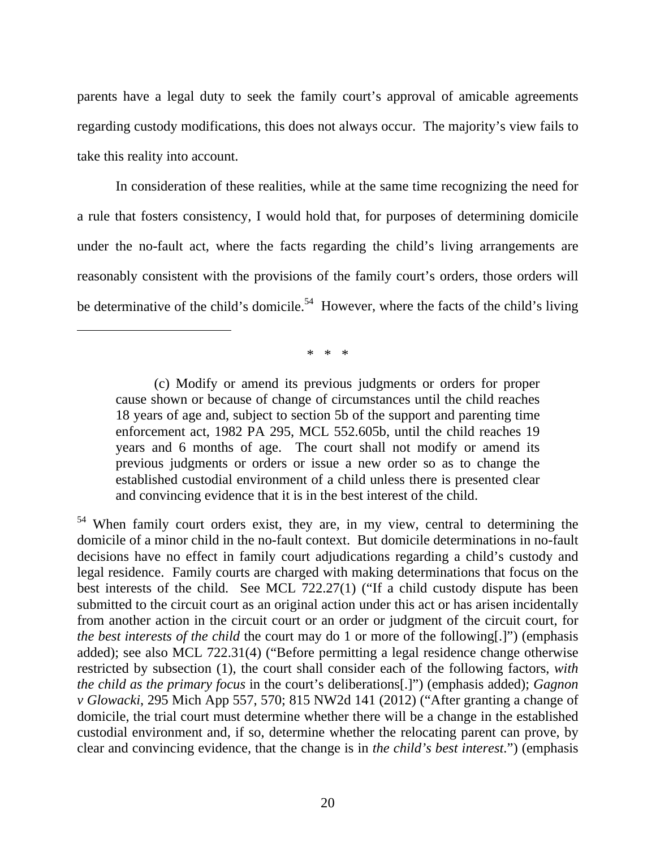parents have a legal duty to seek the family court's approval of amicable agreements regarding custody modifications, this does not always occur. The majority's view fails to take this reality into account.

In consideration of these realities, while at the same time recognizing the need for a rule that fosters consistency, I would hold that, for purposes of determining domicile under the no-fault act, where the facts regarding the child's living arrangements are reasonably consistent with the provisions of the family court's orders, those orders will be determinative of the child's domicile.<sup>54</sup> However, where the facts of the child's living

\* \* \*

<sup>(</sup>c) Modify or amend its previous judgments or orders for proper cause shown or because of change of circumstances until the child reaches 18 years of age and, subject to section 5b of the support and parenting time enforcement act, 1982 PA 295, MCL 552.605b, until the child reaches 19 years and 6 months of age. The court shall not modify or amend its previous judgments or orders or issue a new order so as to change the established custodial environment of a child unless there is presented clear and convincing evidence that it is in the best interest of the child.

<sup>54</sup> When family court orders exist, they are, in my view, central to determining the domicile of a minor child in the no-fault context. But domicile determinations in no-fault decisions have no effect in family court adjudications regarding a child's custody and legal residence. Family courts are charged with making determinations that focus on the best interests of the child. See MCL 722.27(1) ("If a child custody dispute has been submitted to the circuit court as an original action under this act or has arisen incidentally from another action in the circuit court or an order or judgment of the circuit court, for *the best interests of the child* the court may do 1 or more of the following[.]") (emphasis added); see also MCL 722.31(4) ("Before permitting a legal residence change otherwise restricted by subsection (1), the court shall consider each of the following factors, *with the child as the primary focus* in the court's deliberations[.]") (emphasis added); *Gagnon v Glowacki*, 295 Mich App 557, 570; 815 NW2d 141 (2012) ("After granting a change of domicile, the trial court must determine whether there will be a change in the established custodial environment and, if so, determine whether the relocating parent can prove, by clear and convincing evidence, that the change is in *the child's best interest*.") (emphasis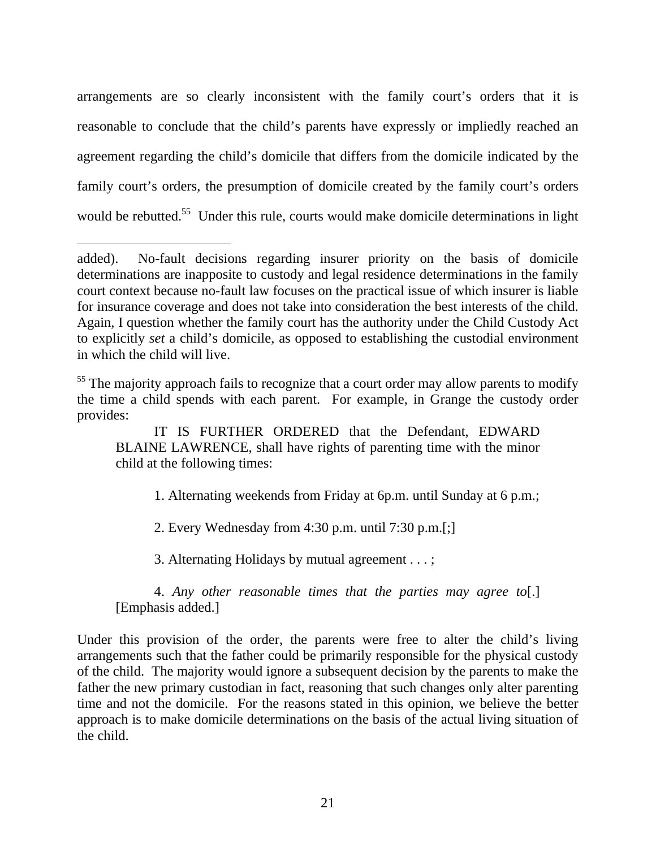arrangements are so clearly inconsistent with the family court's orders that it is reasonable to conclude that the child's parents have expressly or impliedly reached an agreement regarding the child's domicile that differs from the domicile indicated by the family court's orders, the presumption of domicile created by the family court's orders would be rebutted.<sup>55</sup> Under this rule, courts would make domicile determinations in light

 $\overline{a}$ 

1. Alternating weekends from Friday at 6p.m. until Sunday at 6 p.m.;

2. Every Wednesday from 4:30 p.m. until 7:30 p.m.[;]

3. Alternating Holidays by mutual agreement . . . ;

4. *Any other reasonable times that the parties may agree to*[.] [Emphasis added.]

Under this provision of the order, the parents were free to alter the child's living arrangements such that the father could be primarily responsible for the physical custody of the child. The majority would ignore a subsequent decision by the parents to make the father the new primary custodian in fact, reasoning that such changes only alter parenting time and not the domicile. For the reasons stated in this opinion, we believe the better approach is to make domicile determinations on the basis of the actual living situation of the child.

added). No-fault decisions regarding insurer priority on the basis of domicile determinations are inapposite to custody and legal residence determinations in the family court context because no-fault law focuses on the practical issue of which insurer is liable for insurance coverage and does not take into consideration the best interests of the child. Again, I question whether the family court has the authority under the Child Custody Act to explicitly *set* a child's domicile, as opposed to establishing the custodial environment in which the child will live.

<sup>&</sup>lt;sup>55</sup> The majority approach fails to recognize that a court order may allow parents to modify the time a child spends with each parent. For example, in Grange the custody order provides:

IT IS FURTHER ORDERED that the Defendant, EDWARD BLAINE LAWRENCE, shall have rights of parenting time with the minor child at the following times: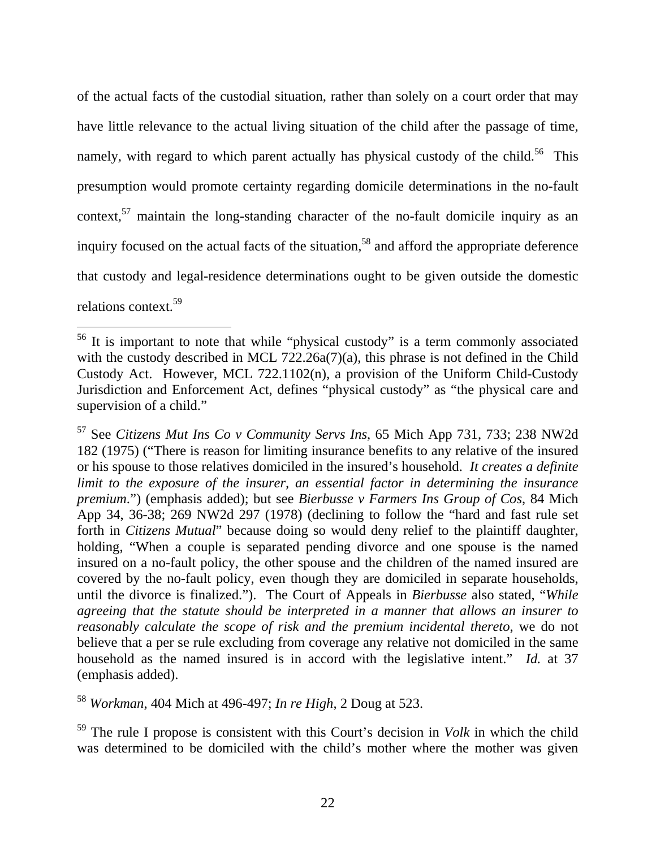of the actual facts of the custodial situation, rather than solely on a court order that may have little relevance to the actual living situation of the child after the passage of time, namely, with regard to which parent actually has physical custody of the child.<sup>56</sup> This presumption would promote certainty regarding domicile determinations in the no-fault context,<sup>57</sup> maintain the long-standing character of the no-fault domicile inquiry as an inquiry focused on the actual facts of the situation,<sup>58</sup> and afford the appropriate deference that custody and legal-residence determinations ought to be given outside the domestic relations context.59

57 See *Citizens Mut Ins Co v Community Servs Ins*, 65 Mich App 731, 733; 238 NW2d 182 (1975) ("There is reason for limiting insurance benefits to any relative of the insured or his spouse to those relatives domiciled in the insured's household. *It creates a definite limit to the exposure of the insurer, an essential factor in determining the insurance premium*.") (emphasis added); but see *Bierbusse v Farmers Ins Group of Cos*, 84 Mich App 34, 36-38; 269 NW2d 297 (1978) (declining to follow the "hard and fast rule set forth in *Citizens Mutual*" because doing so would deny relief to the plaintiff daughter, holding, "When a couple is separated pending divorce and one spouse is the named insured on a no-fault policy, the other spouse and the children of the named insured are covered by the no-fault policy, even though they are domiciled in separate households, until the divorce is finalized."). The Court of Appeals in *Bierbusse* also stated, "*While agreeing that the statute should be interpreted in a manner that allows an insurer to reasonably calculate the scope of risk and the premium incidental thereto, we do not* believe that a per se rule excluding from coverage any relative not domiciled in the same household as the named insured is in accord with the legislative intent." *Id.* at 37 (emphasis added).

<sup>58</sup> *Workman*, 404 Mich at 496-497; *In re High*, 2 Doug at 523.

 $\overline{a}$ 

59 The rule I propose is consistent with this Court's decision in *Volk* in which the child was determined to be domiciled with the child's mother where the mother was given

<sup>56</sup> It is important to note that while "physical custody" is a term commonly associated with the custody described in MCL  $722.26a(7)(a)$ , this phrase is not defined in the Child Custody Act. However, MCL 722.1102(n), a provision of the Uniform Child-Custody Jurisdiction and Enforcement Act, defines "physical custody" as "the physical care and supervision of a child."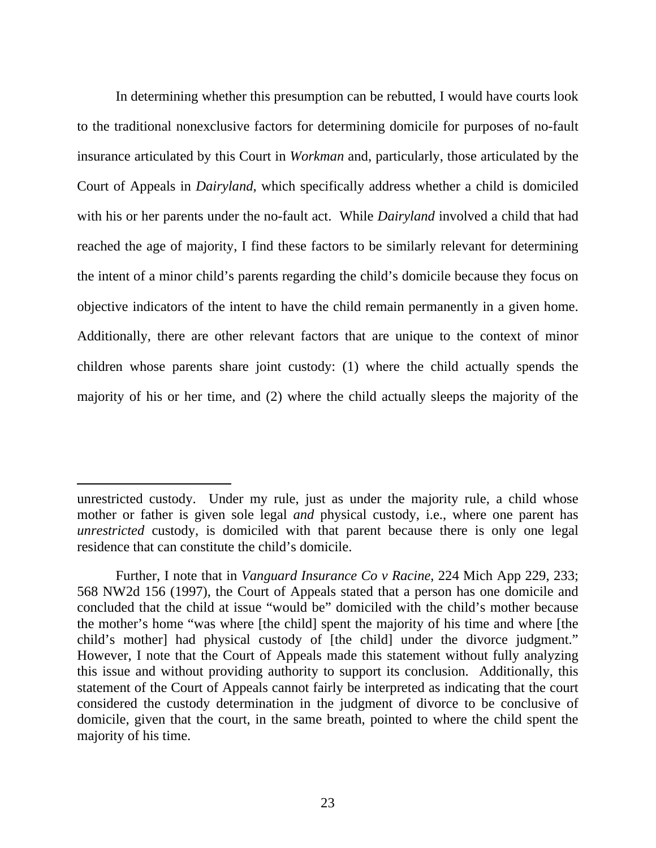In determining whether this presumption can be rebutted, I would have courts look to the traditional nonexclusive factors for determining domicile for purposes of no-fault insurance articulated by this Court in *Workman* and, particularly, those articulated by the Court of Appeals in *Dairyland*, which specifically address whether a child is domiciled with his or her parents under the no-fault act. While *Dairyland* involved a child that had reached the age of majority, I find these factors to be similarly relevant for determining the intent of a minor child's parents regarding the child's domicile because they focus on objective indicators of the intent to have the child remain permanently in a given home. Additionally, there are other relevant factors that are unique to the context of minor children whose parents share joint custody: (1) where the child actually spends the majority of his or her time, and (2) where the child actually sleeps the majority of the

unrestricted custody. Under my rule, just as under the majority rule, a child whose mother or father is given sole legal *and* physical custody, i.e., where one parent has *unrestricted* custody, is domiciled with that parent because there is only one legal residence that can constitute the child's domicile.

Further, I note that in *Vanguard Insurance Co v Racine*, 224 Mich App 229, 233; 568 NW2d 156 (1997), the Court of Appeals stated that a person has one domicile and concluded that the child at issue "would be" domiciled with the child's mother because the mother's home "was where [the child] spent the majority of his time and where [the child's mother] had physical custody of [the child] under the divorce judgment." However, I note that the Court of Appeals made this statement without fully analyzing this issue and without providing authority to support its conclusion. Additionally, this statement of the Court of Appeals cannot fairly be interpreted as indicating that the court considered the custody determination in the judgment of divorce to be conclusive of domicile, given that the court, in the same breath, pointed to where the child spent the majority of his time.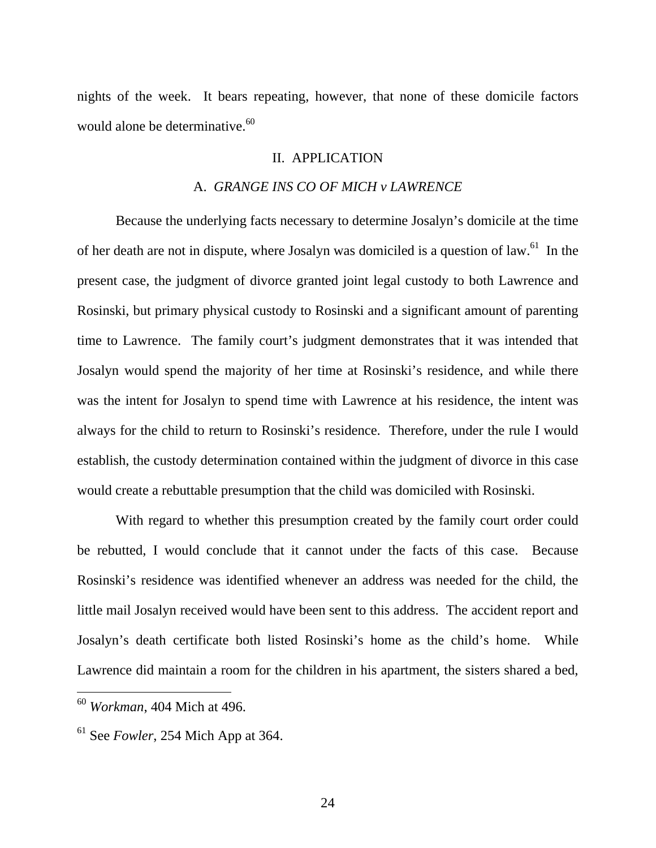nights of the week. It bears repeating, however, that none of these domicile factors would alone be determinative.<sup>60</sup>

# II. APPLICATION

#### A. *GRANGE INS CO OF MICH v LAWRENCE*

Because the underlying facts necessary to determine Josalyn's domicile at the time of her death are not in dispute, where Josalyn was domiciled is a question of law.<sup>61</sup> In the present case, the judgment of divorce granted joint legal custody to both Lawrence and Rosinski, but primary physical custody to Rosinski and a significant amount of parenting time to Lawrence. The family court's judgment demonstrates that it was intended that Josalyn would spend the majority of her time at Rosinski's residence, and while there was the intent for Josalyn to spend time with Lawrence at his residence, the intent was always for the child to return to Rosinski's residence. Therefore, under the rule I would establish, the custody determination contained within the judgment of divorce in this case would create a rebuttable presumption that the child was domiciled with Rosinski.

With regard to whether this presumption created by the family court order could be rebutted, I would conclude that it cannot under the facts of this case. Because Rosinski's residence was identified whenever an address was needed for the child, the little mail Josalyn received would have been sent to this address. The accident report and Josalyn's death certificate both listed Rosinski's home as the child's home. While Lawrence did maintain a room for the children in his apartment, the sisters shared a bed,

<sup>60</sup> *Workman*, 404 Mich at 496.

<sup>&</sup>lt;sup>61</sup> See *Fowler*, 254 Mich App at 364.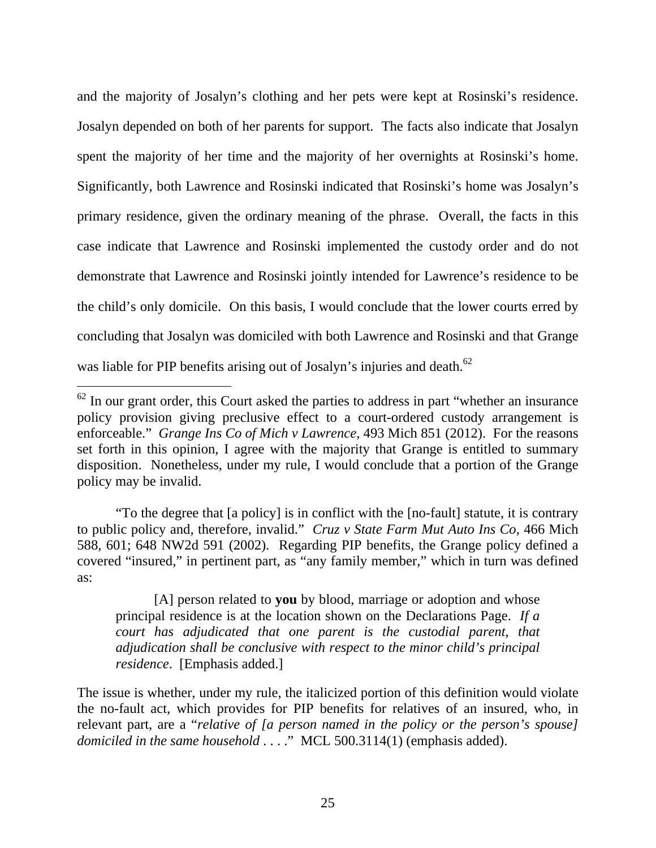and the majority of Josalyn's clothing and her pets were kept at Rosinski's residence. Josalyn depended on both of her parents for support. The facts also indicate that Josalyn spent the majority of her time and the majority of her overnights at Rosinski's home. Significantly, both Lawrence and Rosinski indicated that Rosinski's home was Josalyn's primary residence, given the ordinary meaning of the phrase. Overall, the facts in this case indicate that Lawrence and Rosinski implemented the custody order and do not demonstrate that Lawrence and Rosinski jointly intended for Lawrence's residence to be the child's only domicile. On this basis, I would conclude that the lower courts erred by concluding that Josalyn was domiciled with both Lawrence and Rosinski and that Grange was liable for PIP benefits arising out of Josalyn's injuries and death.<sup>62</sup>

 $\overline{a}$ 

"To the degree that [a policy] is in conflict with the [no-fault] statute, it is contrary to public policy and, therefore, invalid." *Cruz v State Farm Mut Auto Ins Co*, 466 Mich 588, 601; 648 NW2d 591 (2002). Regarding PIP benefits, the Grange policy defined a covered "insured," in pertinent part, as "any family member," which in turn was defined as:

[A] person related to **you** by blood, marriage or adoption and whose principal residence is at the location shown on the Declarations Page. *If a court has adjudicated that one parent is the custodial parent, that adjudication shall be conclusive with respect to the minor child's principal residence*. [Emphasis added.]

The issue is whether, under my rule, the italicized portion of this definition would violate the no-fault act, which provides for PIP benefits for relatives of an insured, who, in relevant part, are a "*relative of [a person named in the policy or the person's spouse] domiciled in the same household* . . . . " MCL 500.3114(1) (emphasis added).

 $62$  In our grant order, this Court asked the parties to address in part "whether an insurance policy provision giving preclusive effect to a court-ordered custody arrangement is enforceable." *Grange Ins Co of Mich v Lawrence*, 493 Mich 851 (2012). For the reasons set forth in this opinion, I agree with the majority that Grange is entitled to summary disposition. Nonetheless, under my rule, I would conclude that a portion of the Grange policy may be invalid.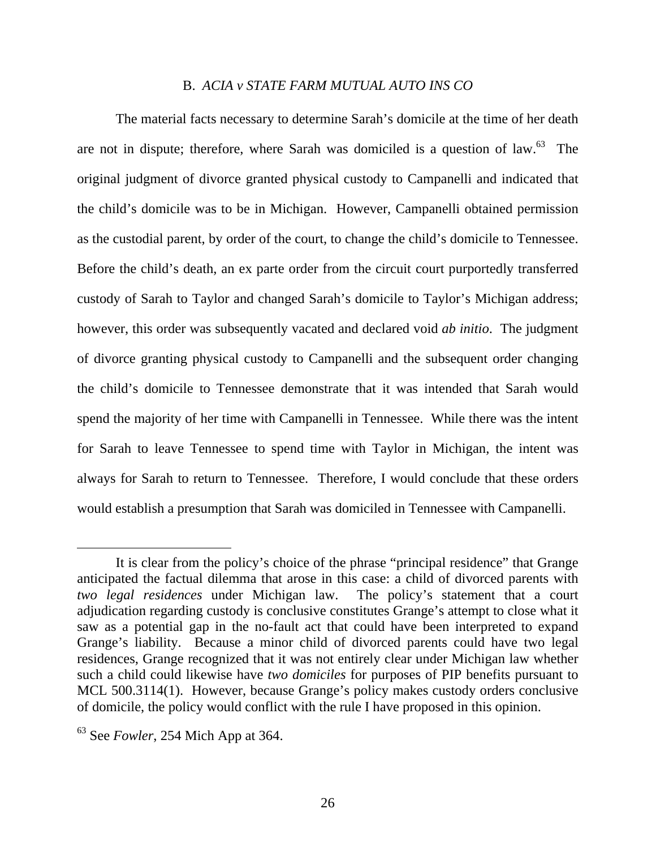# B. *ACIA v STATE FARM MUTUAL AUTO INS CO*

The material facts necessary to determine Sarah's domicile at the time of her death are not in dispute; therefore, where Sarah was domiciled is a question of law. $^{63}$  The original judgment of divorce granted physical custody to Campanelli and indicated that the child's domicile was to be in Michigan. However, Campanelli obtained permission as the custodial parent, by order of the court, to change the child's domicile to Tennessee. Before the child's death, an ex parte order from the circuit court purportedly transferred custody of Sarah to Taylor and changed Sarah's domicile to Taylor's Michigan address; however, this order was subsequently vacated and declared void *ab initio*. The judgment of divorce granting physical custody to Campanelli and the subsequent order changing the child's domicile to Tennessee demonstrate that it was intended that Sarah would spend the majority of her time with Campanelli in Tennessee. While there was the intent for Sarah to leave Tennessee to spend time with Taylor in Michigan, the intent was always for Sarah to return to Tennessee. Therefore, I would conclude that these orders would establish a presumption that Sarah was domiciled in Tennessee with Campanelli.

It is clear from the policy's choice of the phrase "principal residence" that Grange anticipated the factual dilemma that arose in this case: a child of divorced parents with *two legal residences* under Michigan law. The policy's statement that a court adjudication regarding custody is conclusive constitutes Grange's attempt to close what it saw as a potential gap in the no-fault act that could have been interpreted to expand Grange's liability. Because a minor child of divorced parents could have two legal residences, Grange recognized that it was not entirely clear under Michigan law whether such a child could likewise have *two domiciles* for purposes of PIP benefits pursuant to MCL 500.3114(1). However, because Grange's policy makes custody orders conclusive of domicile, the policy would conflict with the rule I have proposed in this opinion.

<sup>&</sup>lt;sup>63</sup> See *Fowler*, 254 Mich App at 364.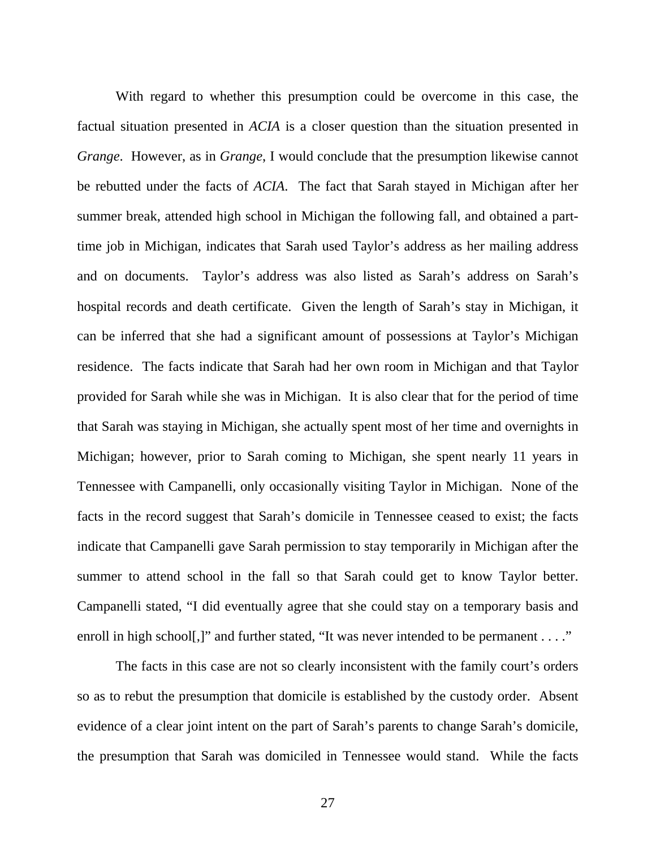With regard to whether this presumption could be overcome in this case, the factual situation presented in *ACIA* is a closer question than the situation presented in *Grange*. However, as in *Grange*, I would conclude that the presumption likewise cannot be rebutted under the facts of *ACIA*. The fact that Sarah stayed in Michigan after her summer break, attended high school in Michigan the following fall, and obtained a parttime job in Michigan, indicates that Sarah used Taylor's address as her mailing address and on documents. Taylor's address was also listed as Sarah's address on Sarah's hospital records and death certificate. Given the length of Sarah's stay in Michigan, it can be inferred that she had a significant amount of possessions at Taylor's Michigan residence. The facts indicate that Sarah had her own room in Michigan and that Taylor provided for Sarah while she was in Michigan. It is also clear that for the period of time that Sarah was staying in Michigan, she actually spent most of her time and overnights in Michigan; however, prior to Sarah coming to Michigan, she spent nearly 11 years in Tennessee with Campanelli, only occasionally visiting Taylor in Michigan. None of the facts in the record suggest that Sarah's domicile in Tennessee ceased to exist; the facts indicate that Campanelli gave Sarah permission to stay temporarily in Michigan after the summer to attend school in the fall so that Sarah could get to know Taylor better. Campanelli stated, "I did eventually agree that she could stay on a temporary basis and enroll in high school.]" and further stated, "It was never intended to be permanent . . . ."

The facts in this case are not so clearly inconsistent with the family court's orders so as to rebut the presumption that domicile is established by the custody order. Absent evidence of a clear joint intent on the part of Sarah's parents to change Sarah's domicile, the presumption that Sarah was domiciled in Tennessee would stand. While the facts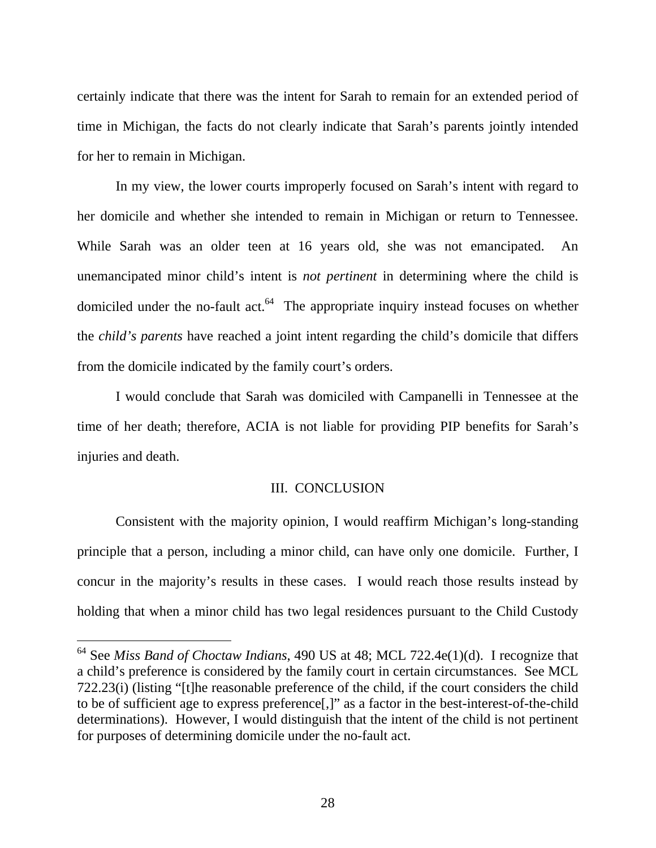certainly indicate that there was the intent for Sarah to remain for an extended period of time in Michigan, the facts do not clearly indicate that Sarah's parents jointly intended for her to remain in Michigan.

In my view, the lower courts improperly focused on Sarah's intent with regard to her domicile and whether she intended to remain in Michigan or return to Tennessee. While Sarah was an older teen at 16 years old, she was not emancipated. An unemancipated minor child's intent is *not pertinent* in determining where the child is domiciled under the no-fault act. $64$  The appropriate inquiry instead focuses on whether the *child's parents* have reached a joint intent regarding the child's domicile that differs from the domicile indicated by the family court's orders.

I would conclude that Sarah was domiciled with Campanelli in Tennessee at the time of her death; therefore, ACIA is not liable for providing PIP benefits for Sarah's injuries and death.

#### III. CONCLUSION

Consistent with the majority opinion, I would reaffirm Michigan's long-standing principle that a person, including a minor child, can have only one domicile. Further, I concur in the majority's results in these cases. I would reach those results instead by holding that when a minor child has two legal residences pursuant to the Child Custody

<sup>64</sup> See *Miss Band of Choctaw Indians*, 490 US at 48; MCL 722.4e(1)(d). I recognize that a child's preference is considered by the family court in certain circumstances. See MCL 722.23(i) (listing "[t]he reasonable preference of the child, if the court considers the child to be of sufficient age to express preference[,]" as a factor in the best-interest-of-the-child determinations). However, I would distinguish that the intent of the child is not pertinent for purposes of determining domicile under the no-fault act.